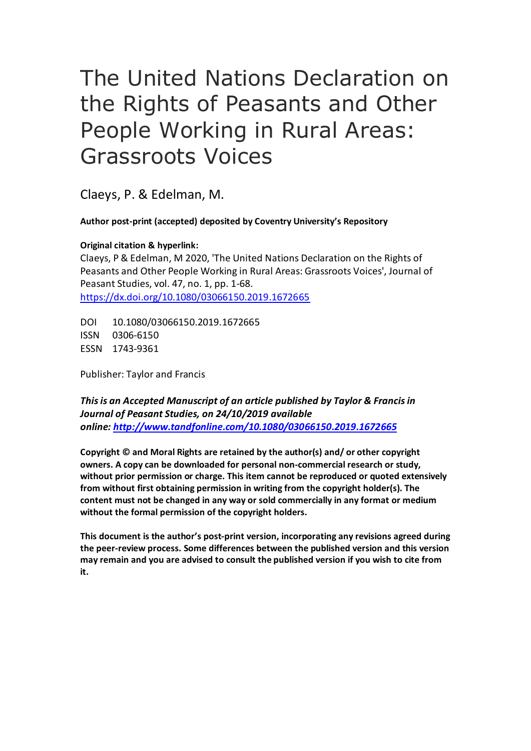# The United Nations Declaration on the Rights of Peasants and Other People Working in Rural Areas: Grassroots Voices

Claeys, P. & Edelman, M.

**Author post-print (accepted) deposited by Coventry University's Repository**

**Original citation & hyperlink:**

Claeys, P & Edelman, M 2020, 'The United Nations Declaration on the Rights of Peasants and Other People Working in Rural Areas: Grassroots Voices', Journal of Peasant Studies, vol. 47, no. 1, pp. 1-68. <https://dx.doi.org/10.1080/03066150.2019.1672665>

DOI 10.1080/03066150.2019.1672665 ISSN 0306-6150 ESSN 1743-9361

Publisher: Taylor and Francis

*This is an Accepted Manuscript of an article published by Taylor & Francis in Journal of Peasant Studies, on 24/10/2019 available online: [http://www.tandfonline.com/1](http://www.tandfonline.com/)0.1080/03066150.2019.1672665*

**Copyright © and Moral Rights are retained by the author(s) and/ or other copyright owners. A copy can be downloaded for personal non-commercial research or study, without prior permission or charge. This item cannot be reproduced or quoted extensively from without first obtaining permission in writing from the copyright holder(s). The content must not be changed in any way or sold commercially in any format or medium without the formal permission of the copyright holders.** 

**This document is the author's post-print version, incorporating any revisions agreed during the peer-review process. Some differences between the published version and this version may remain and you are advised to consult the published version if you wish to cite from it.**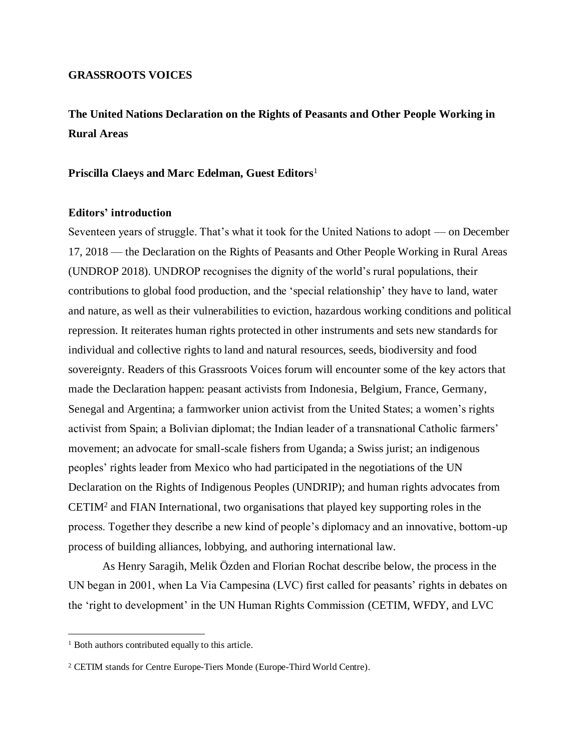#### **GRASSROOTS VOICES**

# **The United Nations Declaration on the Rights of Peasants and Other People Working in Rural Areas**

#### **Priscilla Claeys and Marc Edelman, Guest Editors**<sup>1</sup>

#### **Editors' introduction**

Seventeen years of struggle. That's what it took for the United Nations to adopt — on December 17, 2018 — the Declaration on the Rights of Peasants and Other People Working in Rural Areas (UNDROP 2018). UNDROP recognises the dignity of the world's rural populations, their contributions to global food production, and the 'special relationship' they have to land, water and nature, as well as their vulnerabilities to eviction, hazardous working conditions and political repression. It reiterates human rights protected in other instruments and sets new standards for individual and collective rights to land and natural resources, seeds, biodiversity and food sovereignty. Readers of this Grassroots Voices forum will encounter some of the key actors that made the Declaration happen: peasant activists from Indonesia, Belgium, France, Germany, Senegal and Argentina; a farmworker union activist from the United States; a women's rights activist from Spain; a Bolivian diplomat; the Indian leader of a transnational Catholic farmers' movement; an advocate for small-scale fishers from Uganda; a Swiss jurist; an indigenous peoples' rights leader from Mexico who had participated in the negotiations of the UN Declaration on the Rights of Indigenous Peoples (UNDRIP); and human rights advocates from CETIM<sup>2</sup> and FIAN International, two organisations that played key supporting roles in the process. Together they describe a new kind of people's diplomacy and an innovative, bottom-up process of building alliances, lobbying, and authoring international law.

As Henry Saragih, Melik Özden and Florian Rochat describe below, the process in the UN began in 2001, when La Via Campesina (LVC) first called for peasants' rights in debates on the 'right to development' in the UN Human Rights Commission (CETIM, WFDY, and LVC

<sup>&</sup>lt;sup>1</sup> Both authors contributed equally to this article.

<sup>2</sup> CETIM stands for Centre Europe-Tiers Monde (Europe-Third World Centre).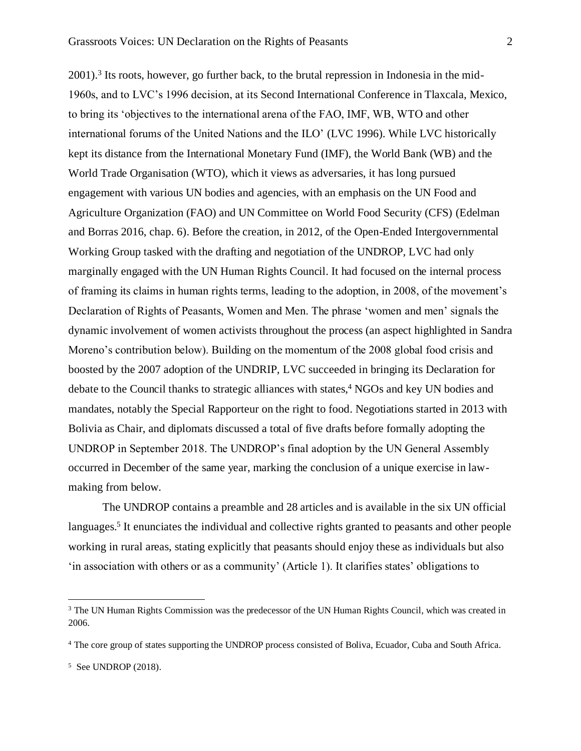2001). 3 Its roots, however, go further back, to the brutal repression in Indonesia in the mid-1960s, and to LVC's 1996 decision, at its Second International Conference in Tlaxcala, Mexico, to bring its 'objectives to the international arena of the FAO, IMF, WB, WTO and other international forums of the United Nations and the ILO' (LVC 1996). While LVC historically kept its distance from the International Monetary Fund (IMF), the World Bank (WB) and the World Trade Organisation (WTO), which it views as adversaries, it has long pursued engagement with various UN bodies and agencies, with an emphasis on the UN Food and Agriculture Organization (FAO) and UN Committee on World Food Security (CFS) (Edelman and Borras 2016, chap. 6). Before the creation, in 2012, of the Open-Ended Intergovernmental Working Group tasked with the drafting and negotiation of the UNDROP, LVC had only marginally engaged with the UN Human Rights Council. It had focused on the internal process of framing its claims in human rights terms, leading to the adoption, in 2008, of the movement's Declaration of Rights of Peasants, Women and Men. The phrase 'women and men' signals the dynamic involvement of women activists throughout the process (an aspect highlighted in Sandra Moreno's contribution below). Building on the momentum of the 2008 global food crisis and boosted by the 2007 adoption of the UNDRIP, LVC succeeded in bringing its Declaration for debate to the Council thanks to strategic alliances with states,<sup>4</sup> NGOs and key UN bodies and mandates, notably the Special Rapporteur on the right to food. Negotiations started in 2013 with Bolivia as Chair, and diplomats discussed a total of five drafts before formally adopting the UNDROP in September 2018. The UNDROP's final adoption by the UN General Assembly occurred in December of the same year, marking the conclusion of a unique exercise in lawmaking from below.

The UNDROP contains a preamble and 28 articles and is available in the six UN official languages.<sup>5</sup> It enunciates the individual and collective rights granted to peasants and other people working in rural areas, stating explicitly that peasants should enjoy these as individuals but also 'in association with others or as a community' (Article 1). It clarifies states' obligations to

<sup>&</sup>lt;sup>3</sup> The UN Human Rights Commission was the predecessor of the UN Human Rights Council, which was created in 2006.

<sup>4</sup> The core group of states supporting the UNDROP process consisted of Boliva, Ecuador, Cuba and South Africa.

<sup>5</sup> See UNDROP (2018).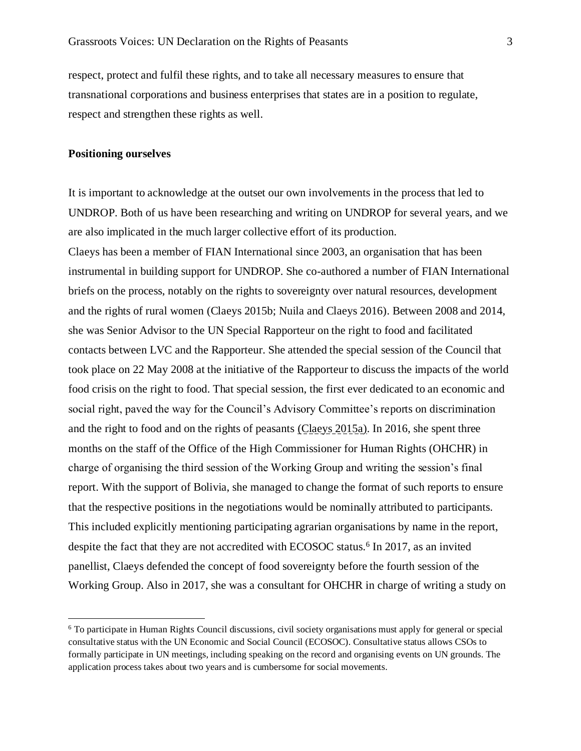respect, protect and fulfil these rights, and to take all necessary measures to ensure that transnational corporations and business enterprises that states are in a position to regulate, respect and strengthen these rights as well.

#### **Positioning ourselves**

It is important to acknowledge at the outset our own involvements in the process that led to UNDROP. Both of us have been researching and writing on UNDROP for several years, and we are also implicated in the much larger collective effort of its production.

Claeys has been a member of FIAN International since 2003, an organisation that has been instrumental in building support for UNDROP. She co-authored a number of FIAN International briefs on the process, notably on the rights to sovereignty over natural resources, development and the rights of rural women (Claeys 2015b; Nuila and Claeys 2016). Between 2008 and 2014, she was Senior Advisor to the UN Special Rapporteur on the right to food and facilitated contacts between LVC and the Rapporteur. She attended the special session of the Council that took place on 22 May 2008 at the initiative of the Rapporteur to discuss the impacts of the world food crisis on the right to food. That special session, the first ever dedicated to an economic and social right, paved the way for the Council's Advisory Committee's reports on discrimination and the right to food and on the rights of peasants (Claeys 2015a). In 2016, she spent three months on the staff of the Office of the High Commissioner for Human Rights (OHCHR) in charge of organising the third session of the Working Group and writing the session's final report. With the support of Bolivia, she managed to change the format of such reports to ensure that the respective positions in the negotiations would be nominally attributed to participants. This included explicitly mentioning participating agrarian organisations by name in the report, despite the fact that they are not accredited with ECOSOC status.<sup>6</sup> In 2017, as an invited panellist, Claeys defended the concept of food sovereignty before the fourth session of the Working Group. Also in 2017, she was a consultant for OHCHR in charge of writing a study on

<sup>6</sup> To participate in Human Rights Council discussions, civil society organisations must apply for general or special consultative status with the UN Economic and Social Council (ECOSOC). Consultative status allows CSOs to formally participate in UN meetings, including speaking on the record and organising events on UN grounds. The application process takes about two years and is cumbersome for social movements.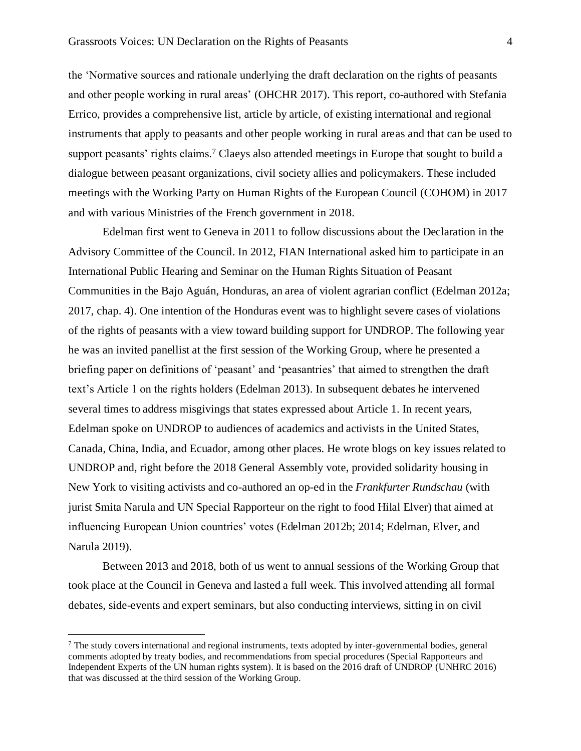the 'Normative sources and rationale underlying the draft declaration on the rights of peasants and other people working in rural areas' (OHCHR 2017). This report, co-authored with Stefania Errico, provides a comprehensive list, article by article, of existing international and regional instruments that apply to peasants and other people working in rural areas and that can be used to support peasants' rights claims.<sup>7</sup> Claeys also attended meetings in Europe that sought to build a dialogue between peasant organizations, civil society allies and policymakers. These included meetings with the Working Party on Human Rights of the European Council (COHOM) in 2017 and with various Ministries of the French government in 2018.

Edelman first went to Geneva in 2011 to follow discussions about the Declaration in the Advisory Committee of the Council. In 2012, FIAN International asked him to participate in an International Public Hearing and Seminar on the Human Rights Situation of Peasant Communities in the Bajo Aguán, Honduras, an area of violent agrarian conflict (Edelman 2012a; 2017, chap. 4). One intention of the Honduras event was to highlight severe cases of violations of the rights of peasants with a view toward building support for UNDROP. The following year he was an invited panellist at the first session of the Working Group, where he presented a briefing paper on definitions of 'peasant' and 'peasantries' that aimed to strengthen the draft text's Article 1 on the rights holders (Edelman 2013). In subsequent debates he intervened several times to address misgivings that states expressed about Article 1. In recent years, Edelman spoke on UNDROP to audiences of academics and activists in the United States, Canada, China, India, and Ecuador, among other places. He wrote blogs on key issues related to UNDROP and, right before the 2018 General Assembly vote, provided solidarity housing in New York to visiting activists and co-authored an op-ed in the *Frankfurter Rundschau* (with jurist Smita Narula and UN Special Rapporteur on the right to food Hilal Elver) that aimed at influencing European Union countries' votes (Edelman 2012b; 2014; Edelman, Elver, and Narula 2019).

Between 2013 and 2018, both of us went to annual sessions of the Working Group that took place at the Council in Geneva and lasted a full week. This involved attending all formal debates, side-events and expert seminars, but also conducting interviews, sitting in on civil

<sup>7</sup> The study covers international and regional instruments, texts adopted by inter-governmental bodies, general comments adopted by treaty bodies, and recommendations from special procedures (Special Rapporteurs and Independent Experts of the UN human rights system). It is based on the 2016 draft of UNDROP (UNHRC 2016) that was discussed at the third session of the Working Group.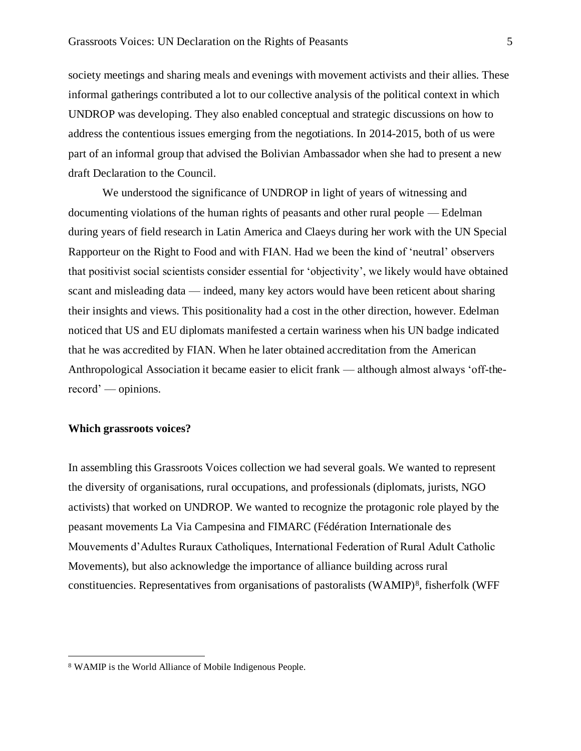society meetings and sharing meals and evenings with movement activists and their allies. These informal gatherings contributed a lot to our collective analysis of the political context in which UNDROP was developing. They also enabled conceptual and strategic discussions on how to address the contentious issues emerging from the negotiations. In 2014-2015, both of us were part of an informal group that advised the Bolivian Ambassador when she had to present a new draft Declaration to the Council.

We understood the significance of UNDROP in light of years of witnessing and documenting violations of the human rights of peasants and other rural people — Edelman during years of field research in Latin America and Claeys during her work with the UN Special Rapporteur on the Right to Food and with FIAN. Had we been the kind of 'neutral' observers that positivist social scientists consider essential for 'objectivity', we likely would have obtained scant and misleading data — indeed, many key actors would have been reticent about sharing their insights and views. This positionality had a cost in the other direction, however. Edelman noticed that US and EU diplomats manifested a certain wariness when his UN badge indicated that he was accredited by FIAN. When he later obtained accreditation from the American Anthropological Association it became easier to elicit frank — although almost always 'off-therecord' — opinions.

## **Which grassroots voices?**

In assembling this Grassroots Voices collection we had several goals. We wanted to represent the diversity of organisations, rural occupations, and professionals (diplomats, jurists, NGO activists) that worked on UNDROP. We wanted to recognize the protagonic role played by the peasant movements La Via Campesina and FIMARC (Fédération Internationale des Mouvements d'Adultes Ruraux Catholiques, International Federation of Rural Adult Catholic Movements), but also acknowledge the importance of alliance building across rural constituencies. Representatives from organisations of pastoralists (WAMIP)<sup>8</sup>, fisherfolk (WFF

<sup>8</sup> WAMIP is the World Alliance of Mobile Indigenous People.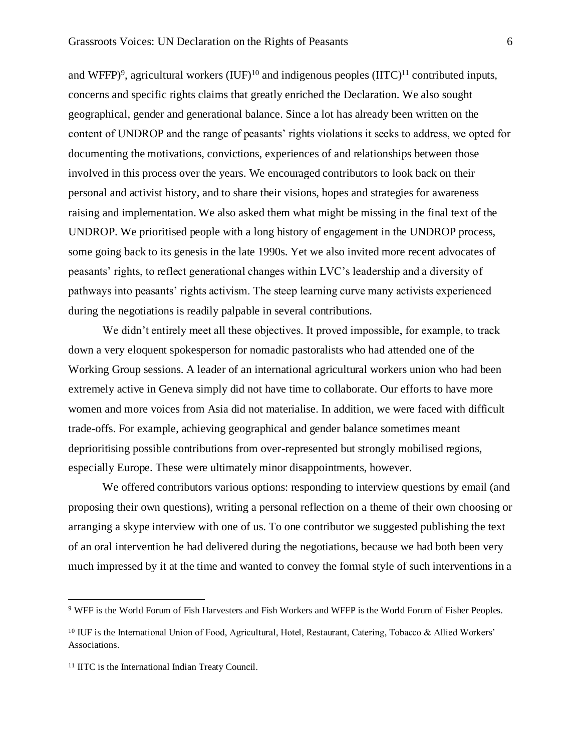and WFFP $)$ <sup>9</sup>, agricultural workers (IUF $)$ <sup>10</sup> and indigenous peoples (IITC $)$ <sup>11</sup> contributed inputs, concerns and specific rights claims that greatly enriched the Declaration. We also sought geographical, gender and generational balance. Since a lot has already been written on the content of UNDROP and the range of peasants' rights violations it seeks to address, we opted for documenting the motivations, convictions, experiences of and relationships between those involved in this process over the years. We encouraged contributors to look back on their personal and activist history, and to share their visions, hopes and strategies for awareness raising and implementation. We also asked them what might be missing in the final text of the UNDROP. We prioritised people with a long history of engagement in the UNDROP process, some going back to its genesis in the late 1990s. Yet we also invited more recent advocates of peasants' rights, to reflect generational changes within LVC's leadership and a diversity of pathways into peasants' rights activism. The steep learning curve many activists experienced during the negotiations is readily palpable in several contributions.

We didn't entirely meet all these objectives. It proved impossible, for example, to track down a very eloquent spokesperson for nomadic pastoralists who had attended one of the Working Group sessions. A leader of an international agricultural workers union who had been extremely active in Geneva simply did not have time to collaborate. Our efforts to have more women and more voices from Asia did not materialise. In addition, we were faced with difficult trade-offs. For example, achieving geographical and gender balance sometimes meant deprioritising possible contributions from over-represented but strongly mobilised regions, especially Europe. These were ultimately minor disappointments, however.

We offered contributors various options: responding to interview questions by email (and proposing their own questions), writing a personal reflection on a theme of their own choosing or arranging a skype interview with one of us. To one contributor we suggested publishing the text of an oral intervention he had delivered during the negotiations, because we had both been very much impressed by it at the time and wanted to convey the formal style of such interventions in a

<sup>9</sup> WFF is the World Forum of Fish Harvesters and Fish Workers and WFFP is the World Forum of Fisher Peoples.

<sup>&</sup>lt;sup>10</sup> IUF is the International Union of Food, Agricultural, Hotel, Restaurant, Catering, Tobacco & Allied Workers' Associations.

<sup>&</sup>lt;sup>11</sup> IITC is the International Indian Treaty Council.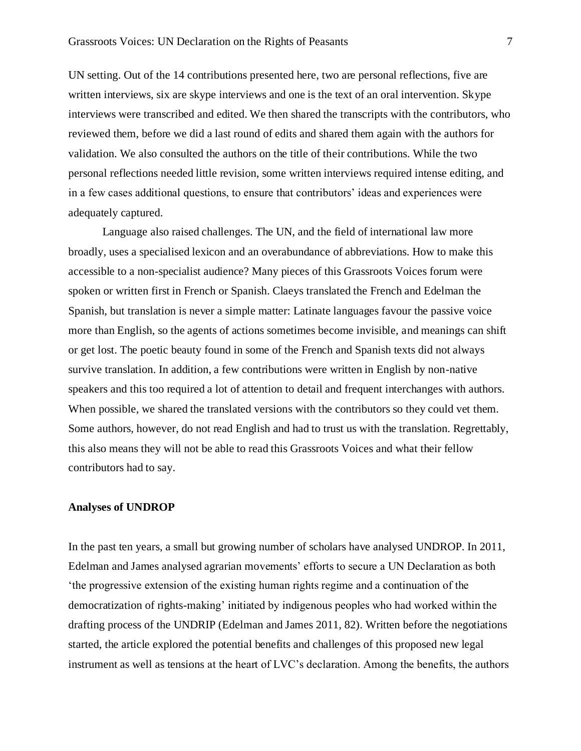UN setting. Out of the 14 contributions presented here, two are personal reflections, five are written interviews, six are skype interviews and one is the text of an oral intervention. Skype interviews were transcribed and edited. We then shared the transcripts with the contributors, who reviewed them, before we did a last round of edits and shared them again with the authors for validation. We also consulted the authors on the title of their contributions. While the two personal reflections needed little revision, some written interviews required intense editing, and in a few cases additional questions, to ensure that contributors' ideas and experiences were adequately captured.

Language also raised challenges. The UN, and the field of international law more broadly, uses a specialised lexicon and an overabundance of abbreviations. How to make this accessible to a non-specialist audience? Many pieces of this Grassroots Voices forum were spoken or written first in French or Spanish. Claeys translated the French and Edelman the Spanish, but translation is never a simple matter: Latinate languages favour the passive voice more than English, so the agents of actions sometimes become invisible, and meanings can shift or get lost. The poetic beauty found in some of the French and Spanish texts did not always survive translation. In addition, a few contributions were written in English by non-native speakers and this too required a lot of attention to detail and frequent interchanges with authors. When possible, we shared the translated versions with the contributors so they could vet them. Some authors, however, do not read English and had to trust us with the translation. Regrettably, this also means they will not be able to read this Grassroots Voices and what their fellow contributors had to say.

#### **Analyses of UNDROP**

In the past ten years, a small but growing number of scholars have analysed UNDROP. In 2011, Edelman and James analysed agrarian movements' efforts to secure a UN Declaration as both 'the progressive extension of the existing human rights regime and a continuation of the democratization of rights-making' initiated by indigenous peoples who had worked within the drafting process of the UNDRIP (Edelman and James 2011, 82). Written before the negotiations started, the article explored the potential benefits and challenges of this proposed new legal instrument as well as tensions at the heart of LVC's declaration. Among the benefits, the authors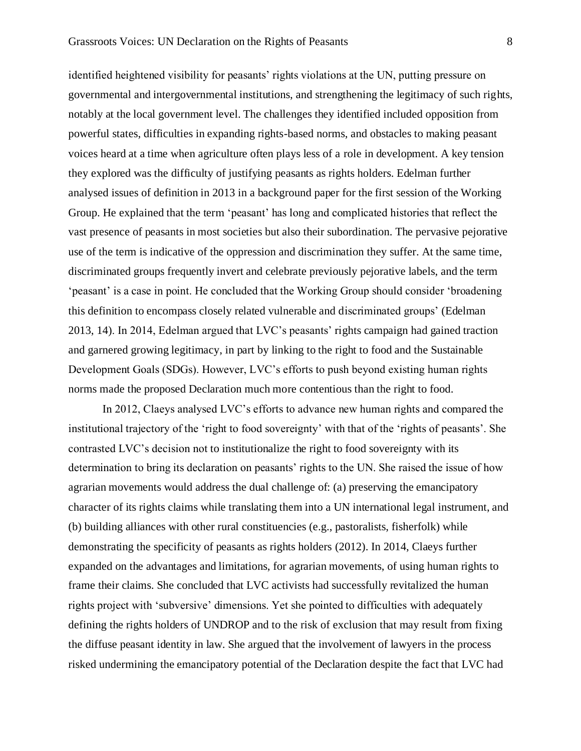identified heightened visibility for peasants' rights violations at the UN, putting pressure on governmental and intergovernmental institutions, and strengthening the legitimacy of such rights, notably at the local government level. The challenges they identified included opposition from powerful states, difficulties in expanding rights-based norms, and obstacles to making peasant voices heard at a time when agriculture often plays less of a role in development. A key tension they explored was the difficulty of justifying peasants as rights holders. Edelman further analysed issues of definition in 2013 in a background paper for the first session of the Working Group. He explained that the term 'peasant' has long and complicated histories that reflect the vast presence of peasants in most societies but also their subordination. The pervasive pejorative use of the term is indicative of the oppression and discrimination they suffer. At the same time, discriminated groups frequently invert and celebrate previously pejorative labels, and the term 'peasant' is a case in point. He concluded that the Working Group should consider 'broadening this definition to encompass closely related vulnerable and discriminated groups' (Edelman 2013, 14). In 2014, Edelman argued that LVC's peasants' rights campaign had gained traction and garnered growing legitimacy, in part by linking to the right to food and the Sustainable Development Goals (SDGs). However, LVC's efforts to push beyond existing human rights norms made the proposed Declaration much more contentious than the right to food.

In 2012, Claeys analysed LVC's efforts to advance new human rights and compared the institutional trajectory of the 'right to food sovereignty' with that of the 'rights of peasants'. She contrasted LVC's decision not to institutionalize the right to food sovereignty with its determination to bring its declaration on peasants' rights to the UN. She raised the issue of how agrarian movements would address the dual challenge of: (a) preserving the emancipatory character of its rights claims while translating them into a UN international legal instrument, and (b) building alliances with other rural constituencies (e.g., pastoralists, fisherfolk) while demonstrating the specificity of peasants as rights holders (2012). In 2014, Claeys further expanded on the advantages and limitations, for agrarian movements, of using human rights to frame their claims. She concluded that LVC activists had successfully revitalized the human rights project with 'subversive' dimensions. Yet she pointed to difficulties with adequately defining the rights holders of UNDROP and to the risk of exclusion that may result from fixing the diffuse peasant identity in law. She argued that the involvement of lawyers in the process risked undermining the emancipatory potential of the Declaration despite the fact that LVC had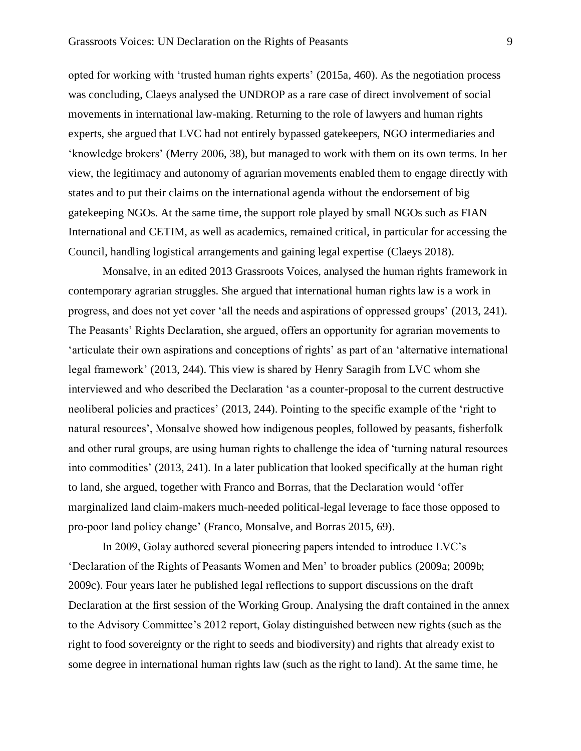opted for working with 'trusted human rights experts' (2015a, 460). As the negotiation process was concluding, Claeys analysed the UNDROP as a rare case of direct involvement of social movements in international law-making. Returning to the role of lawyers and human rights experts, she argued that LVC had not entirely bypassed gatekeepers, NGO intermediaries and 'knowledge brokers' (Merry 2006, 38), but managed to work with them on its own terms. In her view, the legitimacy and autonomy of agrarian movements enabled them to engage directly with states and to put their claims on the international agenda without the endorsement of big gatekeeping NGOs. At the same time, the support role played by small NGOs such as FIAN International and CETIM, as well as academics, remained critical, in particular for accessing the Council, handling logistical arrangements and gaining legal expertise (Claeys 2018).

Monsalve, in an edited 2013 Grassroots Voices, analysed the human rights framework in contemporary agrarian struggles. She argued that international human rights law is a work in progress, and does not yet cover 'all the needs and aspirations of oppressed groups' (2013, 241). The Peasants' Rights Declaration, she argued, offers an opportunity for agrarian movements to 'articulate their own aspirations and conceptions of rights' as part of an 'alternative international legal framework' (2013, 244). This view is shared by Henry Saragih from LVC whom she interviewed and who described the Declaration 'as a counter-proposal to the current destructive neoliberal policies and practices' (2013, 244). Pointing to the specific example of the 'right to natural resources', Monsalve showed how indigenous peoples, followed by peasants, fisherfolk and other rural groups, are using human rights to challenge the idea of 'turning natural resources into commodities' (2013, 241). In a later publication that looked specifically at the human right to land, she argued, together with Franco and Borras, that the Declaration would 'offer marginalized land claim-makers much-needed political-legal leverage to face those opposed to pro-poor land policy change' (Franco, Monsalve, and Borras 2015, 69).

In 2009, Golay authored several pioneering papers intended to introduce LVC's 'Declaration of the Rights of Peasants Women and Men' to broader publics (2009a; 2009b; 2009c). Four years later he published legal reflections to support discussions on the draft Declaration at the first session of the Working Group. Analysing the draft contained in the annex to the Advisory Committee's 2012 report, Golay distinguished between new rights (such as the right to food sovereignty or the right to seeds and biodiversity) and rights that already exist to some degree in international human rights law (such as the right to land). At the same time, he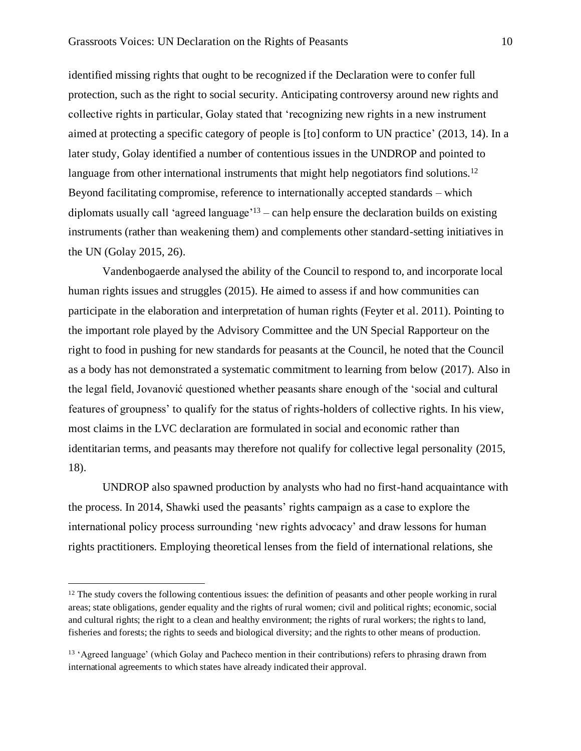identified missing rights that ought to be recognized if the Declaration were to confer full protection, such as the right to social security. Anticipating controversy around new rights and collective rights in particular, Golay stated that 'recognizing new rights in a new instrument aimed at protecting a specific category of people is [to] conform to UN practice' (2013, 14). In a later study, Golay identified a number of contentious issues in the UNDROP and pointed to language from other international instruments that might help negotiators find solutions.<sup>12</sup> Beyond facilitating compromise, reference to internationally accepted standards – which diplomats usually call 'agreed language'<sup>13</sup> – can help ensure the declaration builds on existing instruments (rather than weakening them) and complements other standard-setting initiatives in the UN (Golay 2015, 26).

Vandenbogaerde analysed the ability of the Council to respond to, and incorporate local human rights issues and struggles (2015). He aimed to assess if and how communities can participate in the elaboration and interpretation of human rights (Feyter et al. 2011). Pointing to the important role played by the Advisory Committee and the UN Special Rapporteur on the right to food in pushing for new standards for peasants at the Council, he noted that the Council as a body has not demonstrated a systematic commitment to learning from below (2017). Also in the legal field, Jovanović questioned whether peasants share enough of the 'social and cultural features of groupness' to qualify for the status of rights-holders of collective rights. In his view, most claims in the LVC declaration are formulated in social and economic rather than identitarian terms, and peasants may therefore not qualify for collective legal personality (2015, 18).

UNDROP also spawned production by analysts who had no first-hand acquaintance with the process. In 2014, Shawki used the peasants' rights campaign as a case to explore the international policy process surrounding 'new rights advocacy' and draw lessons for human rights practitioners. Employing theoretical lenses from the field of international relations, she

<sup>&</sup>lt;sup>12</sup> The study covers the following contentious issues: the definition of peasants and other people working in rural areas; state obligations, gender equality and the rights of rural women; civil and political rights; economic, social and cultural rights; the right to a clean and healthy environment; the rights of rural workers; the rights to land, fisheries and forests; the rights to seeds and biological diversity; and the rights to other means of production.

<sup>13</sup> 'Agreed language' (which Golay and Pacheco mention in their contributions) refers to phrasing drawn from international agreements to which states have already indicated their approval.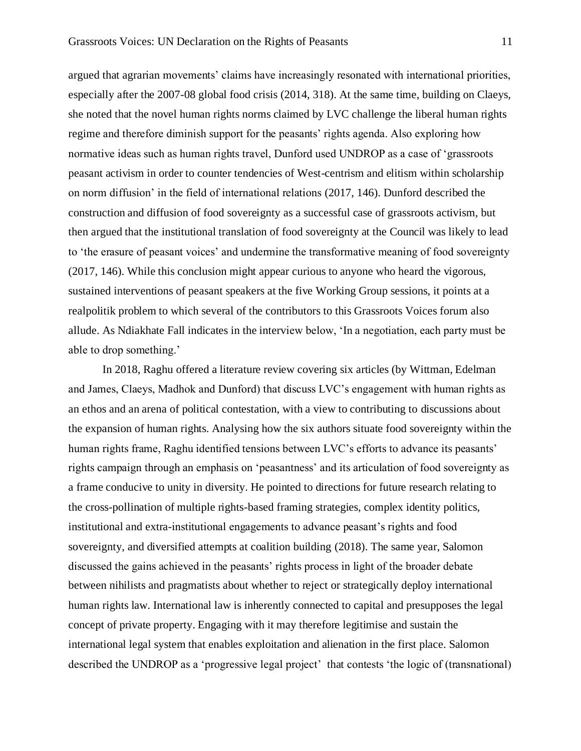argued that agrarian movements' claims have increasingly resonated with international priorities, especially after the 2007-08 global food crisis (2014, 318). At the same time, building on Claeys, she noted that the novel human rights norms claimed by LVC challenge the liberal human rights regime and therefore diminish support for the peasants' rights agenda. Also exploring how normative ideas such as human rights travel, Dunford used UNDROP as a case of 'grassroots peasant activism in order to counter tendencies of West-centrism and elitism within scholarship on norm diffusion' in the field of international relations (2017, 146). Dunford described the construction and diffusion of food sovereignty as a successful case of grassroots activism, but then argued that the institutional translation of food sovereignty at the Council was likely to lead to 'the erasure of peasant voices' and undermine the transformative meaning of food sovereignty (2017, 146). While this conclusion might appear curious to anyone who heard the vigorous, sustained interventions of peasant speakers at the five Working Group sessions, it points at a realpolitik problem to which several of the contributors to this Grassroots Voices forum also allude. As Ndiakhate Fall indicates in the interview below, 'In a negotiation, each party must be able to drop something.'

In 2018, Raghu offered a literature review covering six articles (by Wittman, Edelman and James, Claeys, Madhok and Dunford) that discuss LVC's engagement with human rights as an ethos and an arena of political contestation, with a view to contributing to discussions about the expansion of human rights. Analysing how the six authors situate food sovereignty within the human rights frame, Raghu identified tensions between LVC's efforts to advance its peasants' rights campaign through an emphasis on 'peasantness' and its articulation of food sovereignty as a frame conducive to unity in diversity. He pointed to directions for future research relating to the cross-pollination of multiple rights-based framing strategies, complex identity politics, institutional and extra-institutional engagements to advance peasant's rights and food sovereignty, and diversified attempts at coalition building (2018). The same year, Salomon discussed the gains achieved in the peasants' rights process in light of the broader debate between nihilists and pragmatists about whether to reject or strategically deploy international human rights law. International law is inherently connected to capital and presupposes the legal concept of private property. Engaging with it may therefore legitimise and sustain the international legal system that enables exploitation and alienation in the first place. Salomon described the UNDROP as a 'progressive legal project' that contests 'the logic of (transnational)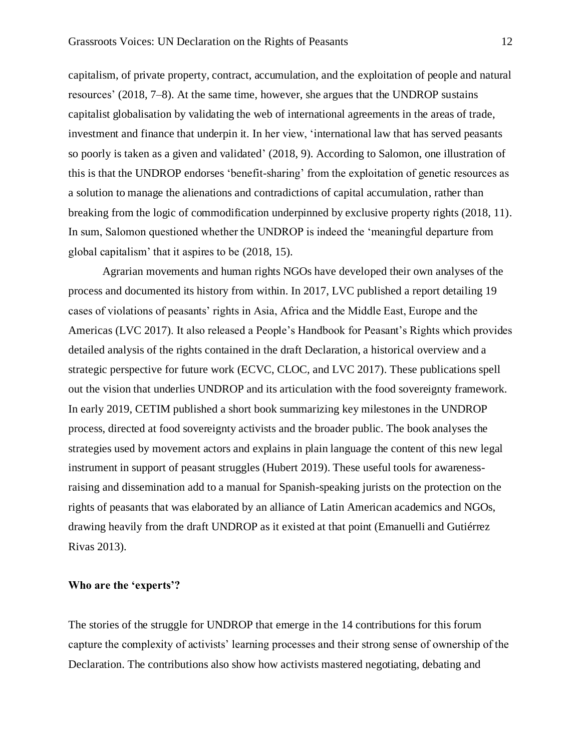capitalism, of private property, contract, accumulation, and the exploitation of people and natural resources' (2018, 7–8). At the same time, however, she argues that the UNDROP sustains capitalist globalisation by validating the web of international agreements in the areas of trade, investment and finance that underpin it. In her view, 'international law that has served peasants so poorly is taken as a given and validated' (2018, 9). According to Salomon, one illustration of this is that the UNDROP endorses 'benefit-sharing' from the exploitation of genetic resources as a solution to manage the alienations and contradictions of capital accumulation, rather than breaking from the logic of commodification underpinned by exclusive property rights (2018, 11). In sum, Salomon questioned whether the UNDROP is indeed the 'meaningful departure from global capitalism' that it aspires to be (2018, 15).

Agrarian movements and human rights NGOs have developed their own analyses of the process and documented its history from within. In 2017, LVC published a report detailing 19 cases of violations of peasants' rights in Asia, Africa and the Middle East, Europe and the Americas (LVC 2017). It also released a People's Handbook for Peasant's Rights which provides detailed analysis of the rights contained in the draft Declaration, a historical overview and a strategic perspective for future work (ECVC, CLOC, and LVC 2017). These publications spell out the vision that underlies UNDROP and its articulation with the food sovereignty framework. In early 2019, CETIM published a short book summarizing key milestones in the UNDROP process, directed at food sovereignty activists and the broader public. The book analyses the strategies used by movement actors and explains in plain language the content of this new legal instrument in support of peasant struggles (Hubert 2019). These useful tools for awarenessraising and dissemination add to a manual for Spanish-speaking jurists on the protection on the rights of peasants that was elaborated by an alliance of Latin American academics and NGOs, drawing heavily from the draft UNDROP as it existed at that point (Emanuelli and Gutiérrez Rivas 2013).

## **Who are the 'experts'?**

The stories of the struggle for UNDROP that emerge in the 14 contributions for this forum capture the complexity of activists' learning processes and their strong sense of ownership of the Declaration. The contributions also show how activists mastered negotiating, debating and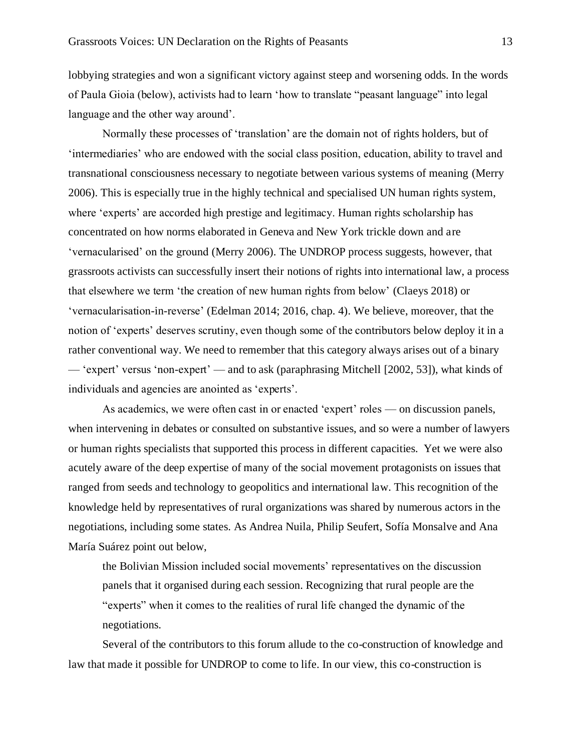lobbying strategies and won a significant victory against steep and worsening odds. In the words of Paula Gioia (below), activists had to learn 'how to translate "peasant language" into legal language and the other way around'.

Normally these processes of 'translation' are the domain not of rights holders, but of 'intermediaries' who are endowed with the social class position, education, ability to travel and transnational consciousness necessary to negotiate between various systems of meaning (Merry 2006). This is especially true in the highly technical and specialised UN human rights system, where 'experts' are accorded high prestige and legitimacy. Human rights scholarship has concentrated on how norms elaborated in Geneva and New York trickle down and are 'vernacularised' on the ground (Merry 2006). The UNDROP process suggests, however, that grassroots activists can successfully insert their notions of rights into international law, a process that elsewhere we term 'the creation of new human rights from below' (Claeys 2018) or 'vernacularisation-in-reverse' (Edelman 2014; 2016, chap. 4). We believe, moreover, that the notion of 'experts' deserves scrutiny, even though some of the contributors below deploy it in a rather conventional way. We need to remember that this category always arises out of a binary — 'expert' versus 'non-expert' — and to ask (paraphrasing Mitchell [2002, 53]), what kinds of individuals and agencies are anointed as 'experts'.

As academics, we were often cast in or enacted 'expert' roles — on discussion panels, when intervening in debates or consulted on substantive issues, and so were a number of lawyers or human rights specialists that supported this process in different capacities. Yet we were also acutely aware of the deep expertise of many of the social movement protagonists on issues that ranged from seeds and technology to geopolitics and international law. This recognition of the knowledge held by representatives of rural organizations was shared by numerous actors in the negotiations, including some states. As Andrea Nuila, Philip Seufert, Sofía Monsalve and Ana María Suárez point out below,

the Bolivian Mission included social movements' representatives on the discussion panels that it organised during each session. Recognizing that rural people are the "experts" when it comes to the realities of rural life changed the dynamic of the negotiations.

Several of the contributors to this forum allude to the co-construction of knowledge and law that made it possible for UNDROP to come to life. In our view, this co-construction is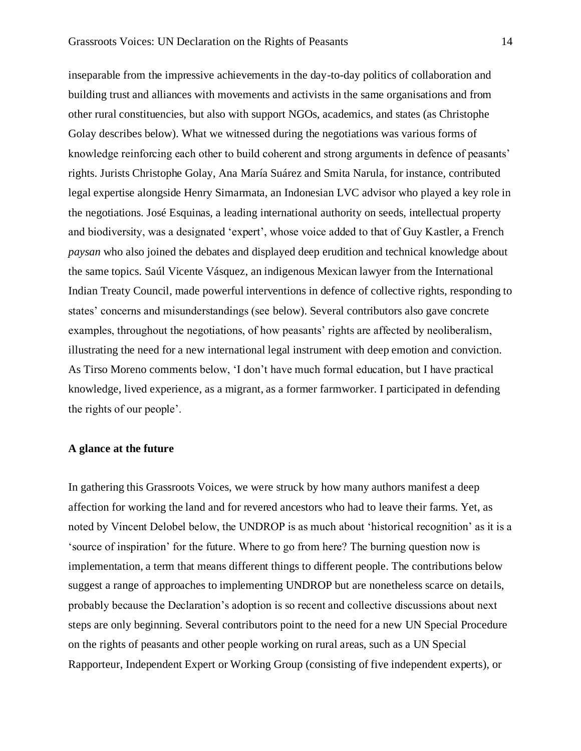inseparable from the impressive achievements in the day-to-day politics of collaboration and building trust and alliances with movements and activists in the same organisations and from other rural constituencies, but also with support NGOs, academics, and states (as Christophe Golay describes below). What we witnessed during the negotiations was various forms of knowledge reinforcing each other to build coherent and strong arguments in defence of peasants' rights. Jurists Christophe Golay, Ana María Suárez and Smita Narula, for instance, contributed legal expertise alongside Henry Simarmata, an Indonesian LVC advisor who played a key role in the negotiations. José Esquinas, a leading international authority on seeds, intellectual property and biodiversity, was a designated 'expert', whose voice added to that of Guy Kastler, a French *paysan* who also joined the debates and displayed deep erudition and technical knowledge about the same topics. Saúl Vicente Vásquez, an indigenous Mexican lawyer from the International Indian Treaty Council, made powerful interventions in defence of collective rights, responding to states' concerns and misunderstandings (see below). Several contributors also gave concrete examples, throughout the negotiations, of how peasants' rights are affected by neoliberalism, illustrating the need for a new international legal instrument with deep emotion and conviction. As Tirso Moreno comments below, 'I don't have much formal education, but I have practical knowledge, lived experience, as a migrant, as a former farmworker. I participated in defending the rights of our people'.

#### **A glance at the future**

In gathering this Grassroots Voices, we were struck by how many authors manifest a deep affection for working the land and for revered ancestors who had to leave their farms. Yet, as noted by Vincent Delobel below, the UNDROP is as much about 'historical recognition' as it is a 'source of inspiration' for the future. Where to go from here? The burning question now is implementation, a term that means different things to different people. The contributions below suggest a range of approaches to implementing UNDROP but are nonetheless scarce on details, probably because the Declaration's adoption is so recent and collective discussions about next steps are only beginning. Several contributors point to the need for a new UN Special Procedure on the rights of peasants and other people working on rural areas, such as a UN Special Rapporteur, Independent Expert or Working Group (consisting of five independent experts), or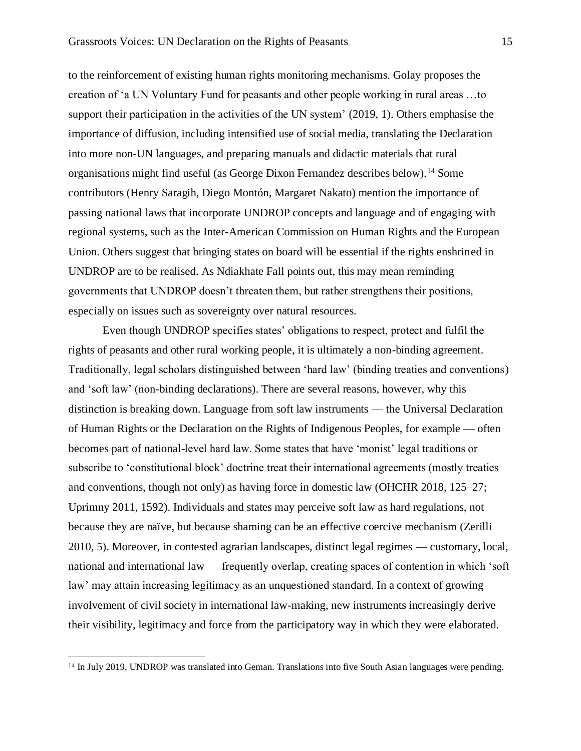to the reinforcement of existing human rights monitoring mechanisms. Golay proposes the creation of 'a UN Voluntary Fund for peasants and other people working in rural areas …to support their participation in the activities of the UN system' (2019, 1). Others emphasise the importance of diffusion, including intensified use of social media, translating the Declaration into more non-UN languages, and preparing manuals and didactic materials that rural organisations might find useful (as George Dixon Fernandez describes below).<sup>14</sup> Some contributors (Henry Saragih, Diego Montón, Margaret Nakato) mention the importance of passing national laws that incorporate UNDROP concepts and language and of engaging with regional systems, such as the Inter-American Commission on Human Rights and the European Union. Others suggest that bringing states on board will be essential if the rights enshrined in UNDROP are to be realised. As Ndiakhate Fall points out, this may mean reminding governments that UNDROP doesn't threaten them, but rather strengthens their positions, especially on issues such as sovereignty over natural resources.

Even though UNDROP specifies states' obligations to respect, protect and fulfil the rights of peasants and other rural working people, it is ultimately a non-binding agreement. Traditionally, legal scholars distinguished between 'hard law' (binding treaties and conventions) and 'soft law' (non-binding declarations). There are several reasons, however, why this distinction is breaking down. Language from soft law instruments — the Universal Declaration of Human Rights or the Declaration on the Rights of Indigenous Peoples, for example — often becomes part of national-level hard law. Some states that have 'monist' legal traditions or subscribe to 'constitutional block' doctrine treat their international agreements (mostly treaties and conventions, though not only) as having force in domestic law (OHCHR 2018, 125–27; Uprimny 2011, 1592). Individuals and states may perceive soft law as hard regulations, not because they are naïve, but because shaming can be an effective coercive mechanism (Zerilli 2010, 5). Moreover, in contested agrarian landscapes, distinct legal regimes — customary, local, national and international law — frequently overlap, creating spaces of contention in which 'soft law' may attain increasing legitimacy as an unquestioned standard. In a context of growing involvement of civil society in international law-making, new instruments increasingly derive their visibility, legitimacy and force from the participatory way in which they were elaborated.

<sup>&</sup>lt;sup>14</sup> In July 2019, UNDROP was translated into Geman. Translations into five South Asian languages were pending.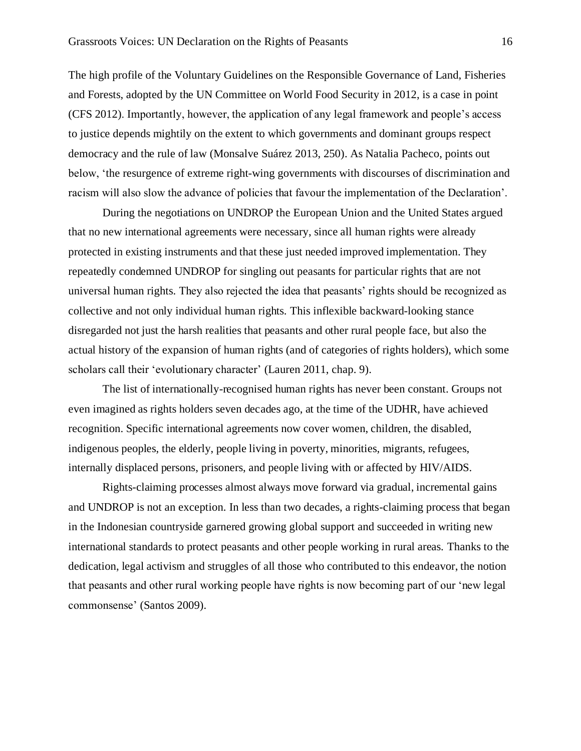The high profile of the Voluntary Guidelines on the Responsible Governance of Land, Fisheries and Forests, adopted by the UN Committee on World Food Security in 2012, is a case in point (CFS 2012). Importantly, however, the application of any legal framework and people's access to justice depends mightily on the extent to which governments and dominant groups respect democracy and the rule of law (Monsalve Suárez 2013, 250). As Natalia Pacheco, points out below, 'the resurgence of extreme right-wing governments with discourses of discrimination and racism will also slow the advance of policies that favour the implementation of the Declaration'.

During the negotiations on UNDROP the European Union and the United States argued that no new international agreements were necessary, since all human rights were already protected in existing instruments and that these just needed improved implementation. They repeatedly condemned UNDROP for singling out peasants for particular rights that are not universal human rights. They also rejected the idea that peasants' rights should be recognized as collective and not only individual human rights. This inflexible backward-looking stance disregarded not just the harsh realities that peasants and other rural people face, but also the actual history of the expansion of human rights (and of categories of rights holders), which some scholars call their 'evolutionary character' (Lauren 2011, chap. 9).

The list of internationally-recognised human rights has never been constant. Groups not even imagined as rights holders seven decades ago, at the time of the UDHR, have achieved recognition. Specific international agreements now cover women, children, the disabled, indigenous peoples, the elderly, people living in poverty, minorities, migrants, refugees, internally displaced persons, prisoners, and people living with or affected by HIV/AIDS.

Rights-claiming processes almost always move forward via gradual, incremental gains and UNDROP is not an exception. In less than two decades, a rights-claiming process that began in the Indonesian countryside garnered growing global support and succeeded in writing new international standards to protect peasants and other people working in rural areas. Thanks to the dedication, legal activism and struggles of all those who contributed to this endeavor, the notion that peasants and other rural working people have rights is now becoming part of our 'new legal commonsense' (Santos 2009).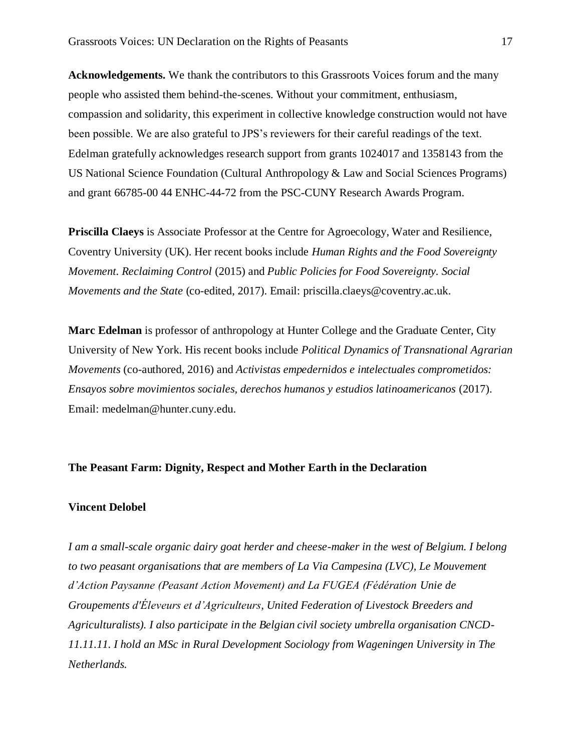**Acknowledgements.** We thank the contributors to this Grassroots Voices forum and the many people who assisted them behind-the-scenes. Without your commitment, enthusiasm, compassion and solidarity, this experiment in collective knowledge construction would not have been possible. We are also grateful to JPS's reviewers for their careful readings of the text. Edelman gratefully acknowledges research support from grants 1024017 and 1358143 from the US National Science Foundation (Cultural Anthropology & Law and Social Sciences Programs) and grant 66785-00 44 ENHC-44-72 from the PSC-CUNY Research Awards Program.

**Priscilla Claeys** is Associate Professor at the Centre for Agroecology, Water and Resilience, Coventry University (UK). Her recent books include *Human Rights and the Food Sovereignty Movement. Reclaiming Control* (2015) and *Public Policies for Food Sovereignty. Social Movements and the State* (co-edited, 2017). Email: priscilla.claeys@coventry.ac.uk.

**Marc Edelman** is professor of anthropology at Hunter College and the Graduate Center, City University of New York. His recent books include *Political Dynamics of Transnational Agrarian Movements* (co-authored, 2016) and *Activistas empedernidos e intelectuales comprometidos: Ensayos sobre movimientos sociales, derechos humanos y estudios latinoamericanos* (2017). Email: medelman@hunter.cuny.edu.

## **The Peasant Farm: Dignity, Respect and Mother Earth in the Declaration**

## **Vincent Delobel**

*I am a small-scale organic dairy goat herder and cheese-maker in the west of Belgium. I belong to two peasant organisations that are members of La Via Campesina (LVC), Le Mouvement d'Action Paysanne (Peasant Action Movement) and La FUGEA (Fédération Unie de Groupements d'Éleveurs et d'Agriculteurs, United Federation of Livestock Breeders and Agriculturalists). I also participate in the Belgian civil society umbrella organisation CNCD-11.11.11. I hold an MSc in Rural Development Sociology from Wageningen University in The Netherlands.*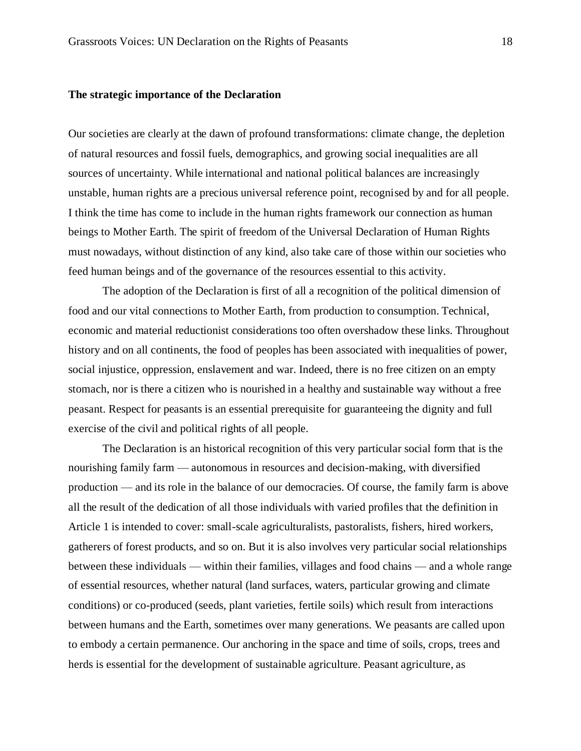## **The strategic importance of the Declaration**

Our societies are clearly at the dawn of profound transformations: climate change, the depletion of natural resources and fossil fuels, demographics, and growing social inequalities are all sources of uncertainty. While international and national political balances are increasingly unstable, human rights are a precious universal reference point, recognised by and for all people. I think the time has come to include in the human rights framework our connection as human beings to Mother Earth. The spirit of freedom of the Universal Declaration of Human Rights must nowadays, without distinction of any kind, also take care of those within our societies who feed human beings and of the governance of the resources essential to this activity.

The adoption of the Declaration is first of all a recognition of the political dimension of food and our vital connections to Mother Earth, from production to consumption. Technical, economic and material reductionist considerations too often overshadow these links. Throughout history and on all continents, the food of peoples has been associated with inequalities of power, social injustice, oppression, enslavement and war. Indeed, there is no free citizen on an empty stomach, nor is there a citizen who is nourished in a healthy and sustainable way without a free peasant. Respect for peasants is an essential prerequisite for guaranteeing the dignity and full exercise of the civil and political rights of all people.

The Declaration is an historical recognition of this very particular social form that is the nourishing family farm — autonomous in resources and decision-making, with diversified production — and its role in the balance of our democracies. Of course, the family farm is above all the result of the dedication of all those individuals with varied profiles that the definition in Article 1 is intended to cover: small-scale agriculturalists, pastoralists, fishers, hired workers, gatherers of forest products, and so on. But it is also involves very particular social relationships between these individuals — within their families, villages and food chains — and a whole range of essential resources, whether natural (land surfaces, waters, particular growing and climate conditions) or co-produced (seeds, plant varieties, fertile soils) which result from interactions between humans and the Earth, sometimes over many generations. We peasants are called upon to embody a certain permanence. Our anchoring in the space and time of soils, crops, trees and herds is essential for the development of sustainable agriculture. Peasant agriculture, as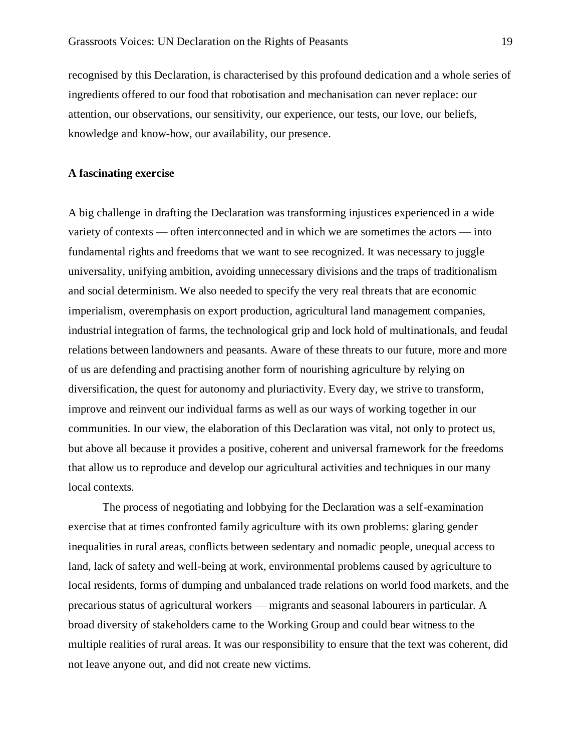recognised by this Declaration, is characterised by this profound dedication and a whole series of ingredients offered to our food that robotisation and mechanisation can never replace: our attention, our observations, our sensitivity, our experience, our tests, our love, our beliefs, knowledge and know-how, our availability, our presence.

#### **A fascinating exercise**

A big challenge in drafting the Declaration was transforming injustices experienced in a wide variety of contexts — often interconnected and in which we are sometimes the actors — into fundamental rights and freedoms that we want to see recognized. It was necessary to juggle universality, unifying ambition, avoiding unnecessary divisions and the traps of traditionalism and social determinism. We also needed to specify the very real threats that are economic imperialism, overemphasis on export production, agricultural land management companies, industrial integration of farms, the technological grip and lock hold of multinationals, and feudal relations between landowners and peasants. Aware of these threats to our future, more and more of us are defending and practising another form of nourishing agriculture by relying on diversification, the quest for autonomy and pluriactivity. Every day, we strive to transform, improve and reinvent our individual farms as well as our ways of working together in our communities. In our view, the elaboration of this Declaration was vital, not only to protect us, but above all because it provides a positive, coherent and universal framework for the freedoms that allow us to reproduce and develop our agricultural activities and techniques in our many local contexts.

The process of negotiating and lobbying for the Declaration was a self-examination exercise that at times confronted family agriculture with its own problems: glaring gender inequalities in rural areas, conflicts between sedentary and nomadic people, unequal access to land, lack of safety and well-being at work, environmental problems caused by agriculture to local residents, forms of dumping and unbalanced trade relations on world food markets, and the precarious status of agricultural workers — migrants and seasonal labourers in particular. A broad diversity of stakeholders came to the Working Group and could bear witness to the multiple realities of rural areas. It was our responsibility to ensure that the text was coherent, did not leave anyone out, and did not create new victims.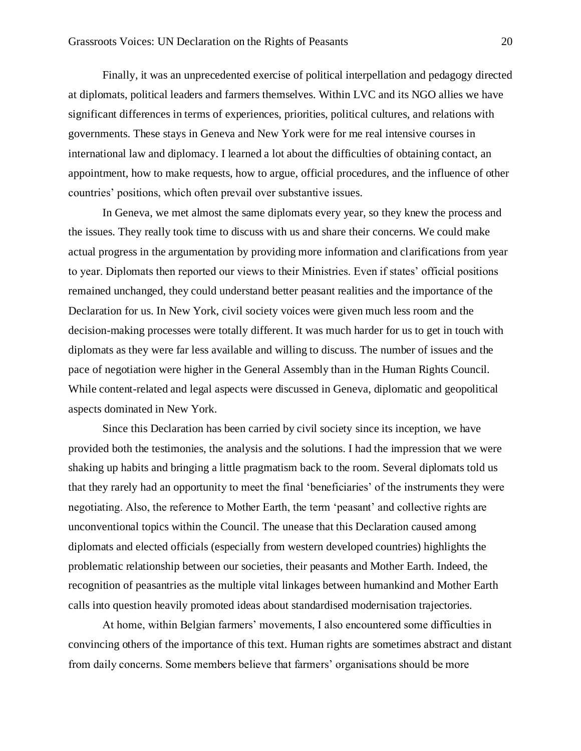Finally, it was an unprecedented exercise of political interpellation and pedagogy directed at diplomats, political leaders and farmers themselves. Within LVC and its NGO allies we have significant differences in terms of experiences, priorities, political cultures, and relations with governments. These stays in Geneva and New York were for me real intensive courses in international law and diplomacy. I learned a lot about the difficulties of obtaining contact, an appointment, how to make requests, how to argue, official procedures, and the influence of other countries' positions, which often prevail over substantive issues.

In Geneva, we met almost the same diplomats every year, so they knew the process and the issues. They really took time to discuss with us and share their concerns. We could make actual progress in the argumentation by providing more information and clarifications from year to year. Diplomats then reported our views to their Ministries. Even if states' official positions remained unchanged, they could understand better peasant realities and the importance of the Declaration for us. In New York, civil society voices were given much less room and the decision-making processes were totally different. It was much harder for us to get in touch with diplomats as they were far less available and willing to discuss. The number of issues and the pace of negotiation were higher in the General Assembly than in the Human Rights Council. While content-related and legal aspects were discussed in Geneva, diplomatic and geopolitical aspects dominated in New York.

Since this Declaration has been carried by civil society since its inception, we have provided both the testimonies, the analysis and the solutions. I had the impression that we were shaking up habits and bringing a little pragmatism back to the room. Several diplomats told us that they rarely had an opportunity to meet the final 'beneficiaries' of the instruments they were negotiating. Also, the reference to Mother Earth, the term 'peasant' and collective rights are unconventional topics within the Council. The unease that this Declaration caused among diplomats and elected officials (especially from western developed countries) highlights the problematic relationship between our societies, their peasants and Mother Earth. Indeed, the recognition of peasantries as the multiple vital linkages between humankind and Mother Earth calls into question heavily promoted ideas about standardised modernisation trajectories.

At home, within Belgian farmers' movements, I also encountered some difficulties in convincing others of the importance of this text. Human rights are sometimes abstract and distant from daily concerns. Some members believe that farmers' organisations should be more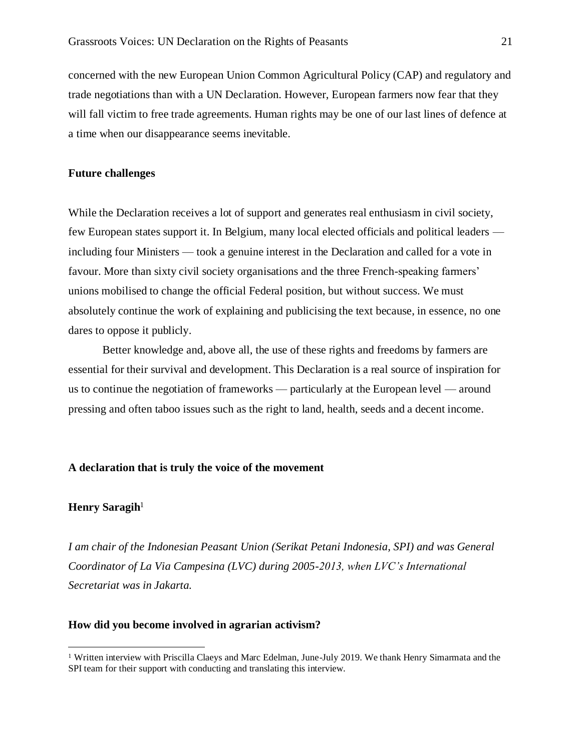concerned with the new European Union Common Agricultural Policy (CAP) and regulatory and trade negotiations than with a UN Declaration. However, European farmers now fear that they will fall victim to free trade agreements. Human rights may be one of our last lines of defence at a time when our disappearance seems inevitable.

#### **Future challenges**

While the Declaration receives a lot of support and generates real enthusiasm in civil society, few European states support it. In Belgium, many local elected officials and political leaders including four Ministers — took a genuine interest in the Declaration and called for a vote in favour. More than sixty civil society organisations and the three French-speaking farmers' unions mobilised to change the official Federal position, but without success. We must absolutely continue the work of explaining and publicising the text because, in essence, no one dares to oppose it publicly.

Better knowledge and, above all, the use of these rights and freedoms by farmers are essential for their survival and development. This Declaration is a real source of inspiration for us to continue the negotiation of frameworks — particularly at the European level — around pressing and often taboo issues such as the right to land, health, seeds and a decent income.

#### **A declaration that is truly the voice of the movement**

#### **Henry Saragih**<sup>1</sup>

*I am chair of the Indonesian Peasant Union (Serikat Petani Indonesia, SPI) and was General Coordinator of La Via Campesina (LVC) during 2005-2013, when LVC's International Secretariat was in Jakarta.* 

#### **How did you become involved in agrarian activism?**

<sup>1</sup> Written interview with Priscilla Claeys and Marc Edelman, June-July 2019. We thank Henry Simarmata and the SPI team for their support with conducting and translating this interview.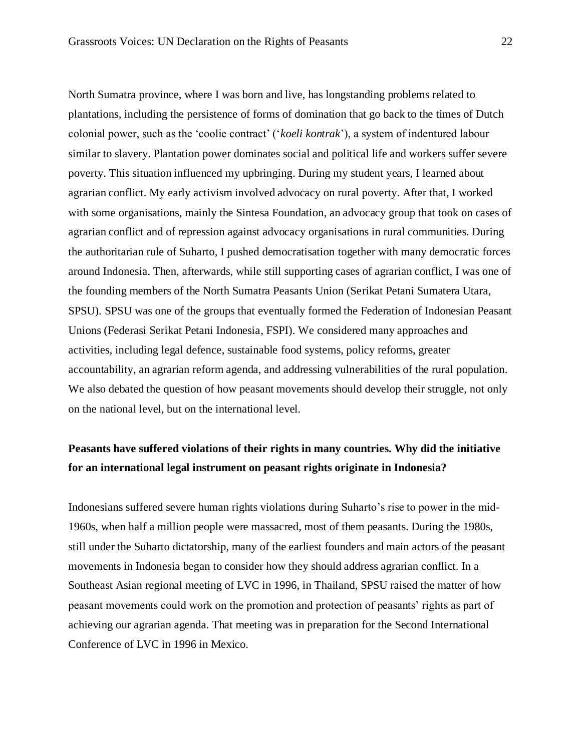North Sumatra province, where I was born and live, has longstanding problems related to plantations, including the persistence of forms of domination that go back to the times of Dutch colonial power, such as the 'coolie contract' ('*koeli kontrak*'), a system of indentured labour similar to slavery. Plantation power dominates social and political life and workers suffer severe poverty. This situation influenced my upbringing. During my student years, I learned about agrarian conflict. My early activism involved advocacy on rural poverty. After that, I worked with some organisations, mainly the Sintesa Foundation, an advocacy group that took on cases of agrarian conflict and of repression against advocacy organisations in rural communities. During the authoritarian rule of Suharto, I pushed democratisation together with many democratic forces around Indonesia. Then, afterwards, while still supporting cases of agrarian conflict, I was one of the founding members of the North Sumatra Peasants Union (Serikat Petani Sumatera Utara, SPSU). SPSU was one of the groups that eventually formed the Federation of Indonesian Peasant Unions (Federasi Serikat Petani Indonesia, FSPI). We considered many approaches and activities, including legal defence, sustainable food systems, policy reforms, greater accountability, an agrarian reform agenda, and addressing vulnerabilities of the rural population. We also debated the question of how peasant movements should develop their struggle, not only on the national level, but on the international level.

# **Peasants have suffered violations of their rights in many countries. Why did the initiative for an international legal instrument on peasant rights originate in Indonesia?**

Indonesians suffered severe human rights violations during Suharto's rise to power in the mid-1960s, when half a million people were massacred, most of them peasants. During the 1980s, still under the Suharto dictatorship, many of the earliest founders and main actors of the peasant movements in Indonesia began to consider how they should address agrarian conflict. In a Southeast Asian regional meeting of LVC in 1996, in Thailand, SPSU raised the matter of how peasant movements could work on the promotion and protection of peasants' rights as part of achieving our agrarian agenda. That meeting was in preparation for the Second International Conference of LVC in 1996 in Mexico.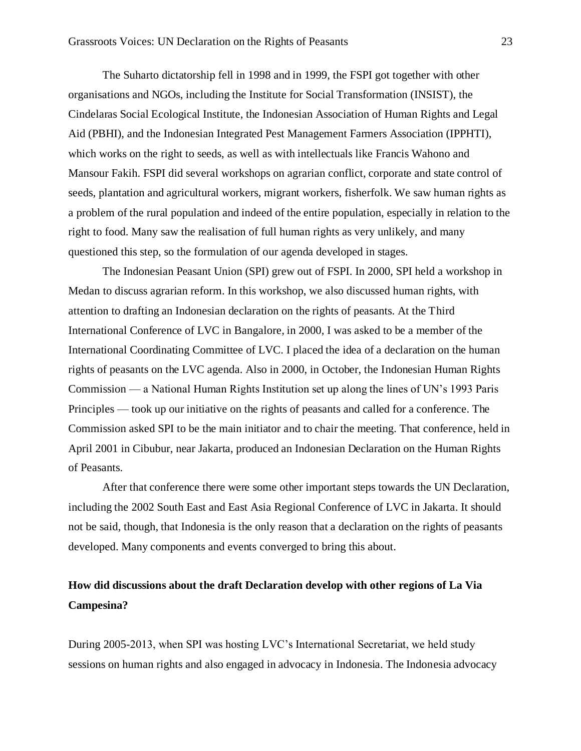The Suharto dictatorship fell in 1998 and in 1999, the FSPI got together with other organisations and NGOs, including the Institute for Social Transformation (INSIST), the Cindelaras Social Ecological Institute, the Indonesian Association of Human Rights and Legal Aid (PBHI), and the Indonesian Integrated Pest Management Farmers Association (IPPHTI), which works on the right to seeds, as well as with intellectuals like Francis Wahono and Mansour Fakih. FSPI did several workshops on agrarian conflict, corporate and state control of seeds, plantation and agricultural workers, migrant workers, fisherfolk. We saw human rights as a problem of the rural population and indeed of the entire population, especially in relation to the right to food. Many saw the realisation of full human rights as very unlikely, and many questioned this step, so the formulation of our agenda developed in stages.

The Indonesian Peasant Union (SPI) grew out of FSPI. In 2000, SPI held a workshop in Medan to discuss agrarian reform. In this workshop, we also discussed human rights, with attention to drafting an Indonesian declaration on the rights of peasants. At the Third International Conference of LVC in Bangalore, in 2000, I was asked to be a member of the International Coordinating Committee of LVC. I placed the idea of a declaration on the human rights of peasants on the LVC agenda. Also in 2000, in October, the Indonesian Human Rights Commission — a National Human Rights Institution set up along the lines of UN's 1993 Paris Principles — took up our initiative on the rights of peasants and called for a conference. The Commission asked SPI to be the main initiator and to chair the meeting. That conference, held in April 2001 in Cibubur, near Jakarta, produced an Indonesian Declaration on the Human Rights of Peasants.

After that conference there were some other important steps towards the UN Declaration, including the 2002 South East and East Asia Regional Conference of LVC in Jakarta. It should not be said, though, that Indonesia is the only reason that a declaration on the rights of peasants developed. Many components and events converged to bring this about.

# **How did discussions about the draft Declaration develop with other regions of La Via Campesina?**

During 2005-2013, when SPI was hosting LVC's International Secretariat, we held study sessions on human rights and also engaged in advocacy in Indonesia. The Indonesia advocacy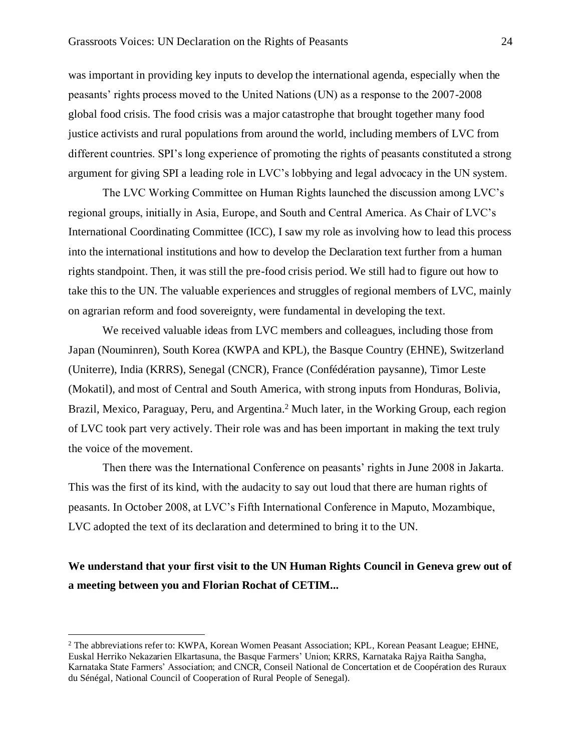was important in providing key inputs to develop the international agenda, especially when the peasants' rights process moved to the United Nations (UN) as a response to the 2007-2008 global food crisis. The food crisis was a major catastrophe that brought together many food justice activists and rural populations from around the world, including members of LVC from different countries. SPI's long experience of promoting the rights of peasants constituted a strong argument for giving SPI a leading role in LVC's lobbying and legal advocacy in the UN system.

The LVC Working Committee on Human Rights launched the discussion among LVC's regional groups, initially in Asia, Europe, and South and Central America. As Chair of LVC's International Coordinating Committee (ICC), I saw my role as involving how to lead this process into the international institutions and how to develop the Declaration text further from a human rights standpoint. Then, it was still the pre-food crisis period. We still had to figure out how to take this to the UN. The valuable experiences and struggles of regional members of LVC, mainly on agrarian reform and food sovereignty, were fundamental in developing the text.

We received valuable ideas from LVC members and colleagues, including those from Japan (Nouminren), South Korea (KWPA and KPL), the Basque Country (EHNE), Switzerland (Uniterre), India (KRRS), Senegal (CNCR), France (Confédération paysanne), Timor Leste (Mokatil), and most of Central and South America, with strong inputs from Honduras, Bolivia, Brazil, Mexico, Paraguay, Peru, and Argentina.<sup>2</sup> Much later, in the Working Group, each region of LVC took part very actively. Their role was and has been important in making the text truly the voice of the movement.

Then there was the International Conference on peasants' rights in June 2008 in Jakarta. This was the first of its kind, with the audacity to say out loud that there are human rights of peasants. In October 2008, at LVC's Fifth International Conference in Maputo, Mozambique, LVC adopted the text of its declaration and determined to bring it to the UN.

# **We understand that your first visit to the UN Human Rights Council in Geneva grew out of a meeting between you and Florian Rochat of CETIM...**

<sup>2</sup> The abbreviations refer to: KWPA, Korean Women Peasant Association; KPL, Korean Peasant League; EHNE, Euskal Herriko Nekazarien Elkartasuna, the Basque Farmers' Union; KRRS, Karnataka Rajya Raitha Sangha, Karnataka State Farmers' Association; and CNCR, Conseil National de Concertation et de Coopération des Ruraux du Sénégal*,* National Council of Cooperation of Rural People of Senegal).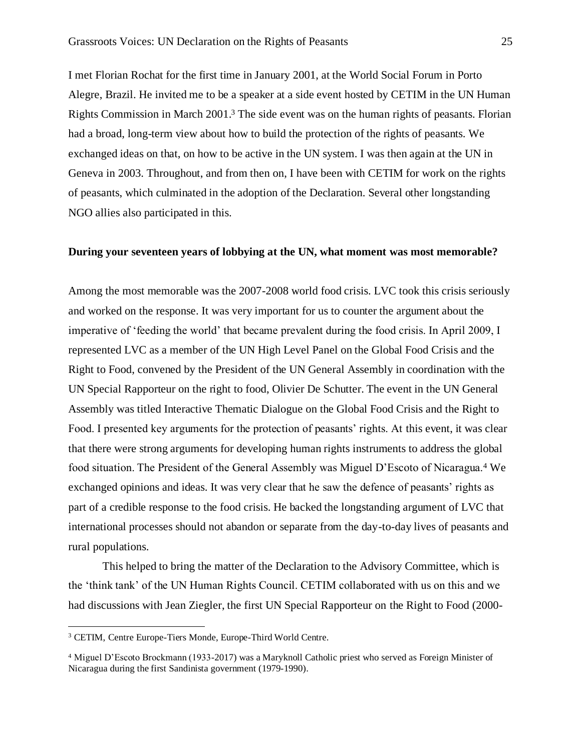I met Florian Rochat for the first time in January 2001, at the World Social Forum in Porto Alegre, Brazil. He invited me to be a speaker at a side event hosted by CETIM in the UN Human Rights Commission in March 2001.<sup>3</sup> The side event was on the human rights of peasants. Florian had a broad, long-term view about how to build the protection of the rights of peasants. We exchanged ideas on that, on how to be active in the UN system. I was then again at the UN in Geneva in 2003. Throughout, and from then on, I have been with CETIM for work on the rights of peasants, which culminated in the adoption of the Declaration. Several other longstanding NGO allies also participated in this.

#### **During your seventeen years of lobbying at the UN, what moment was most memorable?**

Among the most memorable was the 2007-2008 world food crisis. LVC took this crisis seriously and worked on the response. It was very important for us to counter the argument about the imperative of 'feeding the world' that became prevalent during the food crisis. In April 2009, I represented LVC as a member of the UN High Level Panel on the Global Food Crisis and the Right to Food, convened by the President of the UN General Assembly in coordination with the UN Special Rapporteur on the right to food, Olivier De Schutter. The event in the UN General Assembly was titled Interactive Thematic Dialogue on the Global Food Crisis and the Right to Food. I presented key arguments for the protection of peasants' rights. At this event, it was clear that there were strong arguments for developing human rights instruments to address the global food situation. The President of the General Assembly was Miguel D'Escoto of Nicaragua.<sup>4</sup> We exchanged opinions and ideas. It was very clear that he saw the defence of peasants' rights as part of a credible response to the food crisis. He backed the longstanding argument of LVC that international processes should not abandon or separate from the day-to-day lives of peasants and rural populations.

This helped to bring the matter of the Declaration to the Advisory Committee, which is the 'think tank' of the UN Human Rights Council. CETIM collaborated with us on this and we had discussions with Jean Ziegler, the first UN Special Rapporteur on the Right to Food (2000-

<sup>3</sup> CETIM, Centre Europe-Tiers Monde, Europe-Third World Centre.

<sup>4</sup> Miguel D'Escoto Brockmann (1933-2017) was a Maryknoll Catholic priest who served as Foreign Minister of Nicaragua during the first Sandinista government (1979-1990).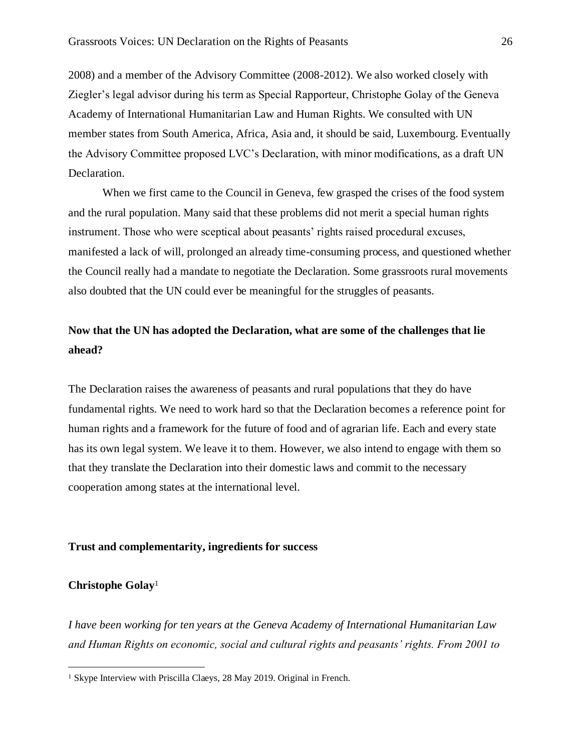2008) and a member of the Advisory Committee (2008-2012). We also worked closely with Ziegler's legal advisor during his term as Special Rapporteur, Christophe Golay of the Geneva Academy of International Humanitarian Law and Human Rights. We consulted with UN member states from South America, Africa, Asia and, it should be said, Luxembourg. Eventually the Advisory Committee proposed LVC's Declaration, with minor modifications, as a draft UN Declaration.

When we first came to the Council in Geneva, few grasped the crises of the food system and the rural population. Many said that these problems did not merit a special human rights instrument. Those who were sceptical about peasants' rights raised procedural excuses, manifested a lack of will, prolonged an already time-consuming process, and questioned whether the Council really had a mandate to negotiate the Declaration. Some grassroots rural movements also doubted that the UN could ever be meaningful for the struggles of peasants.

# **Now that the UN has adopted the Declaration, what are some of the challenges that lie ahead?**

The Declaration raises the awareness of peasants and rural populations that they do have fundamental rights. We need to work hard so that the Declaration becomes a reference point for human rights and a framework for the future of food and of agrarian life. Each and every state has its own legal system. We leave it to them. However, we also intend to engage with them so that they translate the Declaration into their domestic laws and commit to the necessary cooperation among states at the international level.

#### **Trust and complementarity, ingredients for success**

#### **Christophe Golay**<sup>1</sup>

*I have been working for ten years at the Geneva Academy of International Humanitarian Law and Human Rights on economic, social and cultural rights and peasants' rights. From 2001 to* 

<sup>&</sup>lt;sup>1</sup> Skype Interview with Priscilla Claeys, 28 May 2019. Original in French.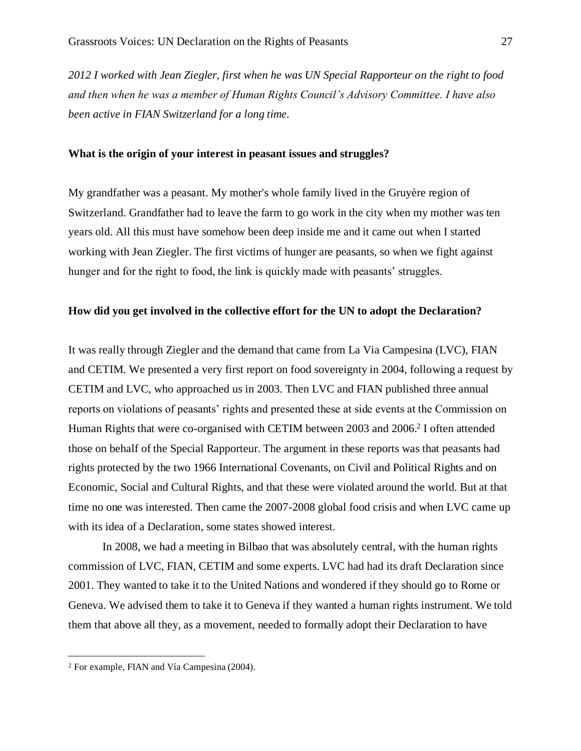*2012 I worked with Jean Ziegler, first when he was UN Special Rapporteur on the right to food and then when he was a member of Human Rights Council's Advisory Committee. I have also been active in FIAN Switzerland for a long time.*

#### **What is the origin of your interest in peasant issues and struggles?**

My grandfather was a peasant. My mother's whole family lived in the Gruyère region of Switzerland. Grandfather had to leave the farm to go work in the city when my mother was ten years old. All this must have somehow been deep inside me and it came out when I started working with Jean Ziegler. The first victims of hunger are peasants, so when we fight against hunger and for the right to food, the link is quickly made with peasants' struggles.

### **How did you get involved in the collective effort for the UN to adopt the Declaration?**

It was really through Ziegler and the demand that came from La Via Campesina (LVC), FIAN and CETIM. We presented a very first report on food sovereignty in 2004, following a request by CETIM and LVC, who approached us in 2003. Then LVC and FIAN published three annual reports on violations of peasants' rights and presented these at side events at the Commission on Human Rights that were co-organised with CETIM between 2003 and 2006.<sup>2</sup> I often attended those on behalf of the Special Rapporteur. The argument in these reports was that peasants had rights protected by the two 1966 International Covenants, on Civil and Political Rights and on Economic, Social and Cultural Rights, and that these were violated around the world. But at that time no one was interested. Then came the 2007-2008 global food crisis and when LVC came up with its idea of a Declaration, some states showed interest.

In 2008, we had a meeting in Bilbao that was absolutely central, with the human rights commission of LVC, FIAN, CETIM and some experts. LVC had had its draft Declaration since 2001. They wanted to take it to the United Nations and wondered if they should go to Rome or Geneva. We advised them to take it to Geneva if they wanted a human rights instrument. We told them that above all they, as a movement, needed to formally adopt their Declaration to have

<sup>2</sup> For example, FIAN and Vía Campesina (2004).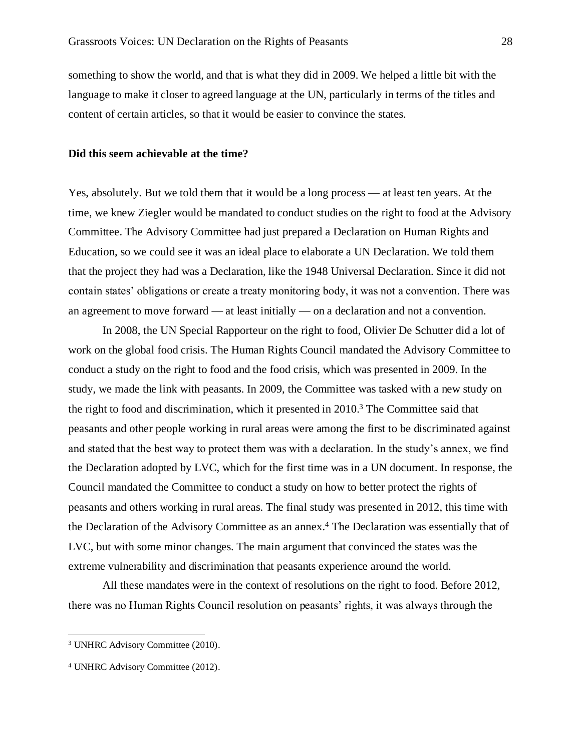something to show the world, and that is what they did in 2009. We helped a little bit with the language to make it closer to agreed language at the UN, particularly in terms of the titles and content of certain articles, so that it would be easier to convince the states.

#### **Did this seem achievable at the time?**

Yes, absolutely. But we told them that it would be a long process — at least ten years. At the time, we knew Ziegler would be mandated to conduct studies on the right to food at the Advisory Committee. The Advisory Committee had just prepared a Declaration on Human Rights and Education, so we could see it was an ideal place to elaborate a UN Declaration. We told them that the project they had was a Declaration, like the 1948 Universal Declaration. Since it did not contain states' obligations or create a treaty monitoring body, it was not a convention. There was an agreement to move forward — at least initially — on a declaration and not a convention.

In 2008, the UN Special Rapporteur on the right to food, Olivier De Schutter did a lot of work on the global food crisis. The Human Rights Council mandated the Advisory Committee to conduct a study on the right to food and the food crisis, which was presented in 2009. In the study, we made the link with peasants. In 2009, the Committee was tasked with a new study on the right to food and discrimination, which it presented in 2010.<sup>3</sup> The Committee said that peasants and other people working in rural areas were among the first to be discriminated against and stated that the best way to protect them was with a declaration. In the study's annex, we find the Declaration adopted by LVC, which for the first time was in a UN document. In response, the Council mandated the Committee to conduct a study on how to better protect the rights of peasants and others working in rural areas. The final study was presented in 2012, this time with the Declaration of the Advisory Committee as an annex.<sup>4</sup> The Declaration was essentially that of LVC, but with some minor changes. The main argument that convinced the states was the extreme vulnerability and discrimination that peasants experience around the world.

All these mandates were in the context of resolutions on the right to food. Before 2012, there was no Human Rights Council resolution on peasants' rights, it was always through the

<sup>3</sup> UNHRC Advisory Committee (2010).

<sup>4</sup> UNHRC Advisory Committee (2012).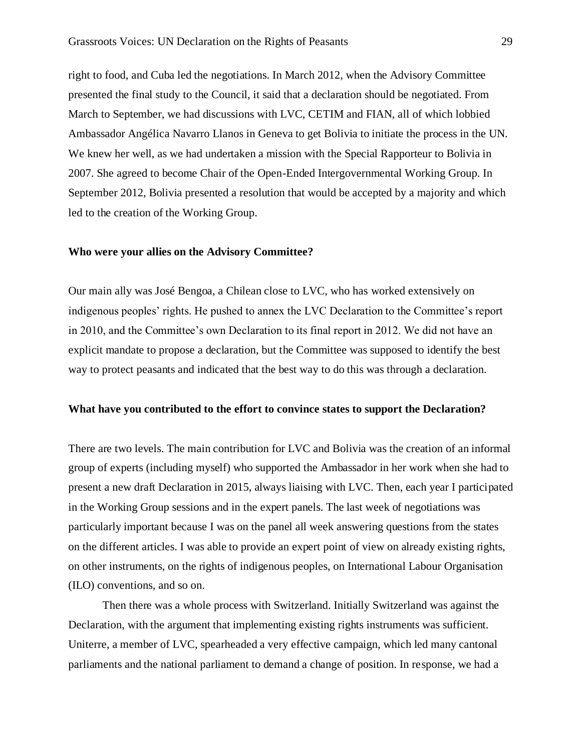right to food, and Cuba led the negotiations. In March 2012, when the Advisory Committee presented the final study to the Council, it said that a declaration should be negotiated. From March to September, we had discussions with LVC, CETIM and FIAN, all of which lobbied Ambassador Angélica Navarro Llanos in Geneva to get Bolivia to initiate the process in the UN. We knew her well, as we had undertaken a mission with the Special Rapporteur to Bolivia in 2007. She agreed to become Chair of the Open-Ended Intergovernmental Working Group. In September 2012, Bolivia presented a resolution that would be accepted by a majority and which led to the creation of the Working Group.

#### **Who were your allies on the Advisory Committee?**

Our main ally was José Bengoa, a Chilean close to LVC, who has worked extensively on indigenous peoples' rights. He pushed to annex the LVC Declaration to the Committee's report in 2010, and the Committee's own Declaration to its final report in 2012. We did not have an explicit mandate to propose a declaration, but the Committee was supposed to identify the best way to protect peasants and indicated that the best way to do this was through a declaration.

#### **What have you contributed to the effort to convince states to support the Declaration?**

There are two levels. The main contribution for LVC and Bolivia was the creation of an informal group of experts (including myself) who supported the Ambassador in her work when she had to present a new draft Declaration in 2015, always liaising with LVC. Then, each year I participated in the Working Group sessions and in the expert panels. The last week of negotiations was particularly important because I was on the panel all week answering questions from the states on the different articles. I was able to provide an expert point of view on already existing rights, on other instruments, on the rights of indigenous peoples, on International Labour Organisation (ILO) conventions, and so on.

Then there was a whole process with Switzerland. Initially Switzerland was against the Declaration, with the argument that implementing existing rights instruments was sufficient. Uniterre, a member of LVC, spearheaded a very effective campaign, which led many cantonal parliaments and the national parliament to demand a change of position. In response, we had a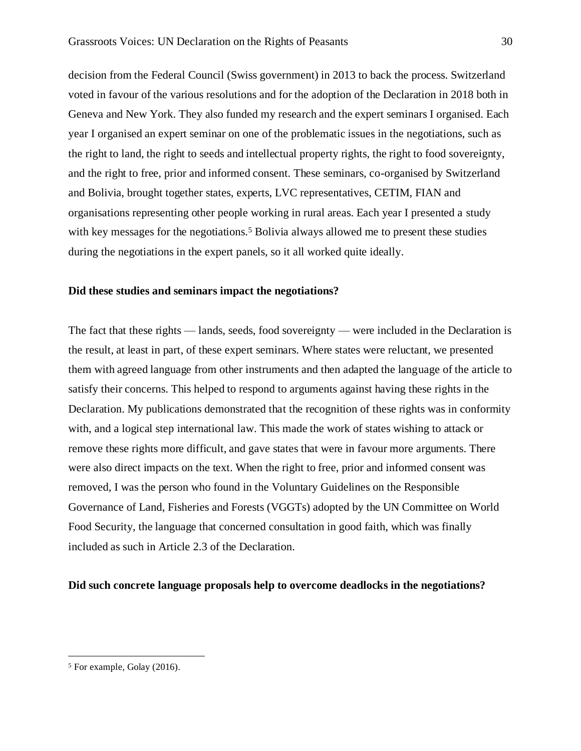decision from the Federal Council (Swiss government) in 2013 to back the process. Switzerland voted in favour of the various resolutions and for the adoption of the Declaration in 2018 both in Geneva and New York. They also funded my research and the expert seminars I organised. Each year I organised an expert seminar on one of the problematic issues in the negotiations, such as the right to land, the right to seeds and intellectual property rights, the right to food sovereignty, and the right to free, prior and informed consent. These seminars, co-organised by Switzerland and Bolivia, brought together states, experts, LVC representatives, CETIM, FIAN and organisations representing other people working in rural areas. Each year I presented a study with key messages for the negotiations.<sup>5</sup> Bolivia always allowed me to present these studies during the negotiations in the expert panels, so it all worked quite ideally.

#### **Did these studies and seminars impact the negotiations?**

The fact that these rights — lands, seeds, food sovereignty — were included in the Declaration is the result, at least in part, of these expert seminars. Where states were reluctant, we presented them with agreed language from other instruments and then adapted the language of the article to satisfy their concerns. This helped to respond to arguments against having these rights in the Declaration. My publications demonstrated that the recognition of these rights was in conformity with, and a logical step international law. This made the work of states wishing to attack or remove these rights more difficult, and gave states that were in favour more arguments. There were also direct impacts on the text. When the right to free, prior and informed consent was removed, I was the person who found in the Voluntary Guidelines on the Responsible Governance of Land, Fisheries and Forests (VGGTs) adopted by the UN Committee on World Food Security, the language that concerned consultation in good faith, which was finally included as such in Article 2.3 of the Declaration.

#### **Did such concrete language proposals help to overcome deadlocks in the negotiations?**

<sup>5</sup> For example, Golay (2016).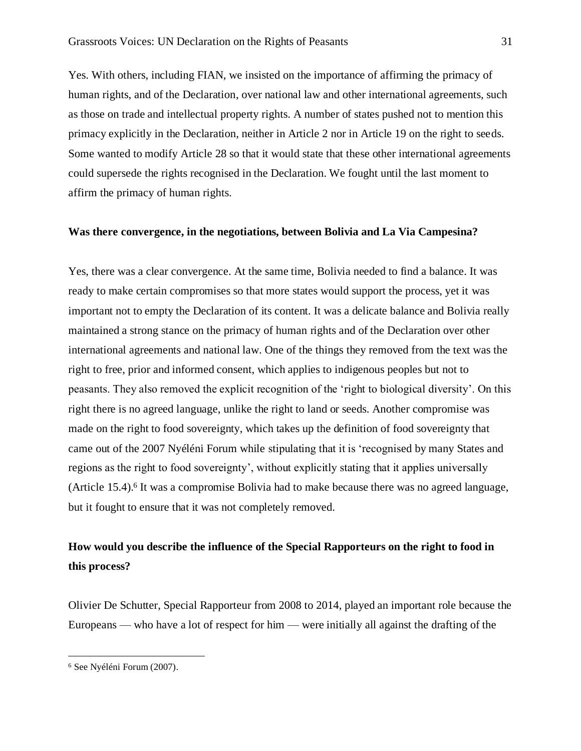Yes. With others, including FIAN, we insisted on the importance of affirming the primacy of human rights, and of the Declaration, over national law and other international agreements, such as those on trade and intellectual property rights. A number of states pushed not to mention this primacy explicitly in the Declaration, neither in Article 2 nor in Article 19 on the right to seeds. Some wanted to modify Article 28 so that it would state that these other international agreements could supersede the rights recognised in the Declaration. We fought until the last moment to affirm the primacy of human rights.

## **Was there convergence, in the negotiations, between Bolivia and La Via Campesina?**

Yes, there was a clear convergence. At the same time, Bolivia needed to find a balance. It was ready to make certain compromises so that more states would support the process, yet it was important not to empty the Declaration of its content. It was a delicate balance and Bolivia really maintained a strong stance on the primacy of human rights and of the Declaration over other international agreements and national law. One of the things they removed from the text was the right to free, prior and informed consent, which applies to indigenous peoples but not to peasants. They also removed the explicit recognition of the 'right to biological diversity'. On this right there is no agreed language, unlike the right to land or seeds. Another compromise was made on the right to food sovereignty, which takes up the definition of food sovereignty that came out of the 2007 Nyéléni Forum while stipulating that it is 'recognised by many States and regions as the right to food sovereignty', without explicitly stating that it applies universally (Article 15.4).<sup>6</sup> It was a compromise Bolivia had to make because there was no agreed language, but it fought to ensure that it was not completely removed.

# **How would you describe the influence of the Special Rapporteurs on the right to food in this process?**

Olivier De Schutter, Special Rapporteur from 2008 to 2014, played an important role because the Europeans — who have a lot of respect for him — were initially all against the drafting of the

<sup>6</sup> See Nyéléni Forum (2007).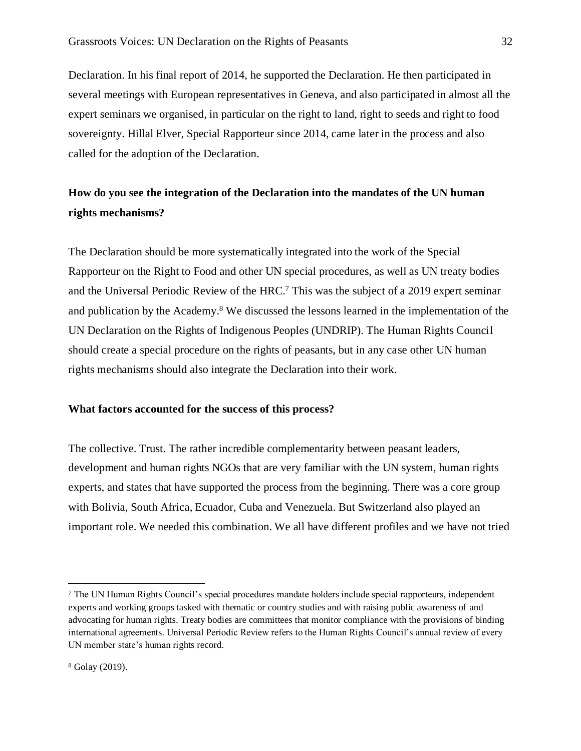Declaration. In his final report of 2014, he supported the Declaration. He then participated in several meetings with European representatives in Geneva, and also participated in almost all the expert seminars we organised, in particular on the right to land, right to seeds and right to food sovereignty. Hillal Elver, Special Rapporteur since 2014, came later in the process and also called for the adoption of the Declaration.

# **How do you see the integration of the Declaration into the mandates of the UN human rights mechanisms?**

The Declaration should be more systematically integrated into the work of the Special Rapporteur on the Right to Food and other UN special procedures, as well as UN treaty bodies and the Universal Periodic Review of the HRC.<sup>7</sup> This was the subject of a 2019 expert seminar and publication by the Academy.<sup>8</sup> We discussed the lessons learned in the implementation of the UN Declaration on the Rights of Indigenous Peoples (UNDRIP). The Human Rights Council should create a special procedure on the rights of peasants, but in any case other UN human rights mechanisms should also integrate the Declaration into their work.

## **What factors accounted for the success of this process?**

The collective. Trust. The rather incredible complementarity between peasant leaders, development and human rights NGOs that are very familiar with the UN system, human rights experts, and states that have supported the process from the beginning. There was a core group with Bolivia, South Africa, Ecuador, Cuba and Venezuela. But Switzerland also played an important role. We needed this combination. We all have different profiles and we have not tried

<sup>7</sup> The UN Human Rights Council's special procedures mandate holders include special rapporteurs, independent experts and working groups tasked with thematic or country studies and with raising public awareness of and advocating for human rights. Treaty bodies are committees that monitor compliance with the provisions of binding international agreements. Universal Periodic Review refers to the Human Rights Council's annual review of every UN member state's human rights record.

<sup>8</sup> Golay (2019).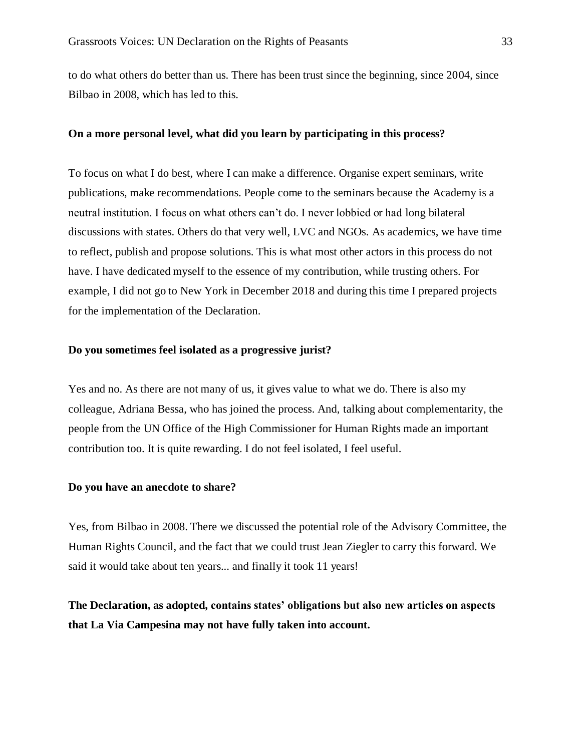to do what others do better than us. There has been trust since the beginning, since 2004, since Bilbao in 2008, which has led to this.

#### **On a more personal level, what did you learn by participating in this process?**

To focus on what I do best, where I can make a difference. Organise expert seminars, write publications, make recommendations. People come to the seminars because the Academy is a neutral institution. I focus on what others can't do. I never lobbied or had long bilateral discussions with states. Others do that very well, LVC and NGOs. As academics, we have time to reflect, publish and propose solutions. This is what most other actors in this process do not have. I have dedicated myself to the essence of my contribution, while trusting others. For example, I did not go to New York in December 2018 and during this time I prepared projects for the implementation of the Declaration.

#### **Do you sometimes feel isolated as a progressive jurist?**

Yes and no. As there are not many of us, it gives value to what we do. There is also my colleague, Adriana Bessa, who has joined the process. And, talking about complementarity, the people from the UN Office of the High Commissioner for Human Rights made an important contribution too. It is quite rewarding. I do not feel isolated, I feel useful.

#### **Do you have an anecdote to share?**

Yes, from Bilbao in 2008. There we discussed the potential role of the Advisory Committee, the Human Rights Council, and the fact that we could trust Jean Ziegler to carry this forward. We said it would take about ten years... and finally it took 11 years!

# **The Declaration, as adopted, contains states' obligations but also new articles on aspects that La Via Campesina may not have fully taken into account.**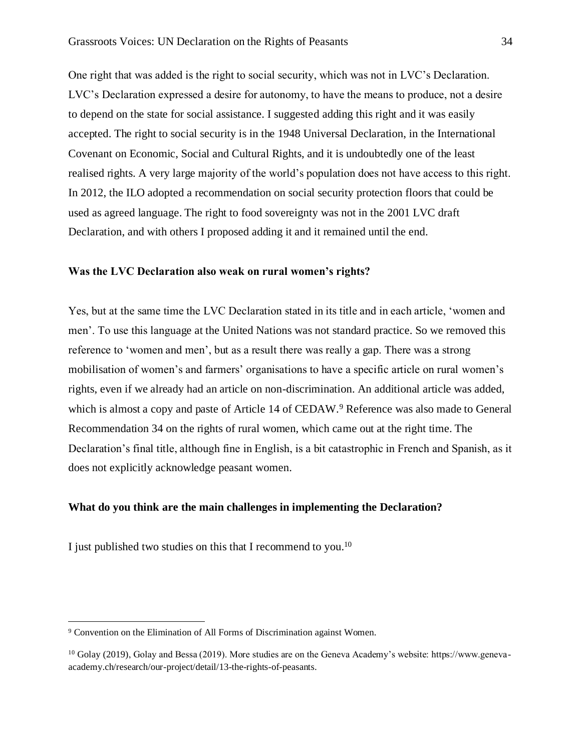One right that was added is the right to social security, which was not in LVC's Declaration. LVC's Declaration expressed a desire for autonomy, to have the means to produce, not a desire to depend on the state for social assistance. I suggested adding this right and it was easily accepted. The right to social security is in the 1948 Universal Declaration, in the International Covenant on Economic, Social and Cultural Rights, and it is undoubtedly one of the least realised rights. A very large majority of the world's population does not have access to this right. In 2012, the ILO adopted a recommendation on social security protection floors that could be used as agreed language. The right to food sovereignty was not in the 2001 LVC draft Declaration, and with others I proposed adding it and it remained until the end.

## **Was the LVC Declaration also weak on rural women's rights?**

Yes, but at the same time the LVC Declaration stated in its title and in each article, 'women and men'. To use this language at the United Nations was not standard practice. So we removed this reference to 'women and men', but as a result there was really a gap. There was a strong mobilisation of women's and farmers' organisations to have a specific article on rural women's rights, even if we already had an article on non-discrimination. An additional article was added, which is almost a copy and paste of Article 14 of CEDAW.<sup>9</sup> Reference was also made to General Recommendation 34 on the rights of rural women, which came out at the right time. The Declaration's final title, although fine in English, is a bit catastrophic in French and Spanish, as it does not explicitly acknowledge peasant women.

## **What do you think are the main challenges in implementing the Declaration?**

I just published two studies on this that I recommend to you.<sup>10</sup>

<sup>9</sup> Convention on the Elimination of All Forms of Discrimination against Women.

<sup>10</sup> Golay (2019), Golay and Bessa (2019). More studies are on the Geneva Academy's website: https://www.genevaacademy.ch/research/our-project/detail/13-the-rights-of-peasants.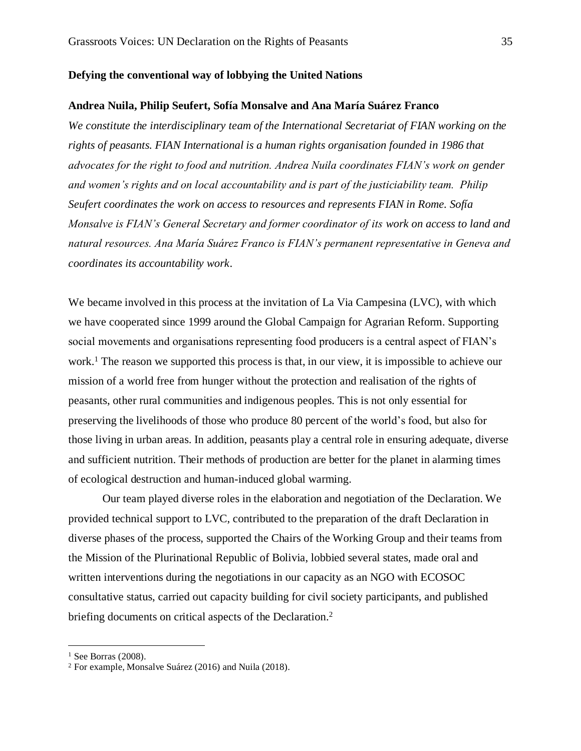#### **Defying the conventional way of lobbying the United Nations**

#### **Andrea Nuila, Philip Seufert, Sofía Monsalve and Ana María Suárez Franco**

*We constitute the interdisciplinary team of the International Secretariat of FIAN working on the rights of peasants. FIAN International is a human rights organisation founded in 1986 that advocates for the right to food and nutrition. Andrea Nuila coordinates FIAN's work on gender and women's rights and on local accountability and is part of the justiciability team. Philip Seufert coordinates the work on access to resources and represents FIAN in Rome. Sofía Monsalve is FIAN's General Secretary and former coordinator of its work on access to land and natural resources. Ana María Suárez Franco is FIAN's permanent representative in Geneva and coordinates its accountability work*.

We became involved in this process at the invitation of La Via Campesina (LVC), with which we have cooperated since 1999 around the Global Campaign for Agrarian Reform. Supporting social movements and organisations representing food producers is a central aspect of FIAN's work.<sup>1</sup> The reason we supported this process is that, in our view, it is impossible to achieve our mission of a world free from hunger without the protection and realisation of the rights of peasants, other rural communities and indigenous peoples. This is not only essential for preserving the livelihoods of those who produce 80 percent of the world's food, but also for those living in urban areas. In addition, peasants play a central role in ensuring adequate, diverse and sufficient nutrition. Their methods of production are better for the planet in alarming times of ecological destruction and human-induced global warming.

Our team played diverse roles in the elaboration and negotiation of the Declaration. We provided technical support to LVC, contributed to the preparation of the draft Declaration in diverse phases of the process, supported the Chairs of the Working Group and their teams from the Mission of the Plurinational Republic of Bolivia, lobbied several states, made oral and written interventions during the negotiations in our capacity as an NGO with ECOSOC consultative status, carried out capacity building for civil society participants, and published briefing documents on critical aspects of the Declaration.<sup>2</sup>

 $1$  See Borras (2008).

<sup>2</sup> For example, Monsalve Suárez (2016) and Nuila (2018).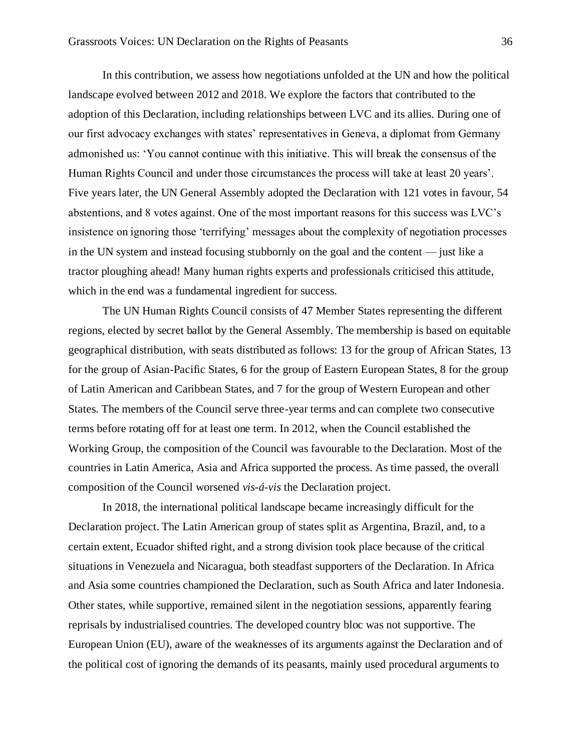In this contribution, we assess how negotiations unfolded at the UN and how the political landscape evolved between 2012 and 2018. We explore the factors that contributed to the adoption of this Declaration, including relationships between LVC and its allies. During one of our first advocacy exchanges with states' representatives in Geneva, a diplomat from Germany admonished us: 'You cannot continue with this initiative. This will break the consensus of the Human Rights Council and under those circumstances the process will take at least 20 years'. Five years later, the UN General Assembly adopted the Declaration with 121 votes in favour, 54 abstentions, and 8 votes against. One of the most important reasons for this success was LVC's insistence on ignoring those 'terrifying' messages about the complexity of negotiation processes in the UN system and instead focusing stubbornly on the goal and the content — just like a tractor ploughing ahead! Many human rights experts and professionals criticised this attitude, which in the end was a fundamental ingredient for success.

The UN Human Rights Council consists of 47 Member States representing the different regions, elected by secret ballot by the General Assembly. The membership is based on equitable geographical distribution, with seats distributed as follows: 13 for the group of African States, 13 for the group of Asian-Pacific States, 6 for the group of Eastern European States, 8 for the group of Latin American and Caribbean States, and 7 for the group of Western European and other States. The members of the Council serve three-year terms and can complete two consecutive terms before rotating off for at least one term. In 2012, when the Council established the Working Group, the composition of the Council was favourable to the Declaration. Most of the countries in Latin America, Asia and Africa supported the process. As time passed, the overall composition of the Council worsened *vis-á-vis* the Declaration project.

In 2018, the international political landscape became increasingly difficult for the Declaration project. The Latin American group of states split as Argentina, Brazil, and, to a certain extent, Ecuador shifted right, and a strong division took place because of the critical situations in Venezuela and Nicaragua, both steadfast supporters of the Declaration. In Africa and Asia some countries championed the Declaration, such as South Africa and later Indonesia. Other states, while supportive, remained silent in the negotiation sessions, apparently fearing reprisals by industrialised countries. The developed country bloc was not supportive. The European Union (EU), aware of the weaknesses of its arguments against the Declaration and of the political cost of ignoring the demands of its peasants, mainly used procedural arguments to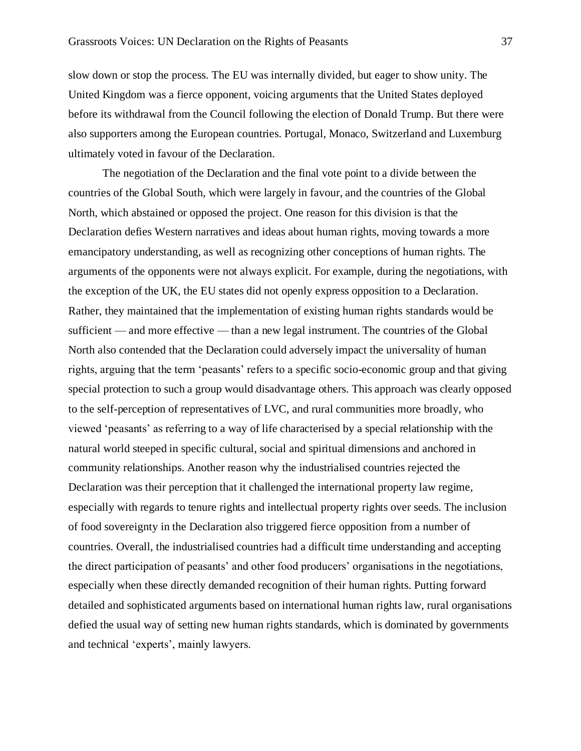slow down or stop the process. The EU was internally divided, but eager to show unity. The United Kingdom was a fierce opponent, voicing arguments that the United States deployed before its withdrawal from the Council following the election of Donald Trump. But there were also supporters among the European countries. Portugal, Monaco, Switzerland and Luxemburg ultimately voted in favour of the Declaration.

The negotiation of the Declaration and the final vote point to a divide between the countries of the Global South, which were largely in favour, and the countries of the Global North, which abstained or opposed the project. One reason for this division is that the Declaration defies Western narratives and ideas about human rights, moving towards a more emancipatory understanding, as well as recognizing other conceptions of human rights. The arguments of the opponents were not always explicit. For example, during the negotiations, with the exception of the UK, the EU states did not openly express opposition to a Declaration. Rather, they maintained that the implementation of existing human rights standards would be sufficient — and more effective — than a new legal instrument. The countries of the Global North also contended that the Declaration could adversely impact the universality of human rights, arguing that the term 'peasants' refers to a specific socio-economic group and that giving special protection to such a group would disadvantage others. This approach was clearly opposed to the self-perception of representatives of LVC, and rural communities more broadly, who viewed 'peasants' as referring to a way of life characterised by a special relationship with the natural world steeped in specific cultural, social and spiritual dimensions and anchored in community relationships. Another reason why the industrialised countries rejected the Declaration was their perception that it challenged the international property law regime, especially with regards to tenure rights and intellectual property rights over seeds. The inclusion of food sovereignty in the Declaration also triggered fierce opposition from a number of countries. Overall, the industrialised countries had a difficult time understanding and accepting the direct participation of peasants' and other food producers' organisations in the negotiations, especially when these directly demanded recognition of their human rights. Putting forward detailed and sophisticated arguments based on international human rights law, rural organisations defied the usual way of setting new human rights standards, which is dominated by governments and technical 'experts', mainly lawyers.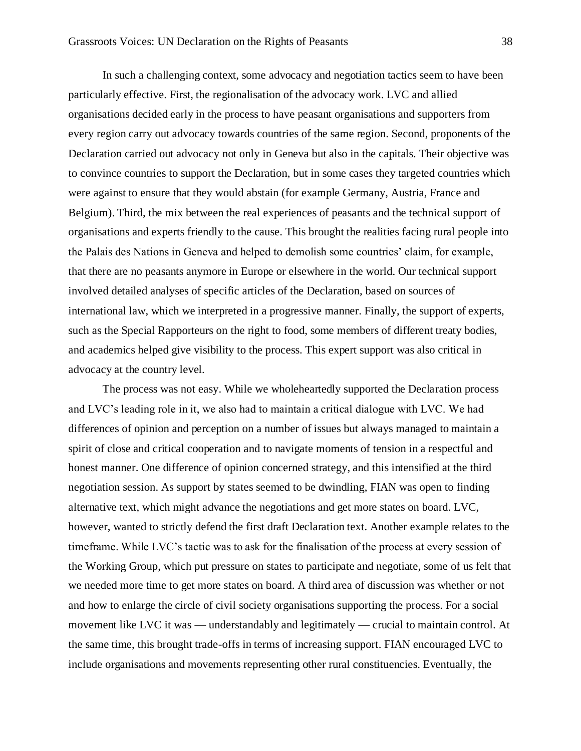In such a challenging context, some advocacy and negotiation tactics seem to have been particularly effective. First, the regionalisation of the advocacy work. LVC and allied organisations decided early in the process to have peasant organisations and supporters from every region carry out advocacy towards countries of the same region. Second, proponents of the Declaration carried out advocacy not only in Geneva but also in the capitals. Their objective was to convince countries to support the Declaration, but in some cases they targeted countries which were against to ensure that they would abstain (for example Germany, Austria, France and Belgium). Third, the mix between the real experiences of peasants and the technical support of organisations and experts friendly to the cause. This brought the realities facing rural people into the Palais des Nations in Geneva and helped to demolish some countries' claim, for example, that there are no peasants anymore in Europe or elsewhere in the world. Our technical support involved detailed analyses of specific articles of the Declaration, based on sources of international law, which we interpreted in a progressive manner. Finally, the support of experts, such as the Special Rapporteurs on the right to food, some members of different treaty bodies, and academics helped give visibility to the process. This expert support was also critical in advocacy at the country level.

The process was not easy. While we wholeheartedly supported the Declaration process and LVC's leading role in it, we also had to maintain a critical dialogue with LVC. We had differences of opinion and perception on a number of issues but always managed to maintain a spirit of close and critical cooperation and to navigate moments of tension in a respectful and honest manner. One difference of opinion concerned strategy, and this intensified at the third negotiation session. As support by states seemed to be dwindling, FIAN was open to finding alternative text, which might advance the negotiations and get more states on board. LVC, however, wanted to strictly defend the first draft Declaration text. Another example relates to the timeframe. While LVC's tactic was to ask for the finalisation of the process at every session of the Working Group, which put pressure on states to participate and negotiate, some of us felt that we needed more time to get more states on board. A third area of discussion was whether or not and how to enlarge the circle of civil society organisations supporting the process. For a social movement like LVC it was — understandably and legitimately — crucial to maintain control. At the same time, this brought trade-offs in terms of increasing support. FIAN encouraged LVC to include organisations and movements representing other rural constituencies. Eventually, the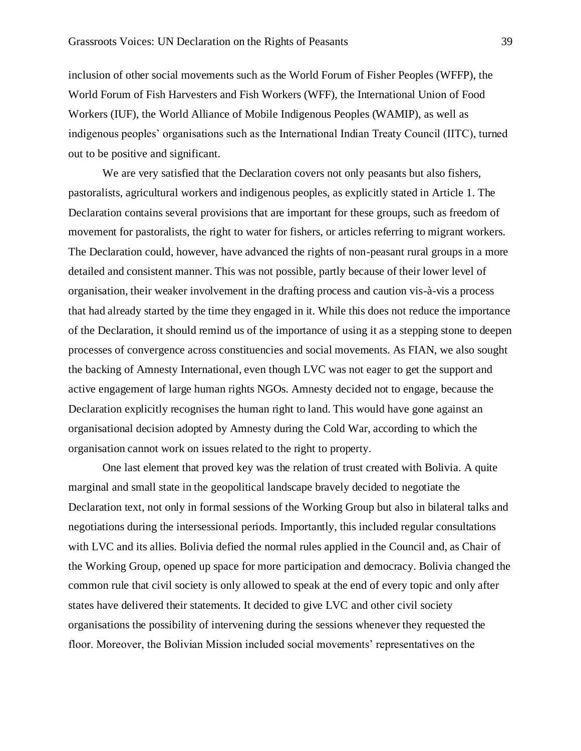inclusion of other social movements such as the World Forum of Fisher Peoples (WFFP), the World Forum of Fish Harvesters and Fish Workers (WFF), the International Union of Food Workers (IUF), the World Alliance of Mobile Indigenous Peoples (WAMIP), as well as indigenous peoples' organisations such as the International Indian Treaty Council (IITC), turned out to be positive and significant.

We are very satisfied that the Declaration covers not only peasants but also fishers, pastoralists, agricultural workers and indigenous peoples, as explicitly stated in Article 1. The Declaration contains several provisions that are important for these groups, such as freedom of movement for pastoralists, the right to water for fishers, or articles referring to migrant workers. The Declaration could, however, have advanced the rights of non-peasant rural groups in a more detailed and consistent manner. This was not possible, partly because of their lower level of organisation, their weaker involvement in the drafting process and caution vis-à-vis a process that had already started by the time they engaged in it. While this does not reduce the importance of the Declaration, it should remind us of the importance of using it as a stepping stone to deepen processes of convergence across constituencies and social movements. As FIAN, we also sought the backing of Amnesty International, even though LVC was not eager to get the support and active engagement of large human rights NGOs. Amnesty decided not to engage, because the Declaration explicitly recognises the human right to land. This would have gone against an organisational decision adopted by Amnesty during the Cold War, according to which the organisation cannot work on issues related to the right to property.

One last element that proved key was the relation of trust created with Bolivia. A quite marginal and small state in the geopolitical landscape bravely decided to negotiate the Declaration text, not only in formal sessions of the Working Group but also in bilateral talks and negotiations during the intersessional periods. Importantly, this included regular consultations with LVC and its allies. Bolivia defied the normal rules applied in the Council and, as Chair of the Working Group, opened up space for more participation and democracy. Bolivia changed the common rule that civil society is only allowed to speak at the end of every topic and only after states have delivered their statements. It decided to give LVC and other civil society organisations the possibility of intervening during the sessions whenever they requested the floor. Moreover, the Bolivian Mission included social movements' representatives on the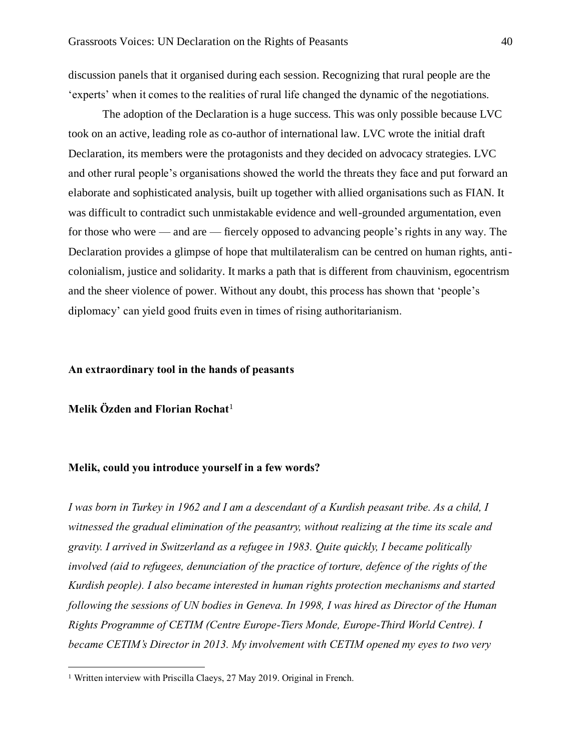discussion panels that it organised during each session. Recognizing that rural people are the 'experts' when it comes to the realities of rural life changed the dynamic of the negotiations.

The adoption of the Declaration is a huge success. This was only possible because LVC took on an active, leading role as co-author of international law. LVC wrote the initial draft Declaration, its members were the protagonists and they decided on advocacy strategies. LVC and other rural people's organisations showed the world the threats they face and put forward an elaborate and sophisticated analysis, built up together with allied organisations such as FIAN. It was difficult to contradict such unmistakable evidence and well-grounded argumentation, even for those who were — and are — fiercely opposed to advancing people's rights in any way. The Declaration provides a glimpse of hope that multilateralism can be centred on human rights, anticolonialism, justice and solidarity. It marks a path that is different from chauvinism, egocentrism and the sheer violence of power. Without any doubt, this process has shown that 'people's diplomacy' can yield good fruits even in times of rising authoritarianism.

#### **An extraordinary tool in the hands of peasants**

**Melik Özden and Florian Rochat**<sup>1</sup>

### **Melik, could you introduce yourself in a few words?**

*I was born in Turkey in 1962 and I am a descendant of a Kurdish peasant tribe. As a child, I witnessed the gradual elimination of the peasantry, without realizing at the time its scale and gravity. I arrived in Switzerland as a refugee in 1983. Quite quickly, I became politically involved (aid to refugees, denunciation of the practice of torture, defence of the rights of the Kurdish people). I also became interested in human rights protection mechanisms and started following the sessions of UN bodies in Geneva. In 1998, I was hired as Director of the Human Rights Programme of CETIM (Centre Europe-Tiers Monde, Europe-Third World Centre). I became CETIM's Director in 2013. My involvement with CETIM opened my eyes to two very*

<sup>&</sup>lt;sup>1</sup> Written interview with Priscilla Claeys, 27 May 2019. Original in French.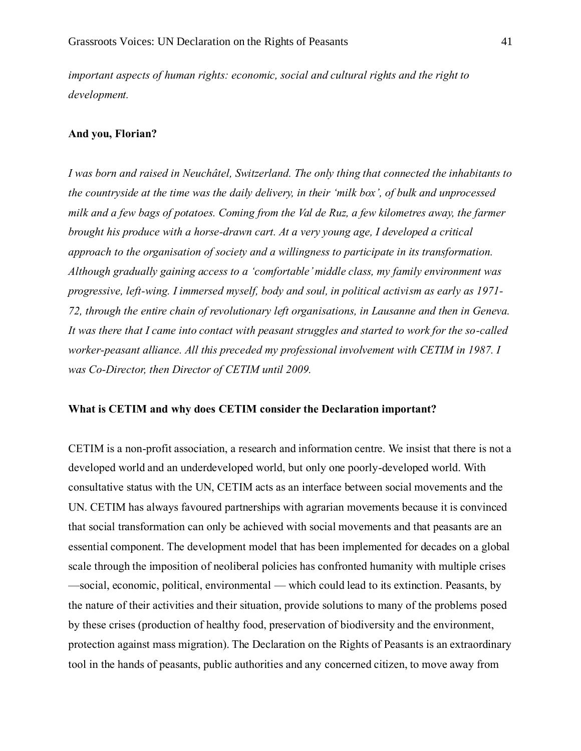*important aspects of human rights: economic, social and cultural rights and the right to development.*

#### **And you, Florian?**

*I was born and raised in Neuchâtel, Switzerland. The only thing that connected the inhabitants to the countryside at the time was the daily delivery, in their 'milk box', of bulk and unprocessed milk and a few bags of potatoes. Coming from the Val de Ruz, a few kilometres away, the farmer brought his produce with a horse-drawn cart. At a very young age, I developed a critical approach to the organisation of society and a willingness to participate in its transformation. Although gradually gaining access to a 'comfortable' middle class, my family environment was progressive, left-wing. I immersed myself, body and soul, in political activism as early as 1971- 72, through the entire chain of revolutionary left organisations, in Lausanne and then in Geneva. It was there that I came into contact with peasant struggles and started to work for the so-called worker-peasant alliance. All this preceded my professional involvement with CETIM in 1987. I was Co-Director, then Director of CETIM until 2009.* 

### **What is CETIM and why does CETIM consider the Declaration important?**

CETIM is a non-profit association, a research and information centre. We insist that there is not a developed world and an underdeveloped world, but only one poorly-developed world. With consultative status with the UN, CETIM acts as an interface between social movements and the UN. CETIM has always favoured partnerships with agrarian movements because it is convinced that social transformation can only be achieved with social movements and that peasants are an essential component. The development model that has been implemented for decades on a global scale through the imposition of neoliberal policies has confronted humanity with multiple crises —social, economic, political, environmental — which could lead to its extinction. Peasants, by the nature of their activities and their situation, provide solutions to many of the problems posed by these crises (production of healthy food, preservation of biodiversity and the environment, protection against mass migration). The Declaration on the Rights of Peasants is an extraordinary tool in the hands of peasants, public authorities and any concerned citizen, to move away from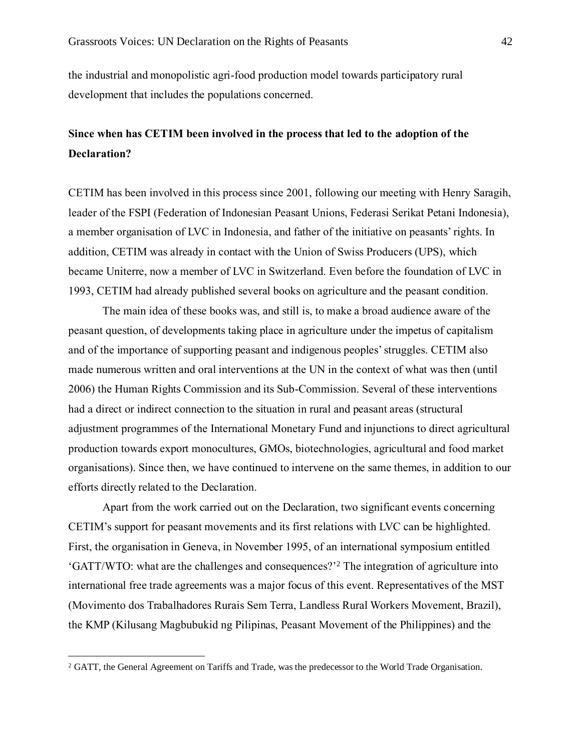the industrial and monopolistic agri-food production model towards participatory rural development that includes the populations concerned.

# **Since when has CETIM been involved in the process that led to the adoption of the Declaration?**

CETIM has been involved in this process since 2001, following our meeting with Henry Saragih, leader of the FSPI (Federation of Indonesian Peasant Unions, Federasi Serikat Petani Indonesia), a member organisation of LVC in Indonesia, and father of the initiative on peasants' rights. In addition, CETIM was already in contact with the Union of Swiss Producers (UPS), which became Uniterre, now a member of LVC in Switzerland. Even before the foundation of LVC in 1993, CETIM had already published several books on agriculture and the peasant condition.

The main idea of these books was, and still is, to make a broad audience aware of the peasant question, of developments taking place in agriculture under the impetus of capitalism and of the importance of supporting peasant and indigenous peoples' struggles. CETIM also made numerous written and oral interventions at the UN in the context of what was then (until 2006) the Human Rights Commission and its Sub-Commission. Several of these interventions had a direct or indirect connection to the situation in rural and peasant areas (structural adjustment programmes of the International Monetary Fund and injunctions to direct agricultural production towards export monocultures, GMOs, biotechnologies, agricultural and food market organisations). Since then, we have continued to intervene on the same themes, in addition to our efforts directly related to the Declaration.

Apart from the work carried out on the Declaration, two significant events concerning CETIM's support for peasant movements and its first relations with LVC can be highlighted. First, the organisation in Geneva, in November 1995, of an international symposium entitled 'GATT/WTO: what are the challenges and consequences?'<sup>2</sup> The integration of agriculture into international free trade agreements was a major focus of this event. Representatives of the MST (Movimento dos Trabalhadores Rurais Sem Terra, Landless Rural Workers Movement, Brazil), the KMP (Kilusang Magbubukid ng Pilipinas, Peasant Movement of the Philippines) and the

<sup>&</sup>lt;sup>2</sup> GATT, the General Agreement on Tariffs and Trade, was the predecessor to the World Trade Organisation.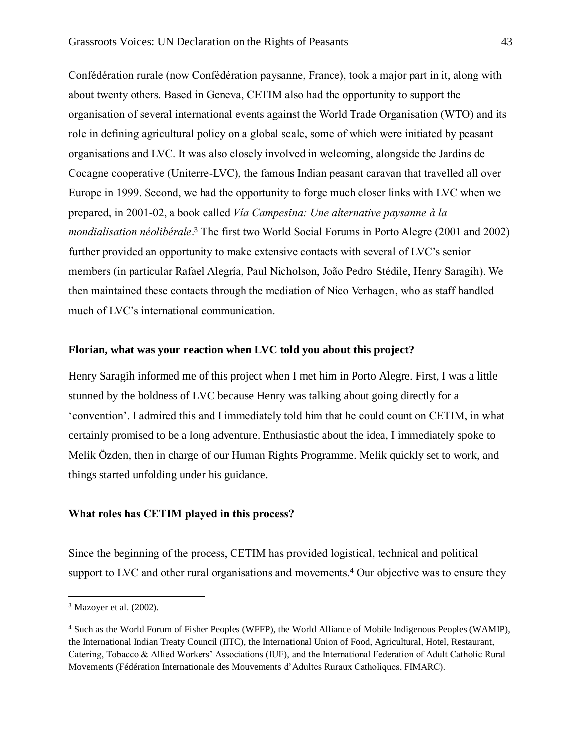Confédération rurale (now Confédération paysanne, France), took a major part in it, along with about twenty others. Based in Geneva, CETIM also had the opportunity to support the organisation of several international events against the World Trade Organisation (WTO) and its role in defining agricultural policy on a global scale, some of which were initiated by peasant organisations and LVC. It was also closely involved in welcoming, alongside the Jardins de Cocagne cooperative (Uniterre-LVC), the famous Indian peasant caravan that travelled all over Europe in 1999. Second, we had the opportunity to forge much closer links with LVC when we prepared, in 2001-02, a book called *Vía Campesina: Une alternative paysanne à la mondialisation néolibérale*. <sup>3</sup> The first two World Social Forums in Porto Alegre (2001 and 2002) further provided an opportunity to make extensive contacts with several of LVC's senior members (in particular Rafael Alegría, Paul Nicholson, João Pedro Stédile, Henry Saragih). We then maintained these contacts through the mediation of Nico Verhagen, who as staff handled much of LVC's international communication.

#### **Florian, what was your reaction when LVC told you about this project?**

Henry Saragih informed me of this project when I met him in Porto Alegre. First, I was a little stunned by the boldness of LVC because Henry was talking about going directly for a 'convention'. I admired this and I immediately told him that he could count on CETIM, in what certainly promised to be a long adventure. Enthusiastic about the idea, I immediately spoke to Melik Özden, then in charge of our Human Rights Programme. Melik quickly set to work, and things started unfolding under his guidance.

#### **What roles has CETIM played in this process?**

Since the beginning of the process, CETIM has provided logistical, technical and political support to LVC and other rural organisations and movements.<sup>4</sup> Our objective was to ensure they

<sup>3</sup> Mazoyer et al. (2002).

<sup>4</sup> Such as the World Forum of Fisher Peoples (WFFP), the World Alliance of Mobile Indigenous Peoples (WAMIP), the International Indian Treaty Council (IITC), the International Union of Food, Agricultural, Hotel, Restaurant, Catering, Tobacco & Allied Workers' Associations (IUF), and the International Federation of Adult Catholic Rural Movements (Fédération Internationale des Mouvements d'Adultes Ruraux Catholiques, FIMARC).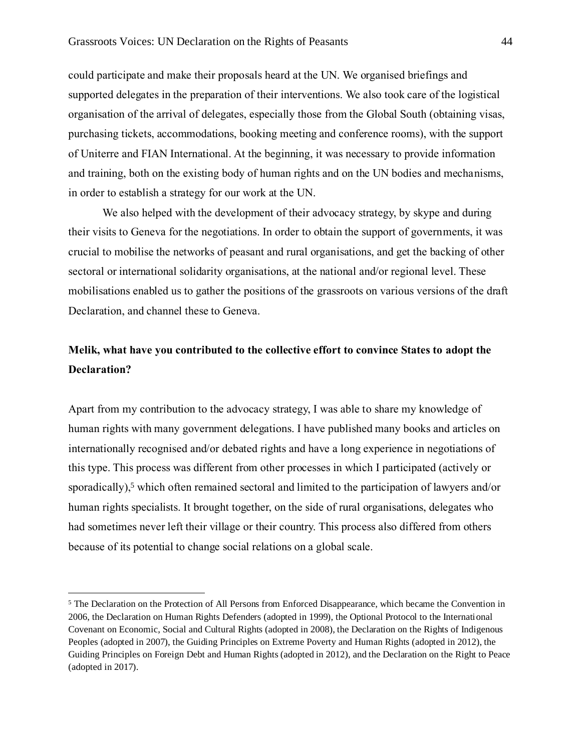could participate and make their proposals heard at the UN. We organised briefings and supported delegates in the preparation of their interventions. We also took care of the logistical organisation of the arrival of delegates, especially those from the Global South (obtaining visas, purchasing tickets, accommodations, booking meeting and conference rooms), with the support of Uniterre and FIAN International. At the beginning, it was necessary to provide information and training, both on the existing body of human rights and on the UN bodies and mechanisms, in order to establish a strategy for our work at the UN.

We also helped with the development of their advocacy strategy, by skype and during their visits to Geneva for the negotiations. In order to obtain the support of governments, it was crucial to mobilise the networks of peasant and rural organisations, and get the backing of other sectoral or international solidarity organisations, at the national and/or regional level. These mobilisations enabled us to gather the positions of the grassroots on various versions of the draft Declaration, and channel these to Geneva.

# **Melik, what have you contributed to the collective effort to convince States to adopt the Declaration?**

Apart from my contribution to the advocacy strategy, I was able to share my knowledge of human rights with many government delegations. I have published many books and articles on internationally recognised and/or debated rights and have a long experience in negotiations of this type. This process was different from other processes in which I participated (actively or sporadically),<sup>5</sup> which often remained sectoral and limited to the participation of lawyers and/or human rights specialists. It brought together, on the side of rural organisations, delegates who had sometimes never left their village or their country. This process also differed from others because of its potential to change social relations on a global scale.

<sup>5</sup> The Declaration on the Protection of All Persons from Enforced Disappearance, which became the Convention in 2006, the Declaration on Human Rights Defenders (adopted in 1999), the Optional Protocol to the International Covenant on Economic, Social and Cultural Rights (adopted in 2008), the Declaration on the Rights of Indigenous Peoples (adopted in 2007), the Guiding Principles on Extreme Poverty and Human Rights (adopted in 2012), the Guiding Principles on Foreign Debt and Human Rights (adopted in 2012), and the Declaration on the Right to Peace (adopted in 2017).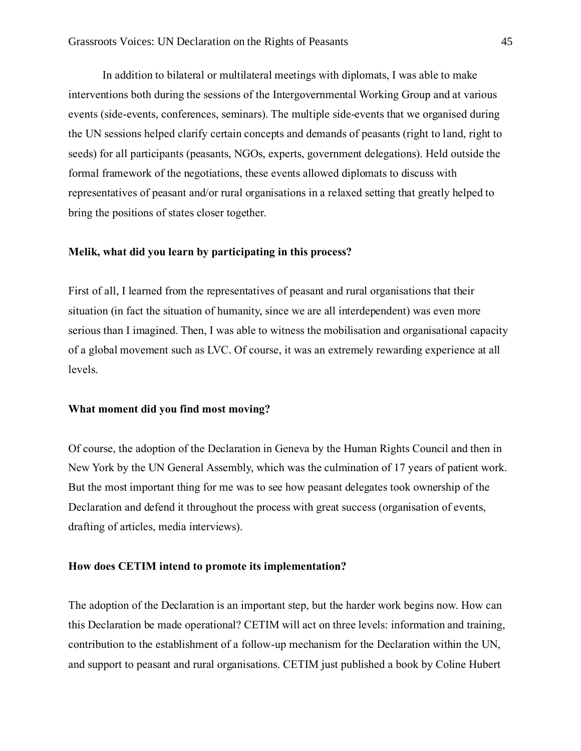In addition to bilateral or multilateral meetings with diplomats, I was able to make interventions both during the sessions of the Intergovernmental Working Group and at various events (side-events, conferences, seminars). The multiple side-events that we organised during the UN sessions helped clarify certain concepts and demands of peasants (right to land, right to seeds) for all participants (peasants, NGOs, experts, government delegations). Held outside the formal framework of the negotiations, these events allowed diplomats to discuss with representatives of peasant and/or rural organisations in a relaxed setting that greatly helped to bring the positions of states closer together.

## **Melik, what did you learn by participating in this process?**

First of all, I learned from the representatives of peasant and rural organisations that their situation (in fact the situation of humanity, since we are all interdependent) was even more serious than I imagined. Then, I was able to witness the mobilisation and organisational capacity of a global movement such as LVC. Of course, it was an extremely rewarding experience at all levels.

## **What moment did you find most moving?**

Of course, the adoption of the Declaration in Geneva by the Human Rights Council and then in New York by the UN General Assembly, which was the culmination of 17 years of patient work. But the most important thing for me was to see how peasant delegates took ownership of the Declaration and defend it throughout the process with great success (organisation of events, drafting of articles, media interviews).

#### **How does CETIM intend to promote its implementation?**

The adoption of the Declaration is an important step, but the harder work begins now. How can this Declaration be made operational? CETIM will act on three levels: information and training, contribution to the establishment of a follow-up mechanism for the Declaration within the UN, and support to peasant and rural organisations. CETIM just published a book by Coline Hubert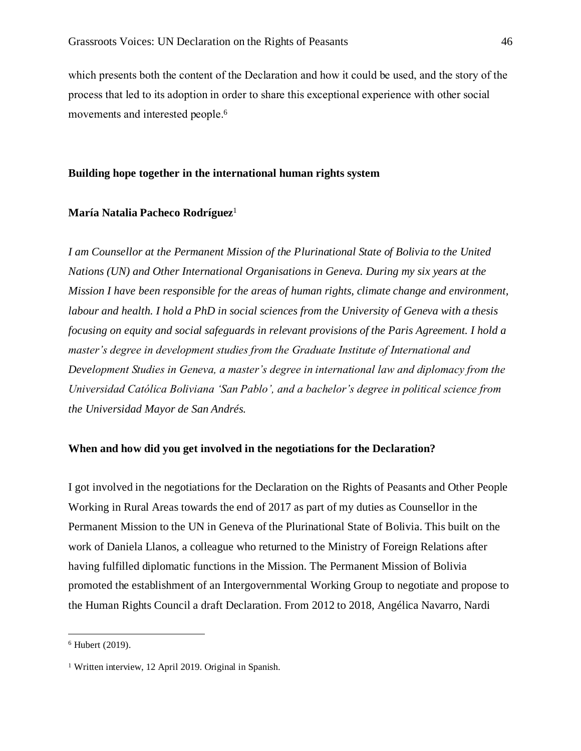which presents both the content of the Declaration and how it could be used, and the story of the process that led to its adoption in order to share this exceptional experience with other social movements and interested people.<sup>6</sup>

#### **Building hope together in the international human rights system**

#### **María Natalia Pacheco Rodríguez**<sup>1</sup>

*I am Counsellor at the Permanent Mission of the Plurinational State of Bolivia to the United Nations (UN) and Other International Organisations in Geneva. During my six years at the Mission I have been responsible for the areas of human rights, climate change and environment, labour and health. I hold a PhD in social sciences from the University of Geneva with a thesis focusing on equity and social safeguards in relevant provisions of the Paris Agreement. I hold a master's degree in development studies from the Graduate Institute of International and Development Studies in Geneva, a master's degree in international law and diplomacy from the Universidad Católica Boliviana 'San Pablo', and a bachelor's degree in political science from the Universidad Mayor de San Andrés.*

#### **When and how did you get involved in the negotiations for the Declaration?**

I got involved in the negotiations for the Declaration on the Rights of Peasants and Other People Working in Rural Areas towards the end of 2017 as part of my duties as Counsellor in the Permanent Mission to the UN in Geneva of the Plurinational State of Bolivia. This built on the work of Daniela Llanos, a colleague who returned to the Ministry of Foreign Relations after having fulfilled diplomatic functions in the Mission. The Permanent Mission of Bolivia promoted the establishment of an Intergovernmental Working Group to negotiate and propose to the Human Rights Council a draft Declaration. From 2012 to 2018, Angélica Navarro, Nardi

<sup>6</sup> Hubert (2019).

<sup>&</sup>lt;sup>1</sup> Written interview, 12 April 2019. Original in Spanish.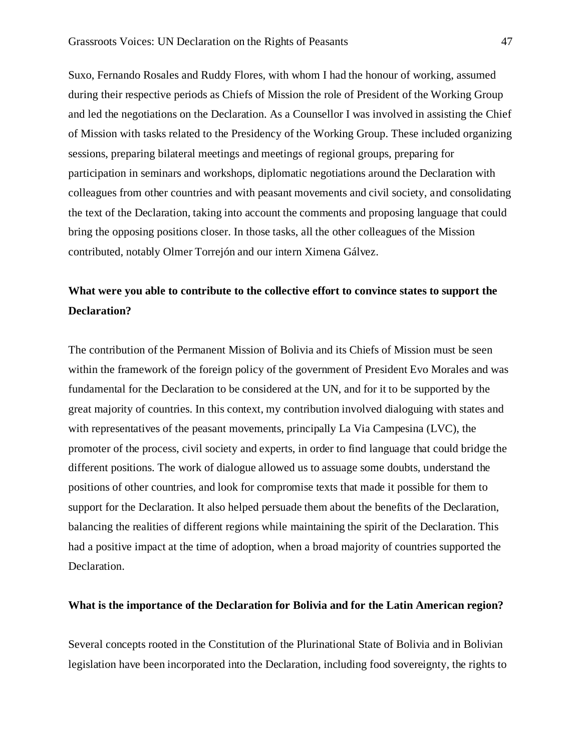Suxo, Fernando Rosales and Ruddy Flores, with whom I had the honour of working, assumed during their respective periods as Chiefs of Mission the role of President of the Working Group and led the negotiations on the Declaration. As a Counsellor I was involved in assisting the Chief of Mission with tasks related to the Presidency of the Working Group. These included organizing sessions, preparing bilateral meetings and meetings of regional groups, preparing for participation in seminars and workshops, diplomatic negotiations around the Declaration with colleagues from other countries and with peasant movements and civil society, and consolidating the text of the Declaration, taking into account the comments and proposing language that could bring the opposing positions closer. In those tasks, all the other colleagues of the Mission contributed, notably Olmer Torrejón and our intern Ximena Gálvez.

# **What were you able to contribute to the collective effort to convince states to support the Declaration?**

The contribution of the Permanent Mission of Bolivia and its Chiefs of Mission must be seen within the framework of the foreign policy of the government of President Evo Morales and was fundamental for the Declaration to be considered at the UN, and for it to be supported by the great majority of countries. In this context, my contribution involved dialoguing with states and with representatives of the peasant movements, principally La Via Campesina (LVC), the promoter of the process, civil society and experts, in order to find language that could bridge the different positions. The work of dialogue allowed us to assuage some doubts, understand the positions of other countries, and look for compromise texts that made it possible for them to support for the Declaration. It also helped persuade them about the benefits of the Declaration, balancing the realities of different regions while maintaining the spirit of the Declaration. This had a positive impact at the time of adoption, when a broad majority of countries supported the Declaration.

#### **What is the importance of the Declaration for Bolivia and for the Latin American region?**

Several concepts rooted in the Constitution of the Plurinational State of Bolivia and in Bolivian legislation have been incorporated into the Declaration, including food sovereignty, the rights to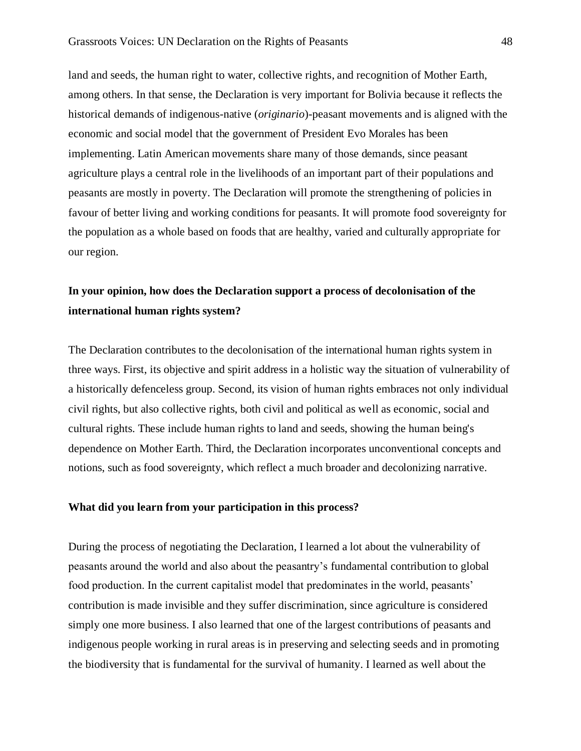land and seeds, the human right to water, collective rights, and recognition of Mother Earth, among others. In that sense, the Declaration is very important for Bolivia because it reflects the historical demands of indigenous-native (*originario*)-peasant movements and is aligned with the economic and social model that the government of President Evo Morales has been implementing. Latin American movements share many of those demands, since peasant agriculture plays a central role in the livelihoods of an important part of their populations and peasants are mostly in poverty. The Declaration will promote the strengthening of policies in favour of better living and working conditions for peasants. It will promote food sovereignty for the population as a whole based on foods that are healthy, varied and culturally appropriate for our region.

# **In your opinion, how does the Declaration support a process of decolonisation of the international human rights system?**

The Declaration contributes to the decolonisation of the international human rights system in three ways. First, its objective and spirit address in a holistic way the situation of vulnerability of a historically defenceless group. Second, its vision of human rights embraces not only individual civil rights, but also collective rights, both civil and political as well as economic, social and cultural rights. These include human rights to land and seeds, showing the human being's dependence on Mother Earth. Third, the Declaration incorporates unconventional concepts and notions, such as food sovereignty, which reflect a much broader and decolonizing narrative.

## **What did you learn from your participation in this process?**

During the process of negotiating the Declaration, I learned a lot about the vulnerability of peasants around the world and also about the peasantry's fundamental contribution to global food production. In the current capitalist model that predominates in the world, peasants' contribution is made invisible and they suffer discrimination, since agriculture is considered simply one more business. I also learned that one of the largest contributions of peasants and indigenous people working in rural areas is in preserving and selecting seeds and in promoting the biodiversity that is fundamental for the survival of humanity. I learned as well about the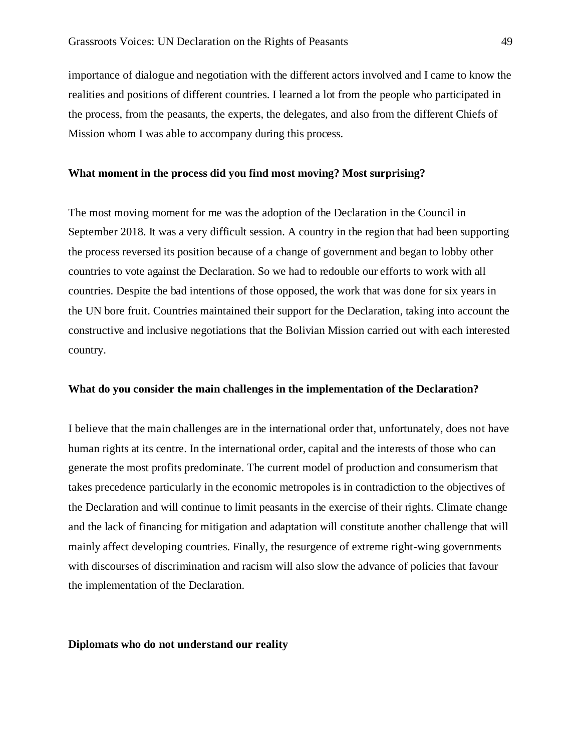importance of dialogue and negotiation with the different actors involved and I came to know the realities and positions of different countries. I learned a lot from the people who participated in the process, from the peasants, the experts, the delegates, and also from the different Chiefs of Mission whom I was able to accompany during this process.

#### **What moment in the process did you find most moving? Most surprising?**

The most moving moment for me was the adoption of the Declaration in the Council in September 2018. It was a very difficult session. A country in the region that had been supporting the process reversed its position because of a change of government and began to lobby other countries to vote against the Declaration. So we had to redouble our efforts to work with all countries. Despite the bad intentions of those opposed, the work that was done for six years in the UN bore fruit. Countries maintained their support for the Declaration, taking into account the constructive and inclusive negotiations that the Bolivian Mission carried out with each interested country.

#### **What do you consider the main challenges in the implementation of the Declaration?**

I believe that the main challenges are in the international order that, unfortunately, does not have human rights at its centre. In the international order, capital and the interests of those who can generate the most profits predominate. The current model of production and consumerism that takes precedence particularly in the economic metropoles is in contradiction to the objectives of the Declaration and will continue to limit peasants in the exercise of their rights. Climate change and the lack of financing for mitigation and adaptation will constitute another challenge that will mainly affect developing countries. Finally, the resurgence of extreme right-wing governments with discourses of discrimination and racism will also slow the advance of policies that favour the implementation of the Declaration.

#### **Diplomats who do not understand our reality**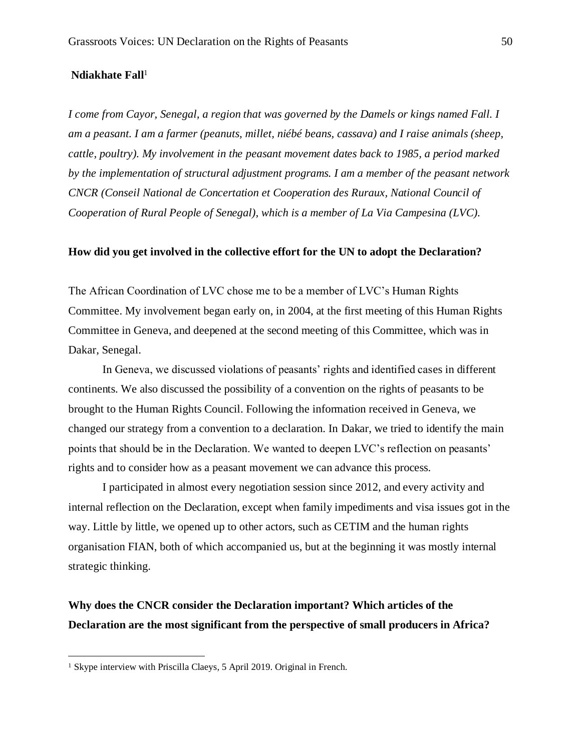#### Ndiakhate Fall<sup>1</sup>

*I come from Cayor, Senegal, a region that was governed by the Damels or kings named Fall. I am a peasant. I am a farmer (peanuts, millet, niébé beans, cassava) and I raise animals (sheep, cattle, poultry). My involvement in the peasant movement dates back to 1985, a period marked by the implementation of structural adjustment programs. I am a member of the peasant network CNCR (Conseil National de Concertation et Cooperation des Ruraux, National Council of Cooperation of Rural People of Senegal), which is a member of La Via Campesina (LVC).*

#### **How did you get involved in the collective effort for the UN to adopt the Declaration?**

The African Coordination of LVC chose me to be a member of LVC's Human Rights Committee. My involvement began early on, in 2004, at the first meeting of this Human Rights Committee in Geneva, and deepened at the second meeting of this Committee, which was in Dakar, Senegal.

In Geneva, we discussed violations of peasants' rights and identified cases in different continents. We also discussed the possibility of a convention on the rights of peasants to be brought to the Human Rights Council. Following the information received in Geneva, we changed our strategy from a convention to a declaration. In Dakar, we tried to identify the main points that should be in the Declaration. We wanted to deepen LVC's reflection on peasants' rights and to consider how as a peasant movement we can advance this process.

I participated in almost every negotiation session since 2012, and every activity and internal reflection on the Declaration, except when family impediments and visa issues got in the way. Little by little, we opened up to other actors, such as CETIM and the human rights organisation FIAN, both of which accompanied us, but at the beginning it was mostly internal strategic thinking.

## **Why does the CNCR consider the Declaration important? Which articles of the Declaration are the most significant from the perspective of small producers in Africa?**

<sup>&</sup>lt;sup>1</sup> Skype interview with Priscilla Claeys, 5 April 2019. Original in French.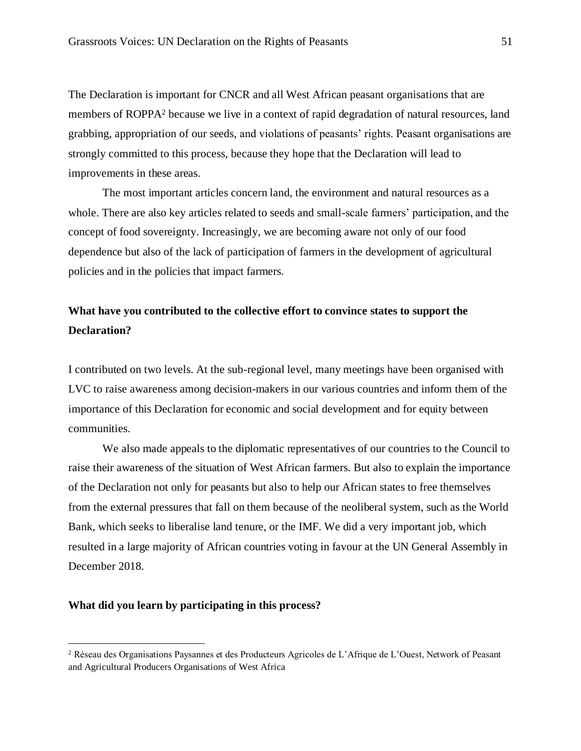The Declaration is important for CNCR and all West African peasant organisations that are members of ROPPA<sup>2</sup> because we live in a context of rapid degradation of natural resources, land grabbing, appropriation of our seeds, and violations of peasants' rights. Peasant organisations are strongly committed to this process, because they hope that the Declaration will lead to improvements in these areas.

The most important articles concern land, the environment and natural resources as a whole. There are also key articles related to seeds and small-scale farmers' participation, and the concept of food sovereignty. Increasingly, we are becoming aware not only of our food dependence but also of the lack of participation of farmers in the development of agricultural policies and in the policies that impact farmers.

# **What have you contributed to the collective effort to convince states to support the Declaration?**

I contributed on two levels. At the sub-regional level, many meetings have been organised with LVC to raise awareness among decision-makers in our various countries and inform them of the importance of this Declaration for economic and social development and for equity between communities.

We also made appeals to the diplomatic representatives of our countries to the Council to raise their awareness of the situation of West African farmers. But also to explain the importance of the Declaration not only for peasants but also to help our African states to free themselves from the external pressures that fall on them because of the neoliberal system, such as the World Bank, which seeks to liberalise land tenure, or the IMF. We did a very important job, which resulted in a large majority of African countries voting in favour at the UN General Assembly in December 2018.

### **What did you learn by participating in this process?**

<sup>2</sup> Réseau des Organisations Paysannes et des Producteurs Agricoles de L'Afrique de L'Ouest, Network of Peasant and Agricultural Producers Organisations of West Africa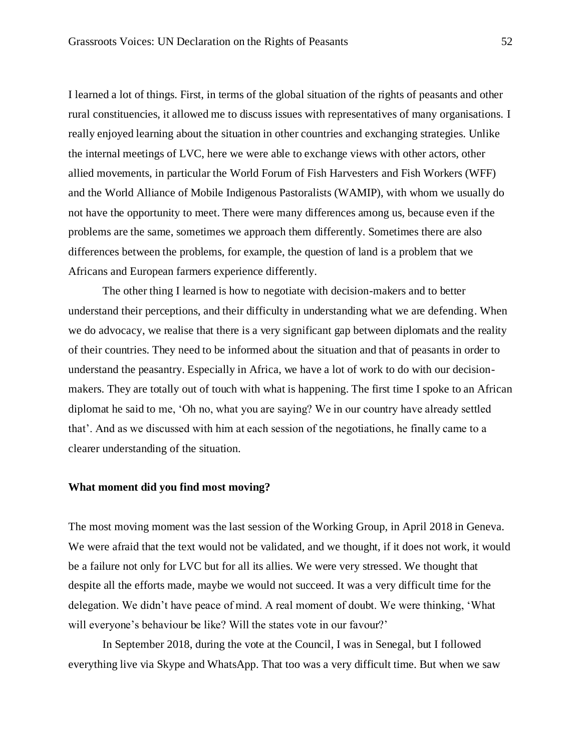I learned a lot of things. First, in terms of the global situation of the rights of peasants and other rural constituencies, it allowed me to discuss issues with representatives of many organisations. I really enjoyed learning about the situation in other countries and exchanging strategies. Unlike the internal meetings of LVC, here we were able to exchange views with other actors, other allied movements, in particular the World Forum of Fish Harvesters and Fish Workers (WFF) and the World Alliance of Mobile Indigenous Pastoralists (WAMIP), with whom we usually do not have the opportunity to meet. There were many differences among us, because even if the problems are the same, sometimes we approach them differently. Sometimes there are also differences between the problems, for example, the question of land is a problem that we Africans and European farmers experience differently.

The other thing I learned is how to negotiate with decision-makers and to better understand their perceptions, and their difficulty in understanding what we are defending. When we do advocacy, we realise that there is a very significant gap between diplomats and the reality of their countries. They need to be informed about the situation and that of peasants in order to understand the peasantry. Especially in Africa, we have a lot of work to do with our decisionmakers. They are totally out of touch with what is happening. The first time I spoke to an African diplomat he said to me, 'Oh no, what you are saying? We in our country have already settled that'. And as we discussed with him at each session of the negotiations, he finally came to a clearer understanding of the situation.

### **What moment did you find most moving?**

The most moving moment was the last session of the Working Group, in April 2018 in Geneva. We were afraid that the text would not be validated, and we thought, if it does not work, it would be a failure not only for LVC but for all its allies. We were very stressed. We thought that despite all the efforts made, maybe we would not succeed. It was a very difficult time for the delegation. We didn't have peace of mind. A real moment of doubt. We were thinking, 'What will everyone's behaviour be like? Will the states vote in our favour?'

In September 2018, during the vote at the Council, I was in Senegal, but I followed everything live via Skype and WhatsApp. That too was a very difficult time. But when we saw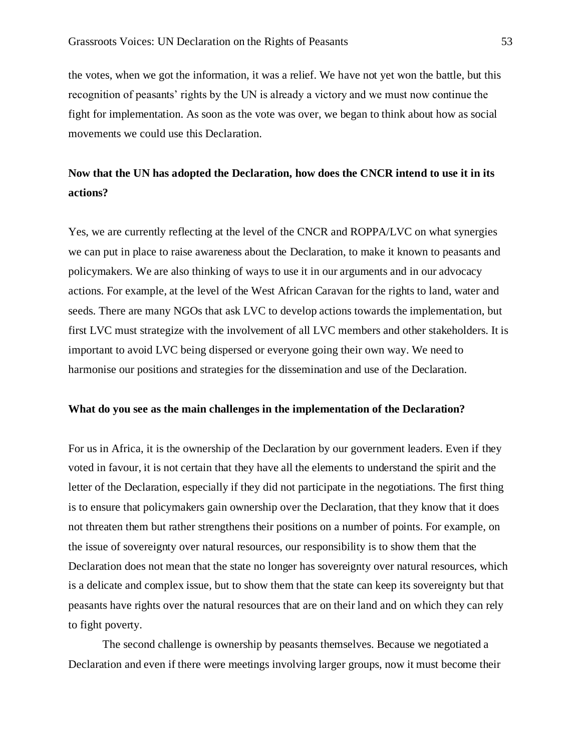the votes, when we got the information, it was a relief. We have not yet won the battle, but this recognition of peasants' rights by the UN is already a victory and we must now continue the fight for implementation. As soon as the vote was over, we began to think about how as social movements we could use this Declaration.

# **Now that the UN has adopted the Declaration, how does the CNCR intend to use it in its actions?**

Yes, we are currently reflecting at the level of the CNCR and ROPPA/LVC on what synergies we can put in place to raise awareness about the Declaration, to make it known to peasants and policymakers. We are also thinking of ways to use it in our arguments and in our advocacy actions. For example, at the level of the West African Caravan for the rights to land, water and seeds. There are many NGOs that ask LVC to develop actions towards the implementation, but first LVC must strategize with the involvement of all LVC members and other stakeholders. It is important to avoid LVC being dispersed or everyone going their own way. We need to harmonise our positions and strategies for the dissemination and use of the Declaration.

#### **What do you see as the main challenges in the implementation of the Declaration?**

For us in Africa, it is the ownership of the Declaration by our government leaders. Even if they voted in favour, it is not certain that they have all the elements to understand the spirit and the letter of the Declaration, especially if they did not participate in the negotiations. The first thing is to ensure that policymakers gain ownership over the Declaration, that they know that it does not threaten them but rather strengthens their positions on a number of points. For example, on the issue of sovereignty over natural resources, our responsibility is to show them that the Declaration does not mean that the state no longer has sovereignty over natural resources, which is a delicate and complex issue, but to show them that the state can keep its sovereignty but that peasants have rights over the natural resources that are on their land and on which they can rely to fight poverty.

The second challenge is ownership by peasants themselves. Because we negotiated a Declaration and even if there were meetings involving larger groups, now it must become their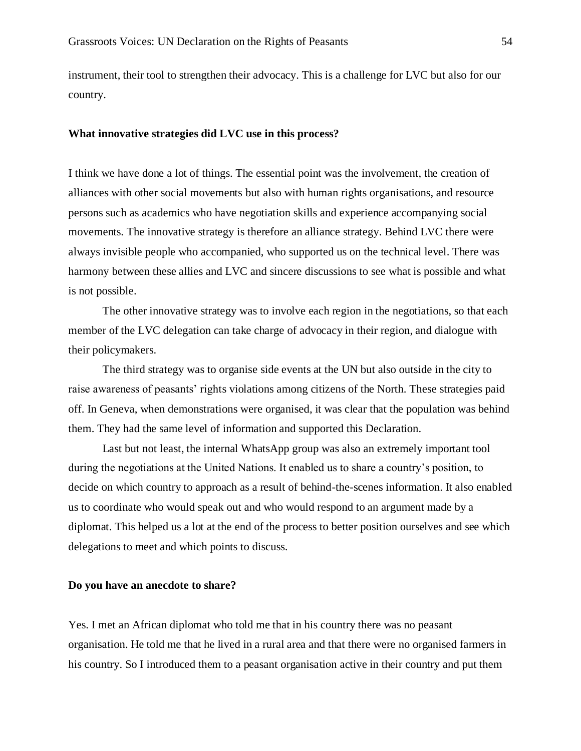instrument, their tool to strengthen their advocacy. This is a challenge for LVC but also for our country.

#### **What innovative strategies did LVC use in this process?**

I think we have done a lot of things. The essential point was the involvement, the creation of alliances with other social movements but also with human rights organisations, and resource persons such as academics who have negotiation skills and experience accompanying social movements. The innovative strategy is therefore an alliance strategy. Behind LVC there were always invisible people who accompanied, who supported us on the technical level. There was harmony between these allies and LVC and sincere discussions to see what is possible and what is not possible.

The other innovative strategy was to involve each region in the negotiations, so that each member of the LVC delegation can take charge of advocacy in their region, and dialogue with their policymakers.

The third strategy was to organise side events at the UN but also outside in the city to raise awareness of peasants' rights violations among citizens of the North. These strategies paid off. In Geneva, when demonstrations were organised, it was clear that the population was behind them. They had the same level of information and supported this Declaration.

Last but not least, the internal WhatsApp group was also an extremely important tool during the negotiations at the United Nations. It enabled us to share a country's position, to decide on which country to approach as a result of behind-the-scenes information. It also enabled us to coordinate who would speak out and who would respond to an argument made by a diplomat. This helped us a lot at the end of the process to better position ourselves and see which delegations to meet and which points to discuss.

#### **Do you have an anecdote to share?**

Yes. I met an African diplomat who told me that in his country there was no peasant organisation. He told me that he lived in a rural area and that there were no organised farmers in his country. So I introduced them to a peasant organisation active in their country and put them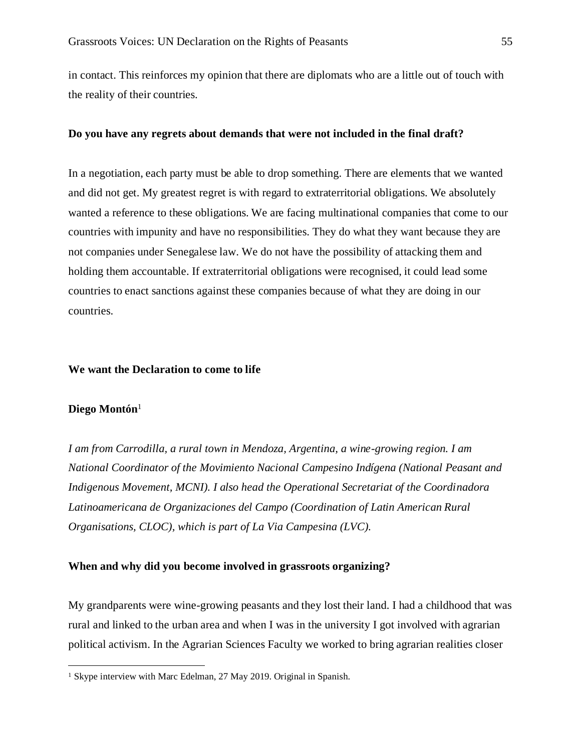in contact. This reinforces my opinion that there are diplomats who are a little out of touch with the reality of their countries.

#### **Do you have any regrets about demands that were not included in the final draft?**

In a negotiation, each party must be able to drop something. There are elements that we wanted and did not get. My greatest regret is with regard to extraterritorial obligations. We absolutely wanted a reference to these obligations. We are facing multinational companies that come to our countries with impunity and have no responsibilities. They do what they want because they are not companies under Senegalese law. We do not have the possibility of attacking them and holding them accountable. If extraterritorial obligations were recognised, it could lead some countries to enact sanctions against these companies because of what they are doing in our countries.

#### **We want the Declaration to come to life**

#### **Diego Montón**<sup>1</sup>

*I am from Carrodilla, a rural town in Mendoza, Argentina, a wine-growing region. I am National Coordinator of the Movimiento Nacional Campesino Indígena (National Peasant and Indigenous Movement, MCNI). I also head the Operational Secretariat of the Coordinadora Latinoamericana de Organizaciones del Campo (Coordination of Latin American Rural Organisations, CLOC), which is part of La Via Campesina (LVC).*

#### **When and why did you become involved in grassroots organizing?**

My grandparents were wine-growing peasants and they lost their land. I had a childhood that was rural and linked to the urban area and when I was in the university I got involved with agrarian political activism. In the Agrarian Sciences Faculty we worked to bring agrarian realities closer

<sup>&</sup>lt;sup>1</sup> Skype interview with Marc Edelman, 27 May 2019. Original in Spanish.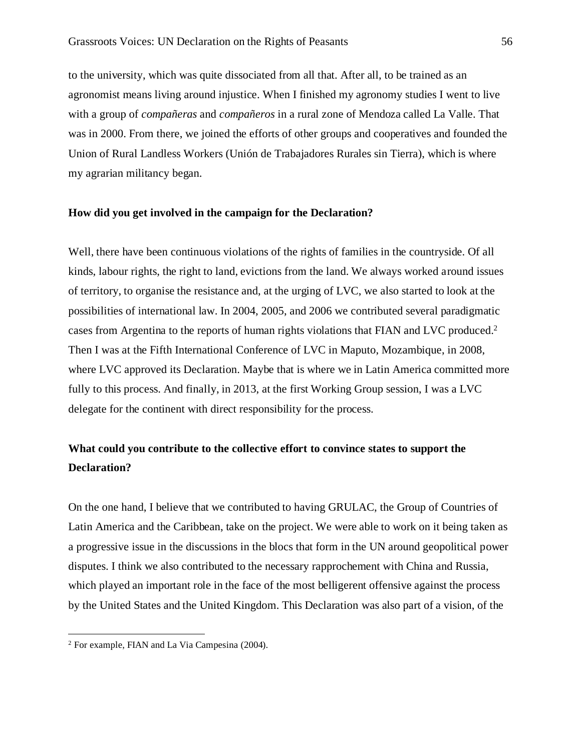to the university, which was quite dissociated from all that. After all, to be trained as an agronomist means living around injustice. When I finished my agronomy studies I went to live with a group of *compañeras* and *compañeros* in a rural zone of Mendoza called La Valle. That was in 2000. From there, we joined the efforts of other groups and cooperatives and founded the Union of Rural Landless Workers (Unión de Trabajadores Rurales sin Tierra), which is where my agrarian militancy began.

#### **How did you get involved in the campaign for the Declaration?**

Well, there have been continuous violations of the rights of families in the countryside. Of all kinds, labour rights, the right to land, evictions from the land. We always worked around issues of territory, to organise the resistance and, at the urging of LVC, we also started to look at the possibilities of international law. In 2004, 2005, and 2006 we contributed several paradigmatic cases from Argentina to the reports of human rights violations that FIAN and LVC produced.<sup>2</sup> Then I was at the Fifth International Conference of LVC in Maputo, Mozambique, in 2008, where LVC approved its Declaration. Maybe that is where we in Latin America committed more fully to this process. And finally, in 2013, at the first Working Group session, I was a LVC delegate for the continent with direct responsibility for the process.

## **What could you contribute to the collective effort to convince states to support the Declaration?**

On the one hand, I believe that we contributed to having GRULAC, the Group of Countries of Latin America and the Caribbean, take on the project. We were able to work on it being taken as a progressive issue in the discussions in the blocs that form in the UN around geopolitical power disputes. I think we also contributed to the necessary rapprochement with China and Russia, which played an important role in the face of the most belligerent offensive against the process by the United States and the United Kingdom. This Declaration was also part of a vision, of the

<sup>2</sup> For example, FIAN and La Via Campesina (2004).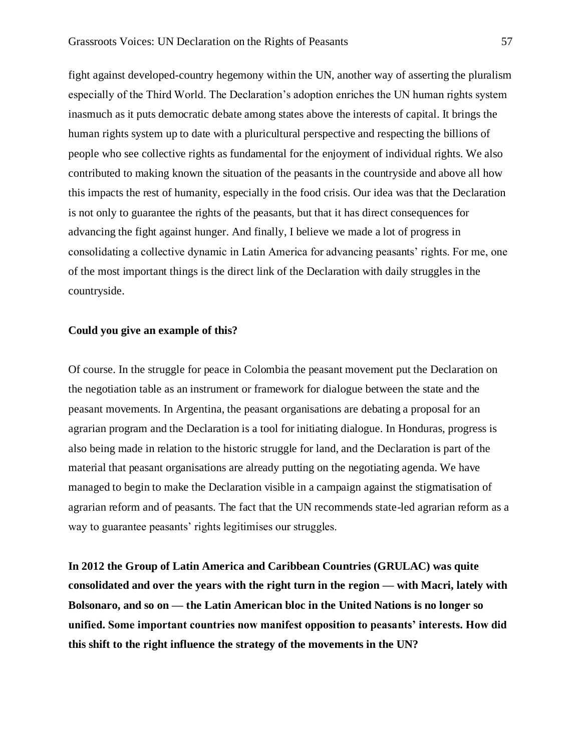fight against developed-country hegemony within the UN, another way of asserting the pluralism especially of the Third World. The Declaration's adoption enriches the UN human rights system inasmuch as it puts democratic debate among states above the interests of capital. It brings the human rights system up to date with a pluricultural perspective and respecting the billions of people who see collective rights as fundamental for the enjoyment of individual rights. We also contributed to making known the situation of the peasants in the countryside and above all how this impacts the rest of humanity, especially in the food crisis. Our idea was that the Declaration is not only to guarantee the rights of the peasants, but that it has direct consequences for advancing the fight against hunger. And finally, I believe we made a lot of progress in consolidating a collective dynamic in Latin America for advancing peasants' rights. For me, one of the most important things is the direct link of the Declaration with daily struggles in the countryside.

## **Could you give an example of this?**

Of course. In the struggle for peace in Colombia the peasant movement put the Declaration on the negotiation table as an instrument or framework for dialogue between the state and the peasant movements. In Argentina, the peasant organisations are debating a proposal for an agrarian program and the Declaration is a tool for initiating dialogue. In Honduras, progress is also being made in relation to the historic struggle for land, and the Declaration is part of the material that peasant organisations are already putting on the negotiating agenda. We have managed to begin to make the Declaration visible in a campaign against the stigmatisation of agrarian reform and of peasants. The fact that the UN recommends state-led agrarian reform as a way to guarantee peasants' rights legitimises our struggles.

**In 2012 the Group of Latin America and Caribbean Countries (GRULAC) was quite consolidated and over the years with the right turn in the region — with Macri, lately with Bolsonaro, and so on — the Latin American bloc in the United Nations is no longer so unified. Some important countries now manifest opposition to peasants' interests. How did this shift to the right influence the strategy of the movements in the UN?**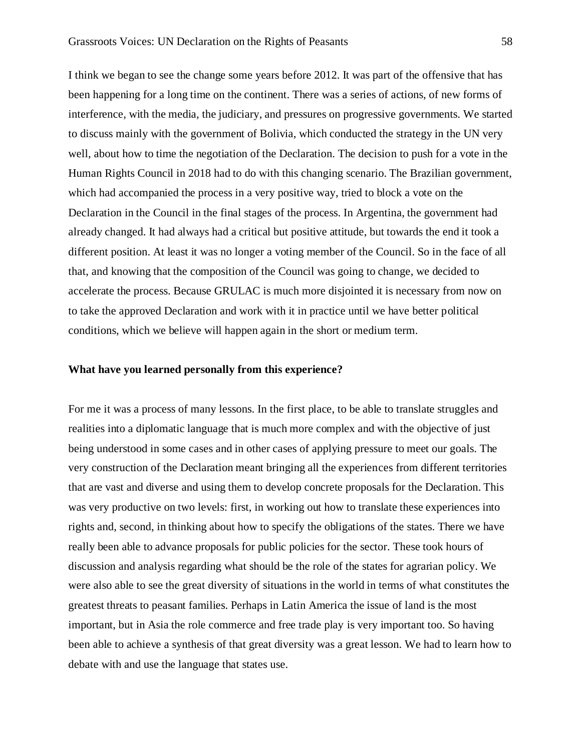I think we began to see the change some years before 2012. It was part of the offensive that has been happening for a long time on the continent. There was a series of actions, of new forms of interference, with the media, the judiciary, and pressures on progressive governments. We started to discuss mainly with the government of Bolivia, which conducted the strategy in the UN very well, about how to time the negotiation of the Declaration. The decision to push for a vote in the Human Rights Council in 2018 had to do with this changing scenario. The Brazilian government, which had accompanied the process in a very positive way, tried to block a vote on the Declaration in the Council in the final stages of the process. In Argentina, the government had already changed. It had always had a critical but positive attitude, but towards the end it took a different position. At least it was no longer a voting member of the Council. So in the face of all that, and knowing that the composition of the Council was going to change, we decided to accelerate the process. Because GRULAC is much more disjointed it is necessary from now on to take the approved Declaration and work with it in practice until we have better political conditions, which we believe will happen again in the short or medium term.

#### **What have you learned personally from this experience?**

For me it was a process of many lessons. In the first place, to be able to translate struggles and realities into a diplomatic language that is much more complex and with the objective of just being understood in some cases and in other cases of applying pressure to meet our goals. The very construction of the Declaration meant bringing all the experiences from different territories that are vast and diverse and using them to develop concrete proposals for the Declaration. This was very productive on two levels: first, in working out how to translate these experiences into rights and, second, in thinking about how to specify the obligations of the states. There we have really been able to advance proposals for public policies for the sector. These took hours of discussion and analysis regarding what should be the role of the states for agrarian policy. We were also able to see the great diversity of situations in the world in terms of what constitutes the greatest threats to peasant families. Perhaps in Latin America the issue of land is the most important, but in Asia the role commerce and free trade play is very important too. So having been able to achieve a synthesis of that great diversity was a great lesson. We had to learn how to debate with and use the language that states use.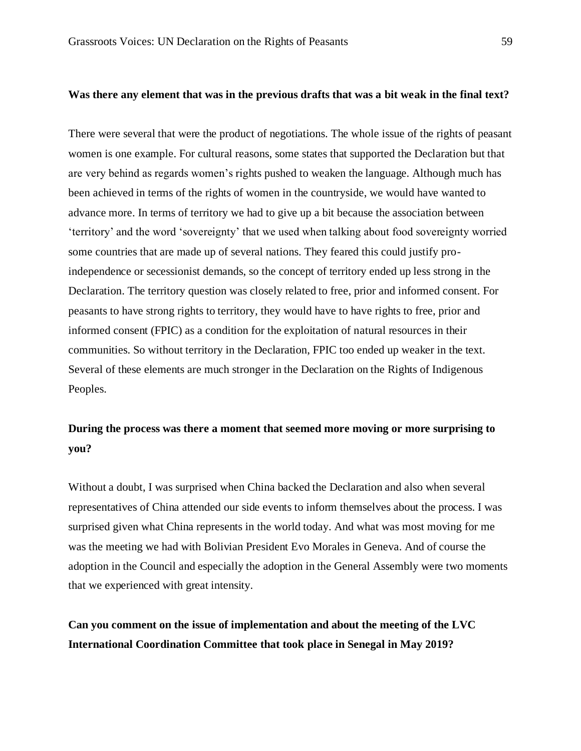## **Was there any element that was in the previous drafts that was a bit weak in the final text?**

There were several that were the product of negotiations. The whole issue of the rights of peasant women is one example. For cultural reasons, some states that supported the Declaration but that are very behind as regards women's rights pushed to weaken the language. Although much has been achieved in terms of the rights of women in the countryside, we would have wanted to advance more. In terms of territory we had to give up a bit because the association between 'territory' and the word 'sovereignty' that we used when talking about food sovereignty worried some countries that are made up of several nations. They feared this could justify proindependence or secessionist demands, so the concept of territory ended up less strong in the Declaration. The territory question was closely related to free, prior and informed consent. For peasants to have strong rights to territory, they would have to have rights to free, prior and informed consent (FPIC) as a condition for the exploitation of natural resources in their communities. So without territory in the Declaration, FPIC too ended up weaker in the text. Several of these elements are much stronger in the Declaration on the Rights of Indigenous Peoples.

## **During the process was there a moment that seemed more moving or more surprising to you?**

Without a doubt, I was surprised when China backed the Declaration and also when several representatives of China attended our side events to inform themselves about the process. I was surprised given what China represents in the world today. And what was most moving for me was the meeting we had with Bolivian President Evo Morales in Geneva. And of course the adoption in the Council and especially the adoption in the General Assembly were two moments that we experienced with great intensity.

**Can you comment on the issue of implementation and about the meeting of the LVC International Coordination Committee that took place in Senegal in May 2019?**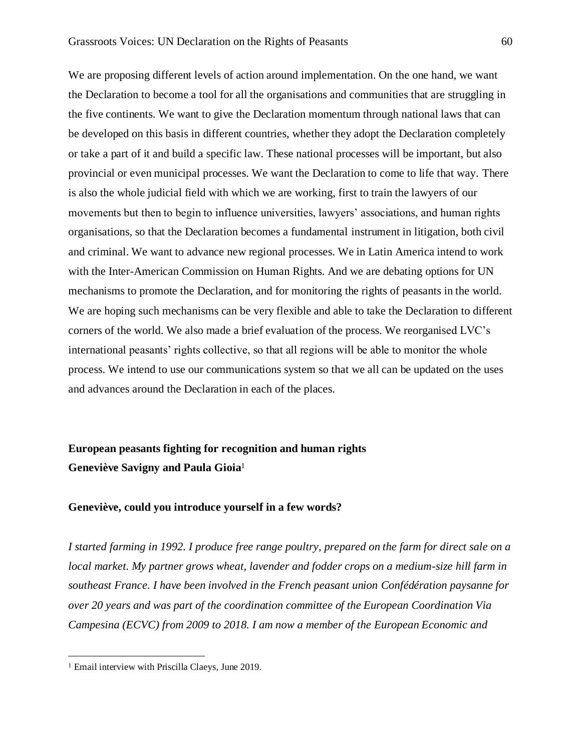We are proposing different levels of action around implementation. On the one hand, we want the Declaration to become a tool for all the organisations and communities that are struggling in the five continents. We want to give the Declaration momentum through national laws that can be developed on this basis in different countries, whether they adopt the Declaration completely or take a part of it and build a specific law. These national processes will be important, but also provincial or even municipal processes. We want the Declaration to come to life that way. There is also the whole judicial field with which we are working, first to train the lawyers of our movements but then to begin to influence universities, lawyers' associations, and human rights organisations, so that the Declaration becomes a fundamental instrument in litigation, both civil and criminal. We want to advance new regional processes. We in Latin America intend to work with the Inter-American Commission on Human Rights. And we are debating options for UN mechanisms to promote the Declaration, and for monitoring the rights of peasants in the world. We are hoping such mechanisms can be very flexible and able to take the Declaration to different corners of the world. We also made a brief evaluation of the process. We reorganised LVC's international peasants' rights collective, so that all regions will be able to monitor the whole process. We intend to use our communications system so that we all can be updated on the uses and advances around the Declaration in each of the places.

# **European peasants fighting for recognition and human rights Geneviève Savigny and Paula Gioia**<sup>1</sup>

## **Geneviève, could you introduce yourself in a few words?**

*I started farming in 1992. I produce free range poultry, prepared on the farm for direct sale on a local market. My partner grows wheat, lavender and fodder crops on a medium-size hill farm in southeast France. I have been involved in the French peasant union Confédération paysanne for over 20 years and was part of the coordination committee of the European Coordination Via Campesina (ECVC) from 2009 to 2018. I am now a member of the European Economic and* 

<sup>1</sup> Email interview with Priscilla Claeys, June 2019.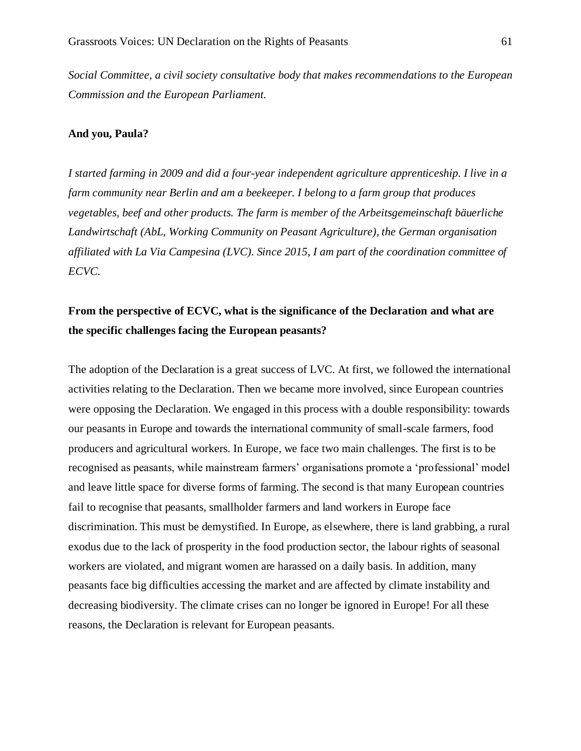*Social Committee, a civil society consultative body that makes recommendations to the European Commission and the European Parliament.* 

#### **And you, Paula?**

*I started farming in 2009 and did a four-year independent agriculture apprenticeship. I live in a farm community near Berlin and am a beekeeper. I belong to a farm group that produces vegetables, beef and other products. The farm is member of the Arbeitsgemeinschaft bäuerliche Landwirtschaft (AbL, Working Community on Peasant Agriculture), the German organisation affiliated with La Via Campesina (LVC). Since 2015, I am part of the coordination committee of ECVC.*

# **From the perspective of ECVC, what is the significance of the Declaration and what are the specific challenges facing the European peasants?**

The adoption of the Declaration is a great success of LVC. At first, we followed the international activities relating to the Declaration. Then we became more involved, since European countries were opposing the Declaration. We engaged in this process with a double responsibility: towards our peasants in Europe and towards the international community of small-scale farmers, food producers and agricultural workers. In Europe, we face two main challenges. The first is to be recognised as peasants, while mainstream farmers' organisations promote a 'professional' model and leave little space for diverse forms of farming. The second is that many European countries fail to recognise that peasants, smallholder farmers and land workers in Europe face discrimination. This must be demystified. In Europe, as elsewhere, there is land grabbing, a rural exodus due to the lack of prosperity in the food production sector, the labour rights of seasonal workers are violated, and migrant women are harassed on a daily basis. In addition, many peasants face big difficulties accessing the market and are affected by climate instability and decreasing biodiversity. The climate crises can no longer be ignored in Europe! For all these reasons, the Declaration is relevant for European peasants.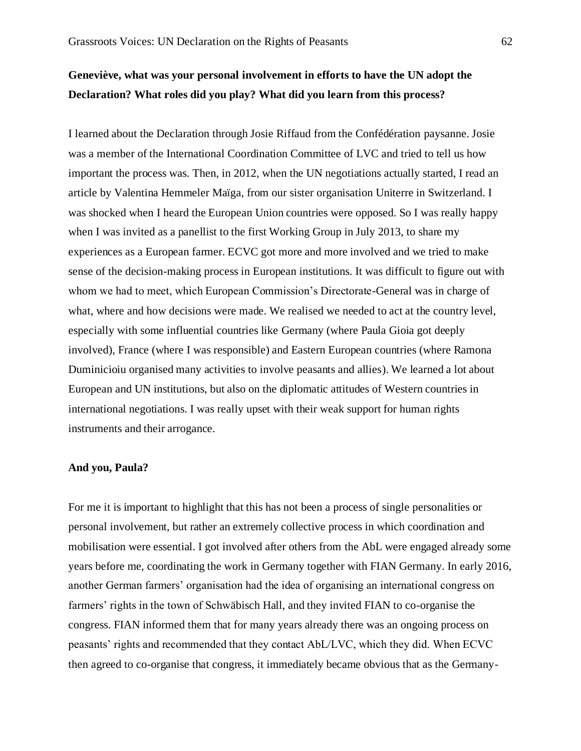# **Geneviève, what was your personal involvement in efforts to have the UN adopt the Declaration? What roles did you play? What did you learn from this process?**

I learned about the Declaration through Josie Riffaud from the Confédération paysanne. Josie was a member of the International Coordination Committee of LVC and tried to tell us how important the process was. Then, in 2012, when the UN negotiations actually started, I read an article by Valentina Hemmeler Maïga, from our sister organisation Uniterre in Switzerland. I was shocked when I heard the European Union countries were opposed. So I was really happy when I was invited as a panellist to the first Working Group in July 2013, to share my experiences as a European farmer. ECVC got more and more involved and we tried to make sense of the decision-making process in European institutions. It was difficult to figure out with whom we had to meet, which European Commission's Directorate-General was in charge of what, where and how decisions were made. We realised we needed to act at the country level, especially with some influential countries like Germany (where Paula Gioia got deeply involved), France (where I was responsible) and Eastern European countries (where Ramona Duminicioiu organised many activities to involve peasants and allies). We learned a lot about European and UN institutions, but also on the diplomatic attitudes of Western countries in international negotiations. I was really upset with their weak support for human rights instruments and their arrogance.

#### **And you, Paula?**

For me it is important to highlight that this has not been a process of single personalities or personal involvement, but rather an extremely collective process in which coordination and mobilisation were essential. I got involved after others from the AbL were engaged already some years before me, coordinating the work in Germany together with FIAN Germany. In early 2016, another German farmers' organisation had the idea of organising an international congress on farmers' rights in the town of Schwäbisch Hall, and they invited FIAN to co-organise the congress. FIAN informed them that for many years already there was an ongoing process on peasants' rights and recommended that they contact AbL/LVC, which they did. When ECVC then agreed to co-organise that congress, it immediately became obvious that as the Germany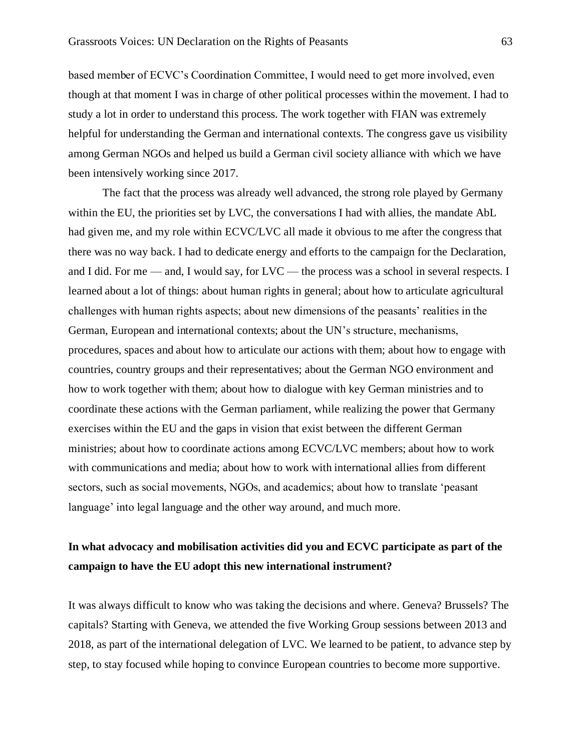based member of ECVC's Coordination Committee, I would need to get more involved, even though at that moment I was in charge of other political processes within the movement. I had to study a lot in order to understand this process. The work together with FIAN was extremely helpful for understanding the German and international contexts. The congress gave us visibility among German NGOs and helped us build a German civil society alliance with which we have been intensively working since 2017.

The fact that the process was already well advanced, the strong role played by Germany within the EU, the priorities set by LVC, the conversations I had with allies, the mandate AbL had given me, and my role within ECVC/LVC all made it obvious to me after the congress that there was no way back. I had to dedicate energy and efforts to the campaign for the Declaration, and I did. For me — and, I would say, for LVC — the process was a school in several respects. I learned about a lot of things: about human rights in general; about how to articulate agricultural challenges with human rights aspects; about new dimensions of the peasants' realities in the German, European and international contexts; about the UN's structure, mechanisms, procedures, spaces and about how to articulate our actions with them; about how to engage with countries, country groups and their representatives; about the German NGO environment and how to work together with them; about how to dialogue with key German ministries and to coordinate these actions with the German parliament, while realizing the power that Germany exercises within the EU and the gaps in vision that exist between the different German ministries; about how to coordinate actions among ECVC/LVC members; about how to work with communications and media; about how to work with international allies from different sectors, such as social movements, NGOs, and academics; about how to translate 'peasant language' into legal language and the other way around, and much more.

## **In what advocacy and mobilisation activities did you and ECVC participate as part of the campaign to have the EU adopt this new international instrument?**

It was always difficult to know who was taking the decisions and where. Geneva? Brussels? The capitals? Starting with Geneva, we attended the five Working Group sessions between 2013 and 2018, as part of the international delegation of LVC. We learned to be patient, to advance step by step, to stay focused while hoping to convince European countries to become more supportive.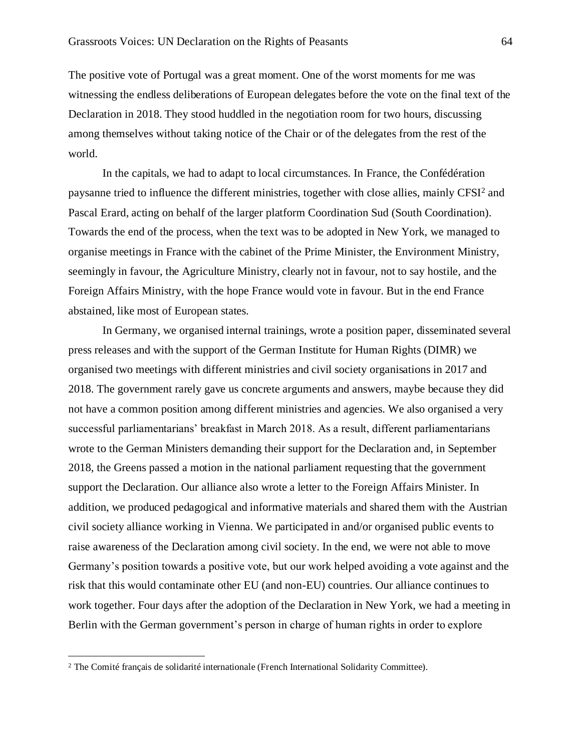The positive vote of Portugal was a great moment. One of the worst moments for me was witnessing the endless deliberations of European delegates before the vote on the final text of the Declaration in 2018. They stood huddled in the negotiation room for two hours, discussing among themselves without taking notice of the Chair or of the delegates from the rest of the world.

In the capitals, we had to adapt to local circumstances. In France, the Confédération paysanne tried to influence the different ministries, together with close allies, mainly CFSI<sup>2</sup> and Pascal Erard, acting on behalf of the larger platform Coordination Sud (South Coordination). Towards the end of the process, when the text was to be adopted in New York, we managed to organise meetings in France with the cabinet of the Prime Minister, the Environment Ministry, seemingly in favour, the Agriculture Ministry, clearly not in favour, not to say hostile, and the Foreign Affairs Ministry, with the hope France would vote in favour. But in the end France abstained, like most of European states.

In Germany, we organised internal trainings, wrote a position paper, disseminated several press releases and with the support of the German Institute for Human Rights (DIMR) we organised two meetings with different ministries and civil society organisations in 2017 and 2018. The government rarely gave us concrete arguments and answers, maybe because they did not have a common position among different ministries and agencies. We also organised a very successful parliamentarians' breakfast in March 2018. As a result, different parliamentarians wrote to the German Ministers demanding their support for the Declaration and, in September 2018, the Greens passed a motion in the national parliament requesting that the government support the Declaration. Our alliance also wrote a letter to the Foreign Affairs Minister. In addition, we produced pedagogical and informative materials and shared them with the Austrian civil society alliance working in Vienna. We participated in and/or organised public events to raise awareness of the Declaration among civil society. In the end, we were not able to move Germany's position towards a positive vote, but our work helped avoiding a vote against and the risk that this would contaminate other EU (and non-EU) countries. Our alliance continues to work together. Four days after the adoption of the Declaration in New York, we had a meeting in Berlin with the German government's person in charge of human rights in order to explore

<sup>&</sup>lt;sup>2</sup> The Comité français de solidarité internationale (French International Solidarity Committee).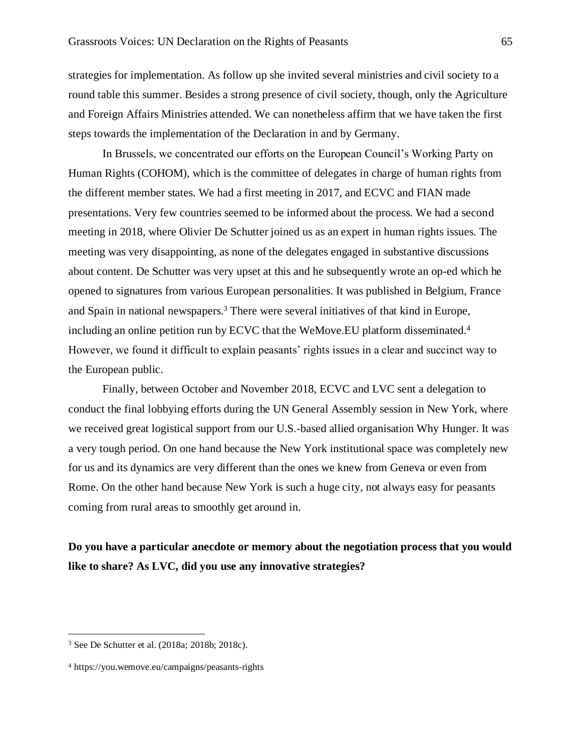strategies for implementation. As follow up she invited several ministries and civil society to a round table this summer. Besides a strong presence of civil society, though, only the Agriculture and Foreign Affairs Ministries attended. We can nonetheless affirm that we have taken the first steps towards the implementation of the Declaration in and by Germany.

In Brussels, we concentrated our efforts on the European Council's Working Party on Human Rights (COHOM), which is the committee of delegates in charge of human rights from the different member states. We had a first meeting in 2017, and ECVC and FIAN made presentations. Very few countries seemed to be informed about the process. We had a second meeting in 2018, where Olivier De Schutter joined us as an expert in human rights issues. The meeting was very disappointing, as none of the delegates engaged in substantive discussions about content. De Schutter was very upset at this and he subsequently wrote an op-ed which he opened to signatures from various European personalities. It was published in Belgium, France and Spain in national newspapers.<sup>3</sup> There were several initiatives of that kind in Europe, including an online petition run by ECVC that the WeMove.EU platform disseminated.<sup>4</sup> However, we found it difficult to explain peasants' rights issues in a clear and succinct way to the European public.

Finally, between October and November 2018, ECVC and LVC sent a delegation to conduct the final lobbying efforts during the UN General Assembly session in New York, where we received great logistical support from our U.S.-based allied organisation Why Hunger. It was a very tough period. On one hand because the New York institutional space was completely new for us and its dynamics are very different than the ones we knew from Geneva or even from Rome. On the other hand because New York is such a huge city, not always easy for peasants coming from rural areas to smoothly get around in.

**Do you have a particular anecdote or memory about the negotiation process that you would like to share? As LVC, did you use any innovative strategies?**

<sup>3</sup> See De Schutter et al. (2018a; 2018b; 2018c).

<sup>4</sup> https://you.wemove.eu/campaigns/peasants-rights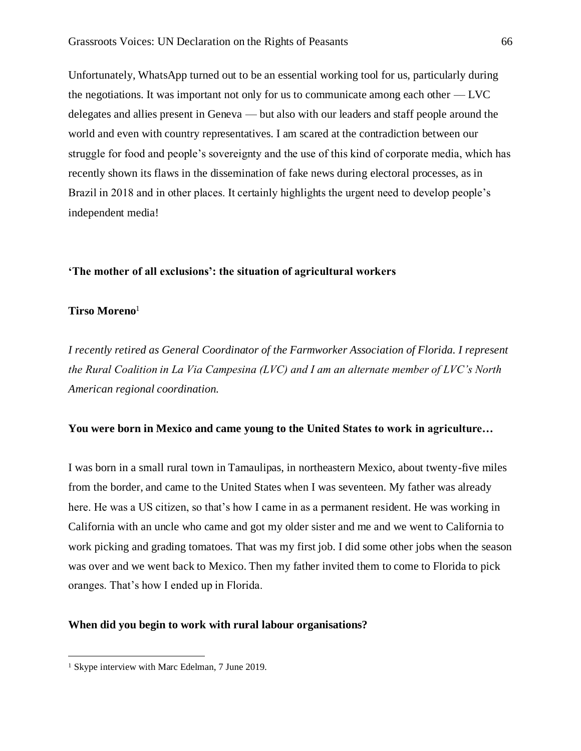Unfortunately, WhatsApp turned out to be an essential working tool for us, particularly during the negotiations. It was important not only for us to communicate among each other — LVC delegates and allies present in Geneva — but also with our leaders and staff people around the world and even with country representatives. I am scared at the contradiction between our struggle for food and people's sovereignty and the use of this kind of corporate media, which has recently shown its flaws in the dissemination of fake news during electoral processes, as in Brazil in 2018 and in other places. It certainly highlights the urgent need to develop people's independent media!

### **'The mother of all exclusions': the situation of agricultural workers**

#### **Tirso Moreno**<sup>1</sup>

*I recently retired as General Coordinator of the Farmworker Association of Florida. I represent the Rural Coalition in La Via Campesina (LVC) and I am an alternate member of LVC's North American regional coordination.*

#### **You were born in Mexico and came young to the United States to work in agriculture…**

I was born in a small rural town in Tamaulipas, in northeastern Mexico, about twenty-five miles from the border, and came to the United States when I was seventeen. My father was already here. He was a US citizen, so that's how I came in as a permanent resident. He was working in California with an uncle who came and got my older sister and me and we went to California to work picking and grading tomatoes. That was my first job. I did some other jobs when the season was over and we went back to Mexico. Then my father invited them to come to Florida to pick oranges. That's how I ended up in Florida.

#### **When did you begin to work with rural labour organisations?**

<sup>&</sup>lt;sup>1</sup> Skype interview with Marc Edelman, 7 June 2019.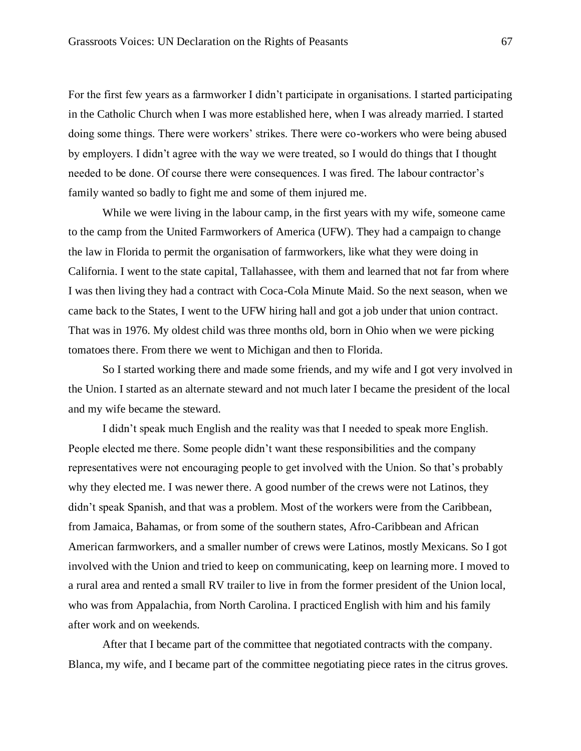For the first few years as a farmworker I didn't participate in organisations. I started participating in the Catholic Church when I was more established here, when I was already married. I started doing some things. There were workers' strikes. There were co-workers who were being abused by employers. I didn't agree with the way we were treated, so I would do things that I thought needed to be done. Of course there were consequences. I was fired. The labour contractor's family wanted so badly to fight me and some of them injured me.

While we were living in the labour camp, in the first years with my wife, someone came to the camp from the United Farmworkers of America (UFW). They had a campaign to change the law in Florida to permit the organisation of farmworkers, like what they were doing in California. I went to the state capital, Tallahassee, with them and learned that not far from where I was then living they had a contract with Coca-Cola Minute Maid. So the next season, when we came back to the States, I went to the UFW hiring hall and got a job under that union contract. That was in 1976. My oldest child was three months old, born in Ohio when we were picking tomatoes there. From there we went to Michigan and then to Florida.

So I started working there and made some friends, and my wife and I got very involved in the Union. I started as an alternate steward and not much later I became the president of the local and my wife became the steward.

I didn't speak much English and the reality was that I needed to speak more English. People elected me there. Some people didn't want these responsibilities and the company representatives were not encouraging people to get involved with the Union. So that's probably why they elected me. I was newer there. A good number of the crews were not Latinos, they didn't speak Spanish, and that was a problem. Most of the workers were from the Caribbean, from Jamaica, Bahamas, or from some of the southern states, Afro-Caribbean and African American farmworkers, and a smaller number of crews were Latinos, mostly Mexicans. So I got involved with the Union and tried to keep on communicating, keep on learning more. I moved to a rural area and rented a small RV trailer to live in from the former president of the Union local, who was from Appalachia, from North Carolina. I practiced English with him and his family after work and on weekends.

After that I became part of the committee that negotiated contracts with the company. Blanca, my wife, and I became part of the committee negotiating piece rates in the citrus groves.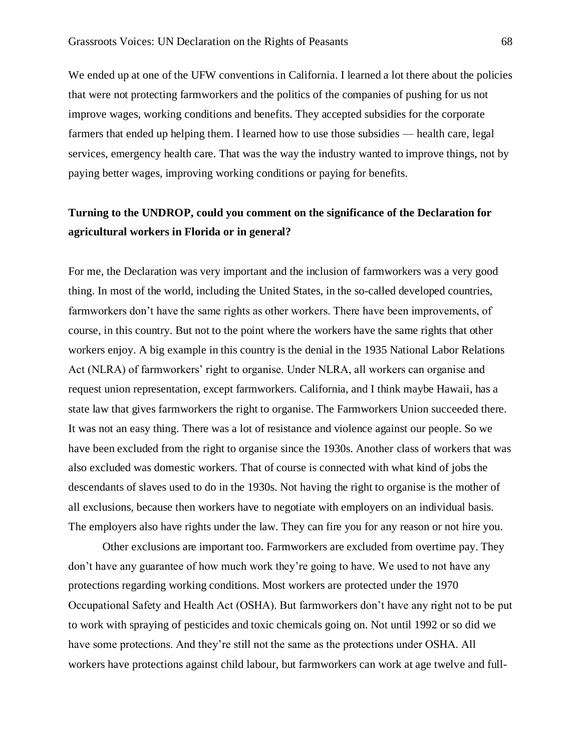We ended up at one of the UFW conventions in California. I learned a lot there about the policies that were not protecting farmworkers and the politics of the companies of pushing for us not improve wages, working conditions and benefits. They accepted subsidies for the corporate farmers that ended up helping them. I learned how to use those subsidies — health care, legal services, emergency health care. That was the way the industry wanted to improve things, not by paying better wages, improving working conditions or paying for benefits.

## **Turning to the UNDROP, could you comment on the significance of the Declaration for agricultural workers in Florida or in general?**

For me, the Declaration was very important and the inclusion of farmworkers was a very good thing. In most of the world, including the United States, in the so-called developed countries, farmworkers don't have the same rights as other workers. There have been improvements, of course, in this country. But not to the point where the workers have the same rights that other workers enjoy. A big example in this country is the denial in the 1935 National Labor Relations Act (NLRA) of farmworkers' right to organise. Under NLRA, all workers can organise and request union representation, except farmworkers. California, and I think maybe Hawaii, has a state law that gives farmworkers the right to organise. The Farmworkers Union succeeded there. It was not an easy thing. There was a lot of resistance and violence against our people. So we have been excluded from the right to organise since the 1930s. Another class of workers that was also excluded was domestic workers. That of course is connected with what kind of jobs the descendants of slaves used to do in the 1930s. Not having the right to organise is the mother of all exclusions, because then workers have to negotiate with employers on an individual basis. The employers also have rights under the law. They can fire you for any reason or not hire you.

Other exclusions are important too. Farmworkers are excluded from overtime pay. They don't have any guarantee of how much work they're going to have. We used to not have any protections regarding working conditions. Most workers are protected under the 1970 Occupational Safety and Health Act (OSHA). But farmworkers don't have any right not to be put to work with spraying of pesticides and toxic chemicals going on. Not until 1992 or so did we have some protections. And they're still not the same as the protections under OSHA. All workers have protections against child labour, but farmworkers can work at age twelve and full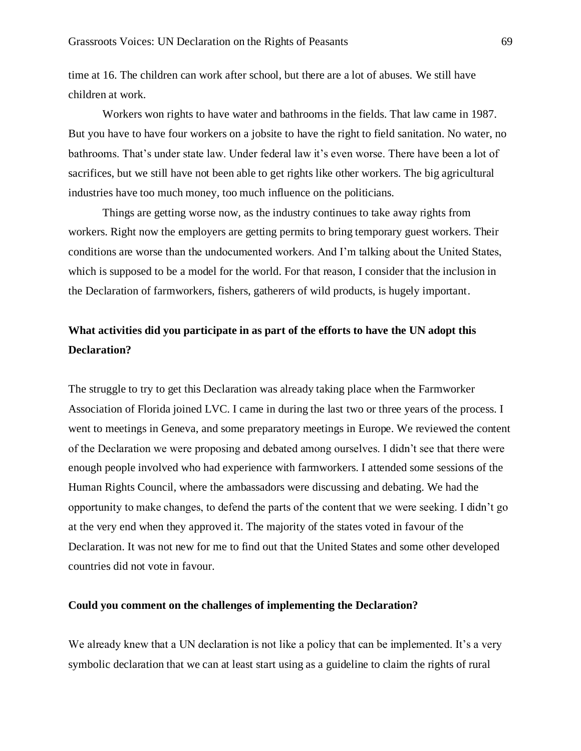time at 16. The children can work after school, but there are a lot of abuses. We still have children at work.

Workers won rights to have water and bathrooms in the fields. That law came in 1987. But you have to have four workers on a jobsite to have the right to field sanitation. No water, no bathrooms. That's under state law. Under federal law it's even worse. There have been a lot of sacrifices, but we still have not been able to get rights like other workers. The big agricultural industries have too much money, too much influence on the politicians.

Things are getting worse now, as the industry continues to take away rights from workers. Right now the employers are getting permits to bring temporary guest workers. Their conditions are worse than the undocumented workers. And I'm talking about the United States, which is supposed to be a model for the world. For that reason, I consider that the inclusion in the Declaration of farmworkers, fishers, gatherers of wild products, is hugely important.

# **What activities did you participate in as part of the efforts to have the UN adopt this Declaration?**

The struggle to try to get this Declaration was already taking place when the Farmworker Association of Florida joined LVC. I came in during the last two or three years of the process. I went to meetings in Geneva, and some preparatory meetings in Europe. We reviewed the content of the Declaration we were proposing and debated among ourselves. I didn't see that there were enough people involved who had experience with farmworkers. I attended some sessions of the Human Rights Council, where the ambassadors were discussing and debating. We had the opportunity to make changes, to defend the parts of the content that we were seeking. I didn't go at the very end when they approved it. The majority of the states voted in favour of the Declaration. It was not new for me to find out that the United States and some other developed countries did not vote in favour.

### **Could you comment on the challenges of implementing the Declaration?**

We already knew that a UN declaration is not like a policy that can be implemented. It's a very symbolic declaration that we can at least start using as a guideline to claim the rights of rural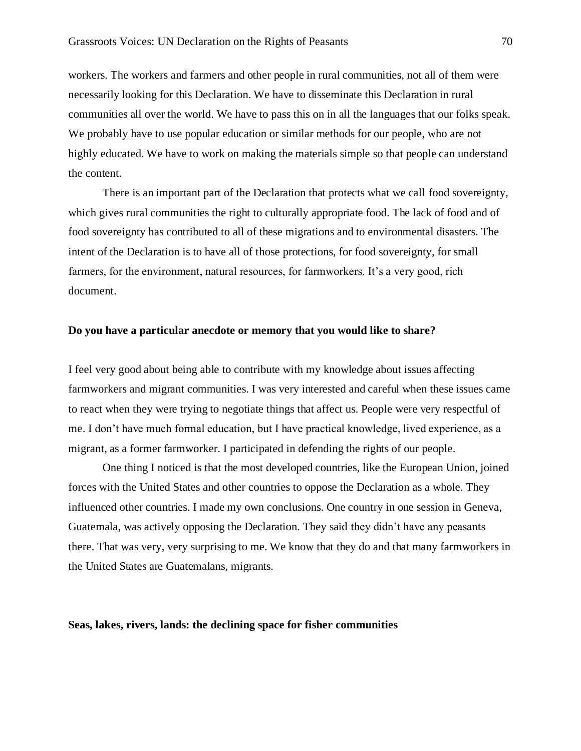workers. The workers and farmers and other people in rural communities, not all of them were necessarily looking for this Declaration. We have to disseminate this Declaration in rural communities all over the world. We have to pass this on in all the languages that our folks speak. We probably have to use popular education or similar methods for our people, who are not highly educated. We have to work on making the materials simple so that people can understand the content.

There is an important part of the Declaration that protects what we call food sovereignty, which gives rural communities the right to culturally appropriate food. The lack of food and of food sovereignty has contributed to all of these migrations and to environmental disasters. The intent of the Declaration is to have all of those protections, for food sovereignty, for small farmers, for the environment, natural resources, for farmworkers. It's a very good, rich document.

#### **Do you have a particular anecdote or memory that you would like to share?**

I feel very good about being able to contribute with my knowledge about issues affecting farmworkers and migrant communities. I was very interested and careful when these issues came to react when they were trying to negotiate things that affect us. People were very respectful of me. I don't have much formal education, but I have practical knowledge, lived experience, as a migrant, as a former farmworker. I participated in defending the rights of our people.

One thing I noticed is that the most developed countries, like the European Union, joined forces with the United States and other countries to oppose the Declaration as a whole. They influenced other countries. I made my own conclusions. One country in one session in Geneva, Guatemala, was actively opposing the Declaration. They said they didn't have any peasants there. That was very, very surprising to me. We know that they do and that many farmworkers in the United States are Guatemalans, migrants.

### **Seas, lakes, rivers, lands: the declining space for fisher communities**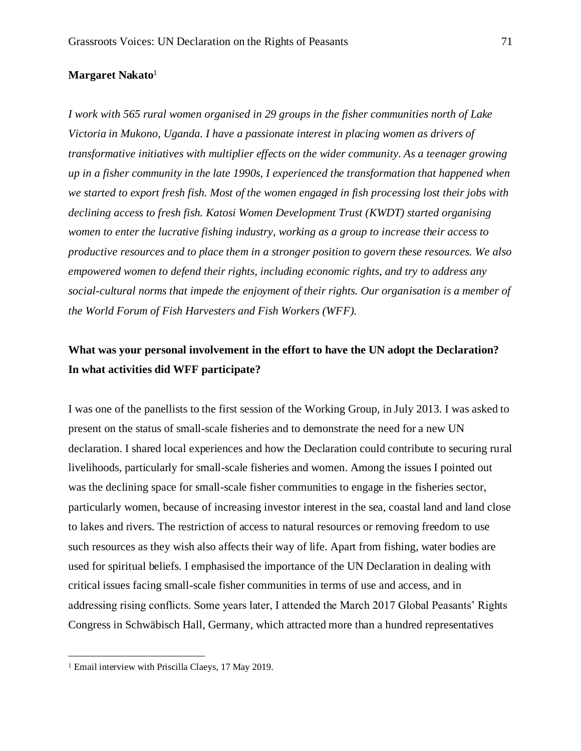#### **Margaret Nakato**<sup>1</sup>

*I work with 565 rural women organised in 29 groups in the fisher communities north of Lake Victoria in Mukono, Uganda. I have a passionate interest in placing women as drivers of transformative initiatives with multiplier effects on the wider community. As a teenager growing up in a fisher community in the late 1990s, I experienced the transformation that happened when we started to export fresh fish. Most of the women engaged in fish processing lost their jobs with declining access to fresh fish. Katosi Women Development Trust (KWDT) started organising women to enter the lucrative fishing industry, working as a group to increase their access to productive resources and to place them in a stronger position to govern these resources. We also empowered women to defend their rights, including economic rights, and try to address any social-cultural norms that impede the enjoyment of their rights. Our organisation is a member of the World Forum of Fish Harvesters and Fish Workers (WFF).*

## **What was your personal involvement in the effort to have the UN adopt the Declaration? In what activities did WFF participate?**

I was one of the panellists to the first session of the Working Group, in July 2013. I was asked to present on the status of small-scale fisheries and to demonstrate the need for a new UN declaration. I shared local experiences and how the Declaration could contribute to securing rural livelihoods, particularly for small-scale fisheries and women. Among the issues I pointed out was the declining space for small-scale fisher communities to engage in the fisheries sector, particularly women, because of increasing investor interest in the sea, coastal land and land close to lakes and rivers. The restriction of access to natural resources or removing freedom to use such resources as they wish also affects their way of life. Apart from fishing, water bodies are used for spiritual beliefs. I emphasised the importance of the UN Declaration in dealing with critical issues facing small-scale fisher communities in terms of use and access, and in addressing rising conflicts. Some years later, I attended the March 2017 Global Peasants' Rights Congress in Schwäbisch Hall, Germany, which attracted more than a hundred representatives

<sup>&</sup>lt;sup>1</sup> Email interview with Priscilla Claeys, 17 May 2019.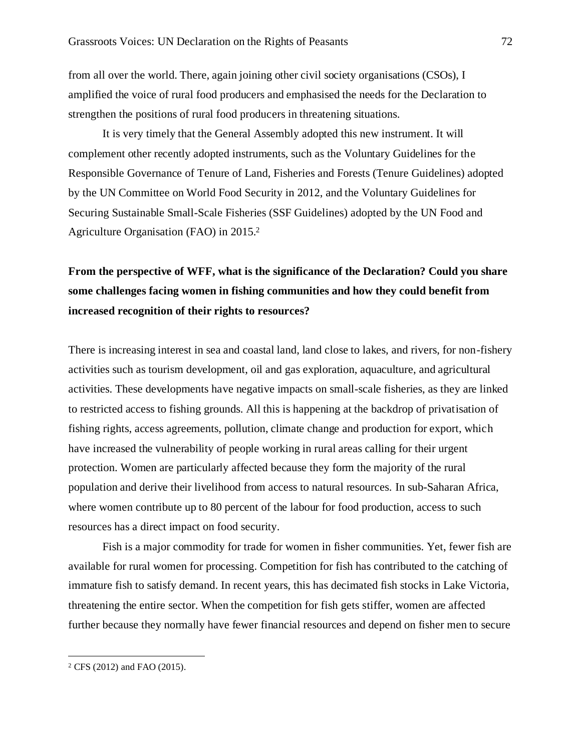from all over the world. There, again joining other civil society organisations (CSOs), I amplified the voice of rural food producers and emphasised the needs for the Declaration to strengthen the positions of rural food producers in threatening situations.

It is very timely that the General Assembly adopted this new instrument. It will complement other recently adopted instruments, such as the Voluntary Guidelines for the Responsible Governance of Tenure of Land, Fisheries and Forests (Tenure Guidelines) adopted by the UN Committee on World Food Security in 2012, and the Voluntary Guidelines for Securing Sustainable Small-Scale Fisheries (SSF Guidelines) adopted by the UN Food and Agriculture Organisation (FAO) in 2015.<sup>2</sup>

# **From the perspective of WFF, what is the significance of the Declaration? Could you share some challenges facing women in fishing communities and how they could benefit from increased recognition of their rights to resources?**

There is increasing interest in sea and coastal land, land close to lakes, and rivers, for non-fishery activities such as tourism development, oil and gas exploration, aquaculture, and agricultural activities. These developments have negative impacts on small-scale fisheries, as they are linked to restricted access to fishing grounds. All this is happening at the backdrop of privatisation of fishing rights, access agreements, pollution, climate change and production for export, which have increased the vulnerability of people working in rural areas calling for their urgent protection. Women are particularly affected because they form the majority of the rural population and derive their livelihood from access to natural resources. In sub-Saharan Africa, where women contribute up to 80 percent of the labour for food production, access to such resources has a direct impact on food security.

Fish is a major commodity for trade for women in fisher communities. Yet, fewer fish are available for rural women for processing. Competition for fish has contributed to the catching of immature fish to satisfy demand. In recent years, this has decimated fish stocks in Lake Victoria, threatening the entire sector. When the competition for fish gets stiffer, women are affected further because they normally have fewer financial resources and depend on fisher men to secure

<sup>2</sup> CFS (2012) and FAO (2015).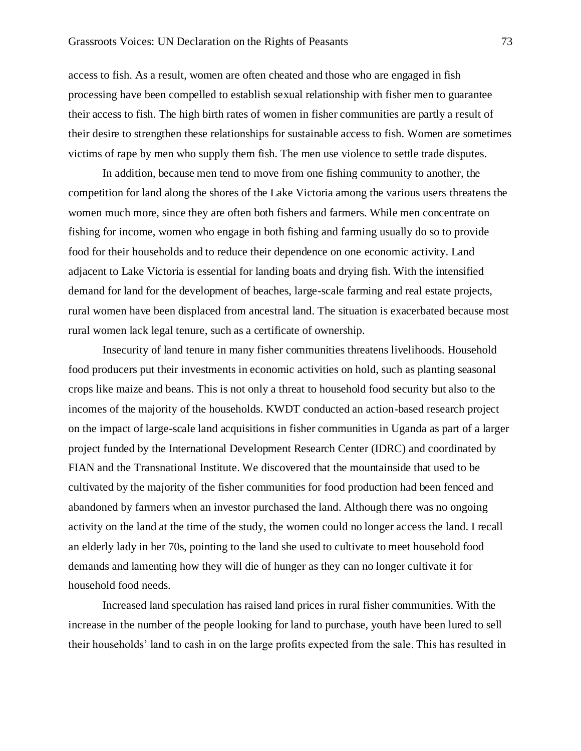access to fish. As a result, women are often cheated and those who are engaged in fish processing have been compelled to establish sexual relationship with fisher men to guarantee their access to fish. The high birth rates of women in fisher communities are partly a result of their desire to strengthen these relationships for sustainable access to fish. Women are sometimes victims of rape by men who supply them fish. The men use violence to settle trade disputes.

In addition, because men tend to move from one fishing community to another, the competition for land along the shores of the Lake Victoria among the various users threatens the women much more, since they are often both fishers and farmers. While men concentrate on fishing for income, women who engage in both fishing and farming usually do so to provide food for their households and to reduce their dependence on one economic activity. Land adjacent to Lake Victoria is essential for landing boats and drying fish. With the intensified demand for land for the development of beaches, large-scale farming and real estate projects, rural women have been displaced from ancestral land. The situation is exacerbated because most rural women lack legal tenure, such as a certificate of ownership.

Insecurity of land tenure in many fisher communities threatens livelihoods. Household food producers put their investments in economic activities on hold, such as planting seasonal crops like maize and beans. This is not only a threat to household food security but also to the incomes of the majority of the households. KWDT conducted an action-based research project on the impact of large-scale land acquisitions in fisher communities in Uganda as part of a larger project funded by the International Development Research Center (IDRC) and coordinated by FIAN and the Transnational Institute. We discovered that the mountainside that used to be cultivated by the majority of the fisher communities for food production had been fenced and abandoned by farmers when an investor purchased the land. Although there was no ongoing activity on the land at the time of the study, the women could no longer access the land. I recall an elderly lady in her 70s, pointing to the land she used to cultivate to meet household food demands and lamenting how they will die of hunger as they can no longer cultivate it for household food needs.

Increased land speculation has raised land prices in rural fisher communities. With the increase in the number of the people looking for land to purchase, youth have been lured to sell their households' land to cash in on the large profits expected from the sale. This has resulted in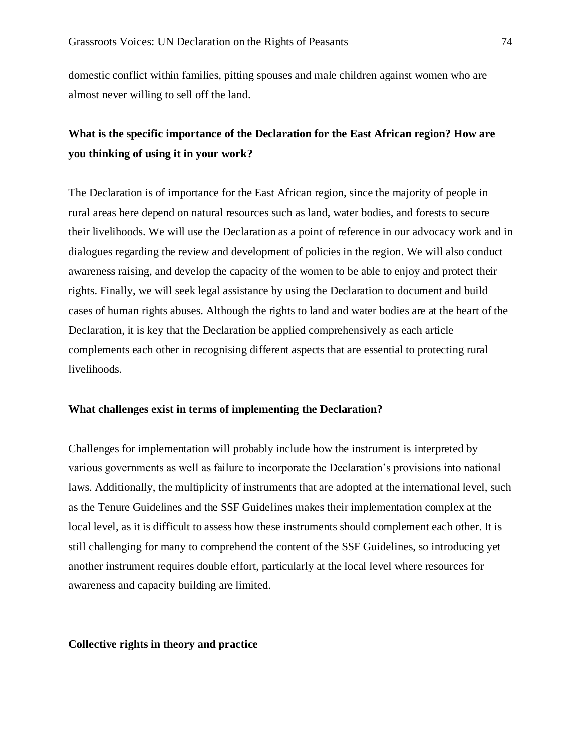domestic conflict within families, pitting spouses and male children against women who are almost never willing to sell off the land.

## **What is the specific importance of the Declaration for the East African region? How are you thinking of using it in your work?**

The Declaration is of importance for the East African region, since the majority of people in rural areas here depend on natural resources such as land, water bodies, and forests to secure their livelihoods. We will use the Declaration as a point of reference in our advocacy work and in dialogues regarding the review and development of policies in the region. We will also conduct awareness raising, and develop the capacity of the women to be able to enjoy and protect their rights. Finally, we will seek legal assistance by using the Declaration to document and build cases of human rights abuses. Although the rights to land and water bodies are at the heart of the Declaration, it is key that the Declaration be applied comprehensively as each article complements each other in recognising different aspects that are essential to protecting rural livelihoods.

## **What challenges exist in terms of implementing the Declaration?**

Challenges for implementation will probably include how the instrument is interpreted by various governments as well as failure to incorporate the Declaration's provisions into national laws. Additionally, the multiplicity of instruments that are adopted at the international level, such as the Tenure Guidelines and the SSF Guidelines makes their implementation complex at the local level, as it is difficult to assess how these instruments should complement each other. It is still challenging for many to comprehend the content of the SSF Guidelines, so introducing yet another instrument requires double effort, particularly at the local level where resources for awareness and capacity building are limited.

### **Collective rights in theory and practice**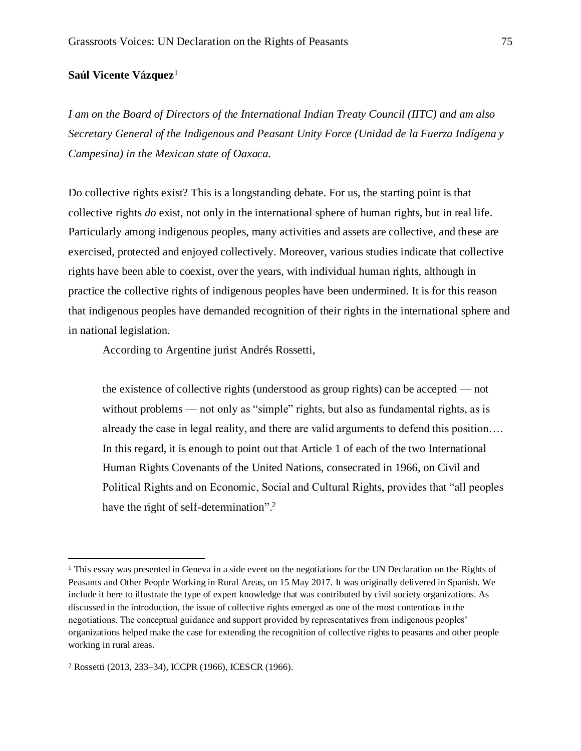## **Saúl Vicente Vázquez**<sup>1</sup>

*I am on the Board of Directors of the International Indian Treaty Council (IITC) and am also Secretary General of the Indigenous and Peasant Unity Force (Unidad de la Fuerza Indígena y Campesina) in the Mexican state of Oaxaca.* 

Do collective rights exist? This is a longstanding debate. For us, the starting point is that collective rights *do* exist, not only in the international sphere of human rights, but in real life. Particularly among indigenous peoples, many activities and assets are collective, and these are exercised, protected and enjoyed collectively. Moreover, various studies indicate that collective rights have been able to coexist, over the years, with individual human rights, although in practice the collective rights of indigenous peoples have been undermined. It is for this reason that indigenous peoples have demanded recognition of their rights in the international sphere and in national legislation.

According to Argentine jurist Andrés Rossetti,

the existence of collective rights (understood as group rights) can be accepted — not without problems — not only as "simple" rights, but also as fundamental rights, as is already the case in legal reality, and there are valid arguments to defend this position…. In this regard, it is enough to point out that Article 1 of each of the two International Human Rights Covenants of the United Nations, consecrated in 1966, on Civil and Political Rights and on Economic, Social and Cultural Rights, provides that "all peoples have the right of self-determination".<sup>2</sup>

<sup>&</sup>lt;sup>1</sup> This essay was presented in Geneva in a side event on the negotiations for the UN Declaration on the Rights of Peasants and Other People Working in Rural Areas, on 15 May 2017. It was originally delivered in Spanish. We include it here to illustrate the type of expert knowledge that was contributed by civil society organizations. As discussed in the introduction, the issue of collective rights emerged as one of the most contentious in the negotiations. The conceptual guidance and support provided by representatives from indigenous peoples' organizations helped make the case for extending the recognition of collective rights to peasants and other people working in rural areas.

<sup>2</sup> Rossetti (2013, 233–34), ICCPR (1966), ICESCR (1966).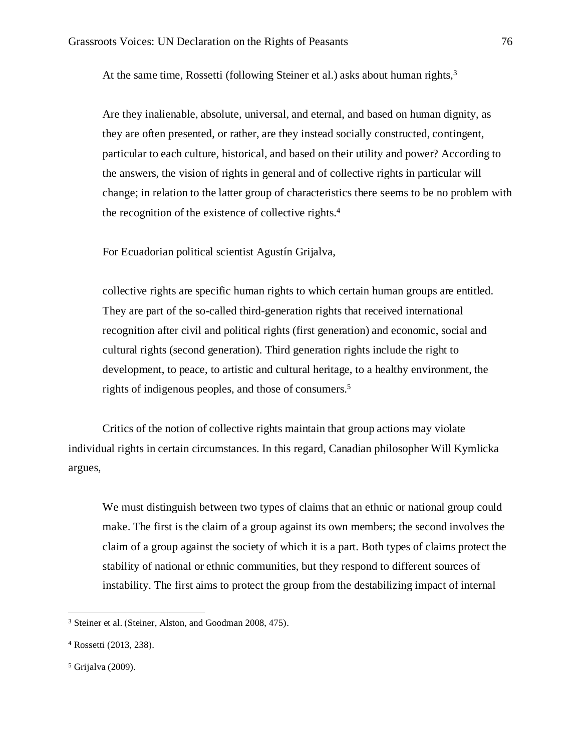At the same time, Rossetti (following Steiner et al.) asks about human rights,  $3<sup>3</sup>$ 

Are they inalienable, absolute, universal, and eternal, and based on human dignity, as they are often presented, or rather, are they instead socially constructed, contingent, particular to each culture, historical, and based on their utility and power? According to the answers, the vision of rights in general and of collective rights in particular will change; in relation to the latter group of characteristics there seems to be no problem with the recognition of the existence of collective rights.<sup>4</sup>

For Ecuadorian political scientist Agustín Grijalva,

collective rights are specific human rights to which certain human groups are entitled. They are part of the so-called third-generation rights that received international recognition after civil and political rights (first generation) and economic, social and cultural rights (second generation). Third generation rights include the right to development, to peace, to artistic and cultural heritage, to a healthy environment, the rights of indigenous peoples, and those of consumers.<sup>5</sup>

Critics of the notion of collective rights maintain that group actions may violate individual rights in certain circumstances. In this regard, Canadian philosopher Will Kymlicka argues,

We must distinguish between two types of claims that an ethnic or national group could make. The first is the claim of a group against its own members; the second involves the claim of a group against the society of which it is a part. Both types of claims protect the stability of national or ethnic communities, but they respond to different sources of instability. The first aims to protect the group from the destabilizing impact of internal

<sup>3</sup> Steiner et al. (Steiner, Alston, and Goodman 2008, 475).

<sup>4</sup> Rossetti (2013, 238).

<sup>5</sup> Grijalva (2009).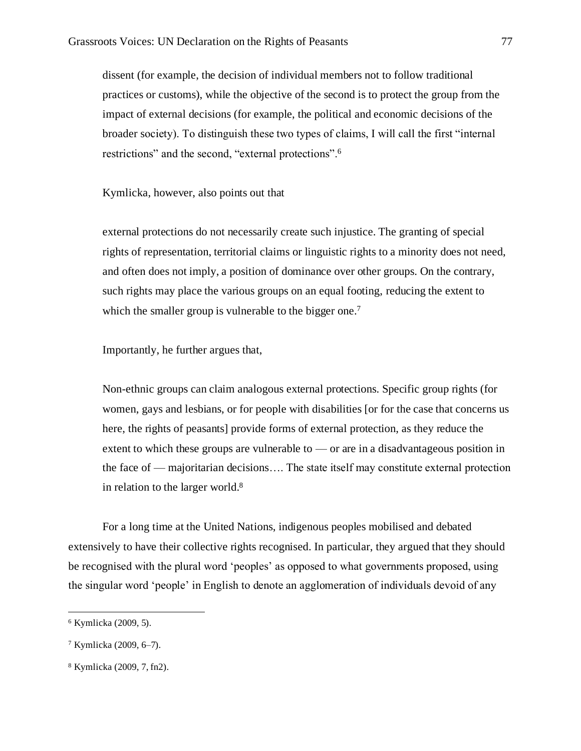dissent (for example, the decision of individual members not to follow traditional practices or customs), while the objective of the second is to protect the group from the impact of external decisions (for example, the political and economic decisions of the broader society). To distinguish these two types of claims, I will call the first "internal restrictions" and the second, "external protections".<sup>6</sup>

Kymlicka, however, also points out that

external protections do not necessarily create such injustice. The granting of special rights of representation, territorial claims or linguistic rights to a minority does not need, and often does not imply, a position of dominance over other groups. On the contrary, such rights may place the various groups on an equal footing, reducing the extent to which the smaller group is vulnerable to the bigger one.<sup>7</sup>

Importantly, he further argues that,

Non-ethnic groups can claim analogous external protections. Specific group rights (for women, gays and lesbians, or for people with disabilities [or for the case that concerns us here, the rights of peasants] provide forms of external protection, as they reduce the extent to which these groups are vulnerable to — or are in a disadvantageous position in the face of — majoritarian decisions…. The state itself may constitute external protection in relation to the larger world.<sup>8</sup>

For a long time at the United Nations, indigenous peoples mobilised and debated extensively to have their collective rights recognised. In particular, they argued that they should be recognised with the plural word 'peoples' as opposed to what governments proposed, using the singular word 'people' in English to denote an agglomeration of individuals devoid of any

<sup>6</sup> Kymlicka (2009, 5).

<sup>7</sup> Kymlicka (2009, 6–7).

<sup>8</sup> Kymlicka (2009, 7, fn2).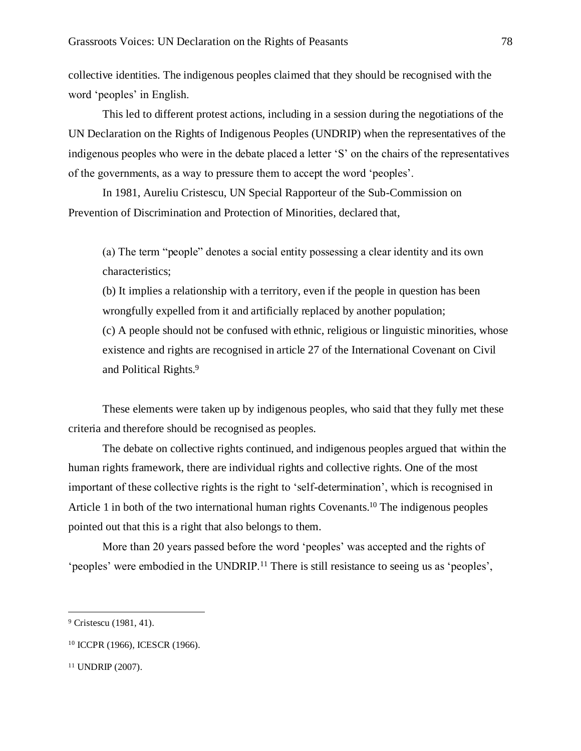collective identities. The indigenous peoples claimed that they should be recognised with the word 'peoples' in English.

This led to different protest actions, including in a session during the negotiations of the UN Declaration on the Rights of Indigenous Peoples (UNDRIP) when the representatives of the indigenous peoples who were in the debate placed a letter 'S' on the chairs of the representatives of the governments, as a way to pressure them to accept the word 'peoples'.

In 1981, Aureliu Cristescu, UN Special Rapporteur of the Sub-Commission on Prevention of Discrimination and Protection of Minorities, declared that,

(a) The term "people" denotes a social entity possessing a clear identity and its own characteristics;

(b) It implies a relationship with a territory, even if the people in question has been wrongfully expelled from it and artificially replaced by another population;

(c) A people should not be confused with ethnic, religious or linguistic minorities, whose existence and rights are recognised in article 27 of the International Covenant on Civil and Political Rights.<sup>9</sup>

These elements were taken up by indigenous peoples, who said that they fully met these criteria and therefore should be recognised as peoples.

The debate on collective rights continued, and indigenous peoples argued that within the human rights framework, there are individual rights and collective rights. One of the most important of these collective rights is the right to 'self-determination', which is recognised in Article 1 in both of the two international human rights Covenants.<sup>10</sup> The indigenous peoples pointed out that this is a right that also belongs to them.

More than 20 years passed before the word 'peoples' was accepted and the rights of 'peoples' were embodied in the UNDRIP.<sup>11</sup> There is still resistance to seeing us as 'peoples',

<sup>&</sup>lt;sup>9</sup> Cristescu (1981, 41).

<sup>10</sup> ICCPR (1966), ICESCR (1966).

<sup>11</sup> UNDRIP (2007).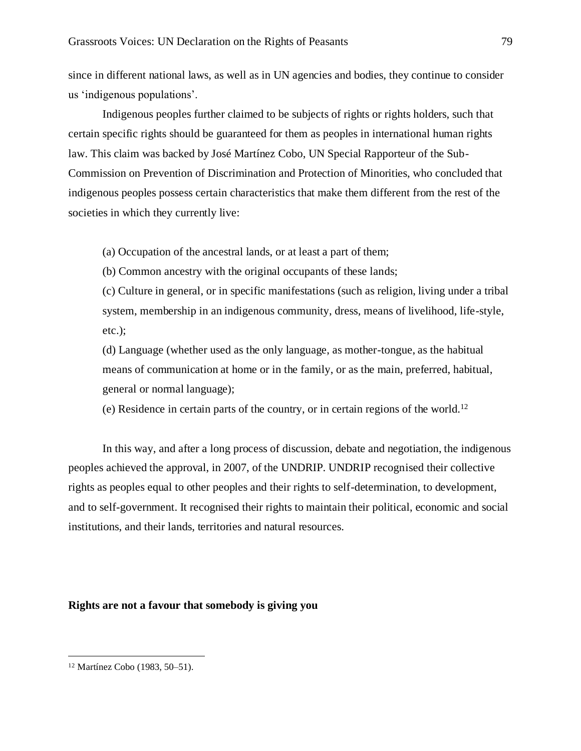since in different national laws, as well as in UN agencies and bodies, they continue to consider us 'indigenous populations'.

Indigenous peoples further claimed to be subjects of rights or rights holders, such that certain specific rights should be guaranteed for them as peoples in international human rights law. This claim was backed by José Martínez Cobo, UN Special Rapporteur of the Sub-Commission on Prevention of Discrimination and Protection of Minorities, who concluded that indigenous peoples possess certain characteristics that make them different from the rest of the societies in which they currently live:

(a) Occupation of the ancestral lands, or at least a part of them;

(b) Common ancestry with the original occupants of these lands;

(c) Culture in general, or in specific manifestations (such as religion, living under a tribal system, membership in an indigenous community, dress, means of livelihood, life-style, etc.);

(d) Language (whether used as the only language, as mother-tongue, as the habitual means of communication at home or in the family, or as the main, preferred, habitual, general or normal language);

(e) Residence in certain parts of the country, or in certain regions of the world.<sup>12</sup>

In this way, and after a long process of discussion, debate and negotiation, the indigenous peoples achieved the approval, in 2007, of the UNDRIP. UNDRIP recognised their collective rights as peoples equal to other peoples and their rights to self-determination, to development, and to self-government. It recognised their rights to maintain their political, economic and social institutions, and their lands, territories and natural resources.

## **Rights are not a favour that somebody is giving you**

<sup>12</sup> Martínez Cobo (1983, 50–51).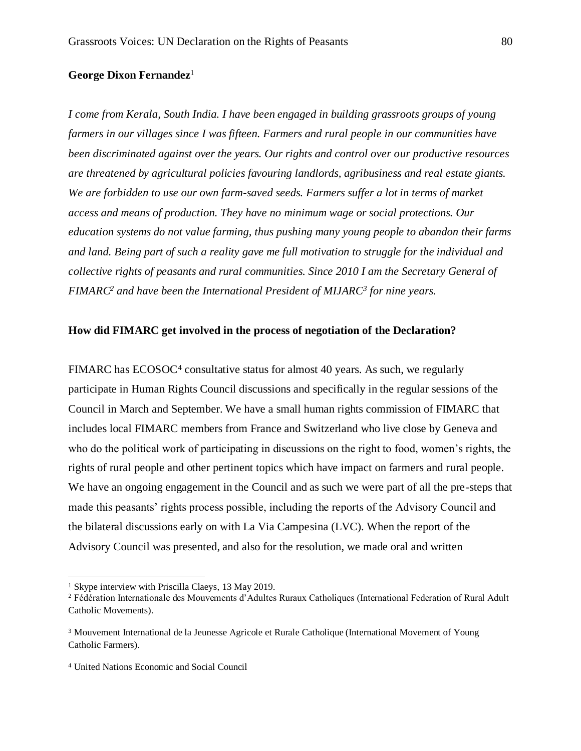### **George Dixon Fernandez**<sup>1</sup>

*I come from Kerala, South India. I have been engaged in building grassroots groups of young farmers in our villages since I was fifteen. Farmers and rural people in our communities have been discriminated against over the years. Our rights and control over our productive resources are threatened by agricultural policies favouring landlords, agribusiness and real estate giants. We are forbidden to use our own farm-saved seeds. Farmers suffer a lot in terms of market access and means of production. They have no minimum wage or social protections. Our education systems do not value farming, thus pushing many young people to abandon their farms and land. Being part of such a reality gave me full motivation to struggle for the individual and collective rights of peasants and rural communities. Since 2010 I am the Secretary General of FIMARC<sup>2</sup> and have been the International President of MIJARC<sup>3</sup> for nine years.*

## **How did FIMARC get involved in the process of negotiation of the Declaration?**

FIMARC has ECOSOC<sup>4</sup> consultative status for almost 40 years. As such, we regularly participate in Human Rights Council discussions and specifically in the regular sessions of the Council in March and September. We have a small human rights commission of FIMARC that includes local FIMARC members from France and Switzerland who live close by Geneva and who do the political work of participating in discussions on the right to food, women's rights, the rights of rural people and other pertinent topics which have impact on farmers and rural people. We have an ongoing engagement in the Council and as such we were part of all the pre-steps that made this peasants' rights process possible, including the reports of the Advisory Council and the bilateral discussions early on with La Via Campesina (LVC). When the report of the Advisory Council was presented, and also for the resolution, we made oral and written

<sup>1</sup> Skype interview with Priscilla Claeys, 13 May 2019.

<sup>2</sup> Fédération Internationale des Mouvements d'Adultes Ruraux Catholiques (International Federation of Rural Adult Catholic Movements).

<sup>3</sup> Mouvement International de la Jeunesse Agricole et Rurale Catholique (International Movement of Young Catholic Farmers).

<sup>4</sup> United Nations Economic and Social Council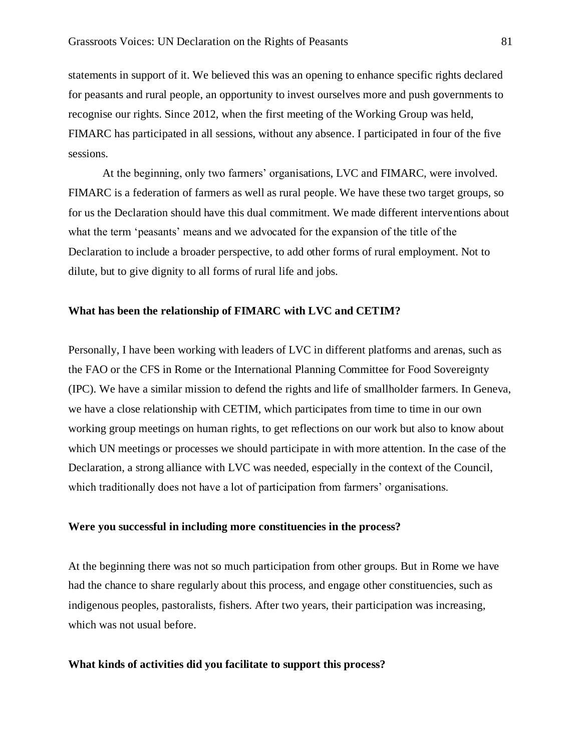statements in support of it. We believed this was an opening to enhance specific rights declared for peasants and rural people, an opportunity to invest ourselves more and push governments to recognise our rights. Since 2012, when the first meeting of the Working Group was held, FIMARC has participated in all sessions, without any absence. I participated in four of the five sessions.

At the beginning, only two farmers' organisations, LVC and FIMARC, were involved. FIMARC is a federation of farmers as well as rural people. We have these two target groups, so for us the Declaration should have this dual commitment. We made different interventions about what the term 'peasants' means and we advocated for the expansion of the title of the Declaration to include a broader perspective, to add other forms of rural employment. Not to dilute, but to give dignity to all forms of rural life and jobs.

### **What has been the relationship of FIMARC with LVC and CETIM?**

Personally, I have been working with leaders of LVC in different platforms and arenas, such as the FAO or the CFS in Rome or the International Planning Committee for Food Sovereignty (IPC). We have a similar mission to defend the rights and life of smallholder farmers. In Geneva, we have a close relationship with CETIM, which participates from time to time in our own working group meetings on human rights, to get reflections on our work but also to know about which UN meetings or processes we should participate in with more attention. In the case of the Declaration, a strong alliance with LVC was needed, especially in the context of the Council, which traditionally does not have a lot of participation from farmers' organisations.

## **Were you successful in including more constituencies in the process?**

At the beginning there was not so much participation from other groups. But in Rome we have had the chance to share regularly about this process, and engage other constituencies, such as indigenous peoples, pastoralists, fishers. After two years, their participation was increasing, which was not usual before.

#### **What kinds of activities did you facilitate to support this process?**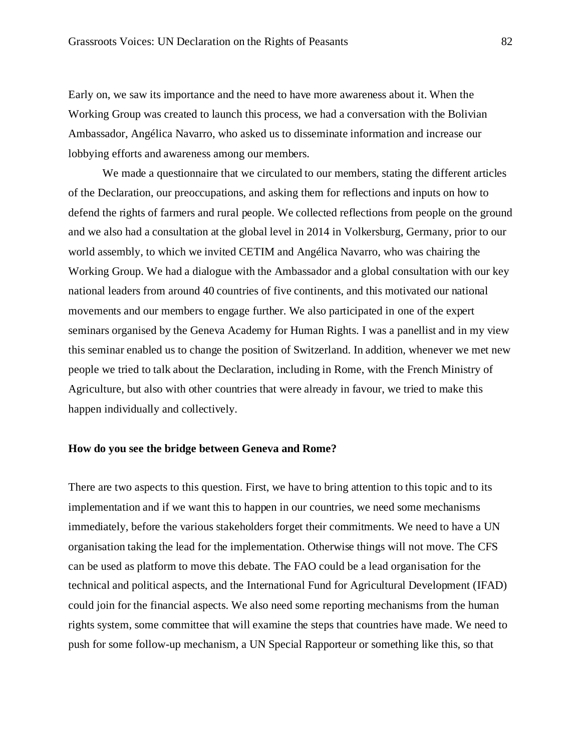Early on, we saw its importance and the need to have more awareness about it. When the Working Group was created to launch this process, we had a conversation with the Bolivian Ambassador, Angélica Navarro, who asked us to disseminate information and increase our lobbying efforts and awareness among our members.

We made a questionnaire that we circulated to our members, stating the different articles of the Declaration, our preoccupations, and asking them for reflections and inputs on how to defend the rights of farmers and rural people. We collected reflections from people on the ground and we also had a consultation at the global level in 2014 in Volkersburg, Germany, prior to our world assembly, to which we invited CETIM and Angélica Navarro, who was chairing the Working Group. We had a dialogue with the Ambassador and a global consultation with our key national leaders from around 40 countries of five continents, and this motivated our national movements and our members to engage further. We also participated in one of the expert seminars organised by the Geneva Academy for Human Rights. I was a panellist and in my view this seminar enabled us to change the position of Switzerland. In addition, whenever we met new people we tried to talk about the Declaration, including in Rome, with the French Ministry of Agriculture, but also with other countries that were already in favour, we tried to make this happen individually and collectively.

## **How do you see the bridge between Geneva and Rome?**

There are two aspects to this question. First, we have to bring attention to this topic and to its implementation and if we want this to happen in our countries, we need some mechanisms immediately, before the various stakeholders forget their commitments. We need to have a UN organisation taking the lead for the implementation. Otherwise things will not move. The CFS can be used as platform to move this debate. The FAO could be a lead organisation for the technical and political aspects, and the International Fund for Agricultural Development (IFAD) could join for the financial aspects. We also need some reporting mechanisms from the human rights system, some committee that will examine the steps that countries have made. We need to push for some follow-up mechanism, a UN Special Rapporteur or something like this, so that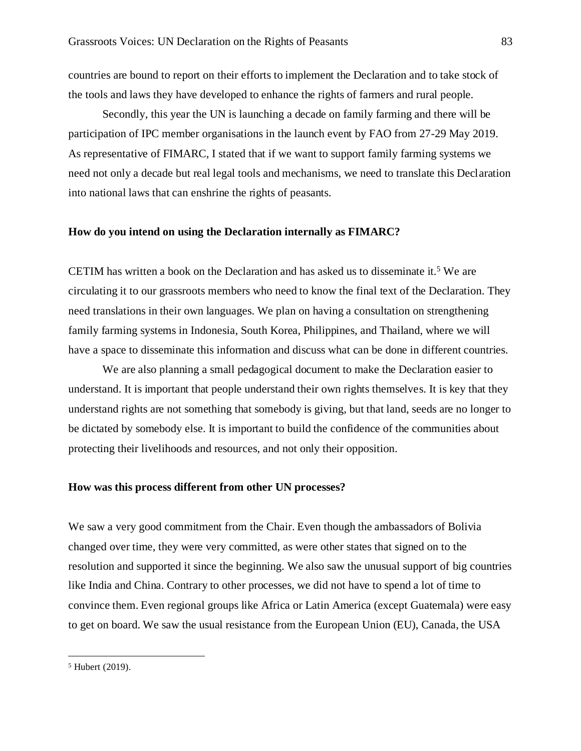countries are bound to report on their efforts to implement the Declaration and to take stock of the tools and laws they have developed to enhance the rights of farmers and rural people.

Secondly, this year the UN is launching a decade on family farming and there will be participation of IPC member organisations in the launch event by FAO from 27-29 May 2019. As representative of FIMARC, I stated that if we want to support family farming systems we need not only a decade but real legal tools and mechanisms, we need to translate this Declaration into national laws that can enshrine the rights of peasants.

## **How do you intend on using the Declaration internally as FIMARC?**

CETIM has written a book on the Declaration and has asked us to disseminate it.<sup>5</sup> We are circulating it to our grassroots members who need to know the final text of the Declaration. They need translations in their own languages. We plan on having a consultation on strengthening family farming systems in Indonesia, South Korea, Philippines, and Thailand, where we will have a space to disseminate this information and discuss what can be done in different countries.

We are also planning a small pedagogical document to make the Declaration easier to understand. It is important that people understand their own rights themselves. It is key that they understand rights are not something that somebody is giving, but that land, seeds are no longer to be dictated by somebody else. It is important to build the confidence of the communities about protecting their livelihoods and resources, and not only their opposition.

## **How was this process different from other UN processes?**

We saw a very good commitment from the Chair. Even though the ambassadors of Bolivia changed over time, they were very committed, as were other states that signed on to the resolution and supported it since the beginning. We also saw the unusual support of big countries like India and China. Contrary to other processes, we did not have to spend a lot of time to convince them. Even regional groups like Africa or Latin America (except Guatemala) were easy to get on board. We saw the usual resistance from the European Union (EU), Canada, the USA

<sup>5</sup> Hubert (2019).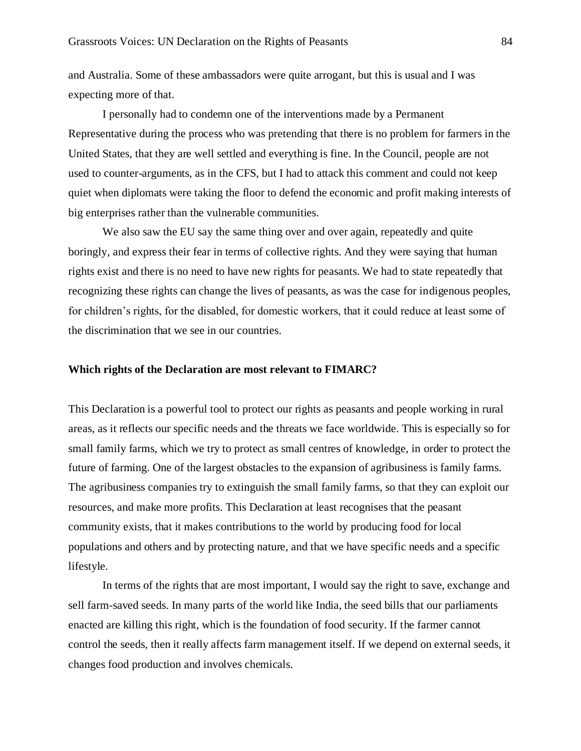and Australia. Some of these ambassadors were quite arrogant, but this is usual and I was expecting more of that.

I personally had to condemn one of the interventions made by a Permanent Representative during the process who was pretending that there is no problem for farmers in the United States, that they are well settled and everything is fine. In the Council, people are not used to counter-arguments, as in the CFS, but I had to attack this comment and could not keep quiet when diplomats were taking the floor to defend the economic and profit making interests of big enterprises rather than the vulnerable communities.

We also saw the EU say the same thing over and over again, repeatedly and quite boringly, and express their fear in terms of collective rights. And they were saying that human rights exist and there is no need to have new rights for peasants. We had to state repeatedly that recognizing these rights can change the lives of peasants, as was the case for indigenous peoples, for children's rights, for the disabled, for domestic workers, that it could reduce at least some of the discrimination that we see in our countries.

#### **Which rights of the Declaration are most relevant to FIMARC?**

This Declaration is a powerful tool to protect our rights as peasants and people working in rural areas, as it reflects our specific needs and the threats we face worldwide. This is especially so for small family farms, which we try to protect as small centres of knowledge, in order to protect the future of farming. One of the largest obstacles to the expansion of agribusiness is family farms. The agribusiness companies try to extinguish the small family farms, so that they can exploit our resources, and make more profits. This Declaration at least recognises that the peasant community exists, that it makes contributions to the world by producing food for local populations and others and by protecting nature, and that we have specific needs and a specific lifestyle.

In terms of the rights that are most important, I would say the right to save, exchange and sell farm-saved seeds. In many parts of the world like India, the seed bills that our parliaments enacted are killing this right, which is the foundation of food security. If the farmer cannot control the seeds, then it really affects farm management itself. If we depend on external seeds, it changes food production and involves chemicals.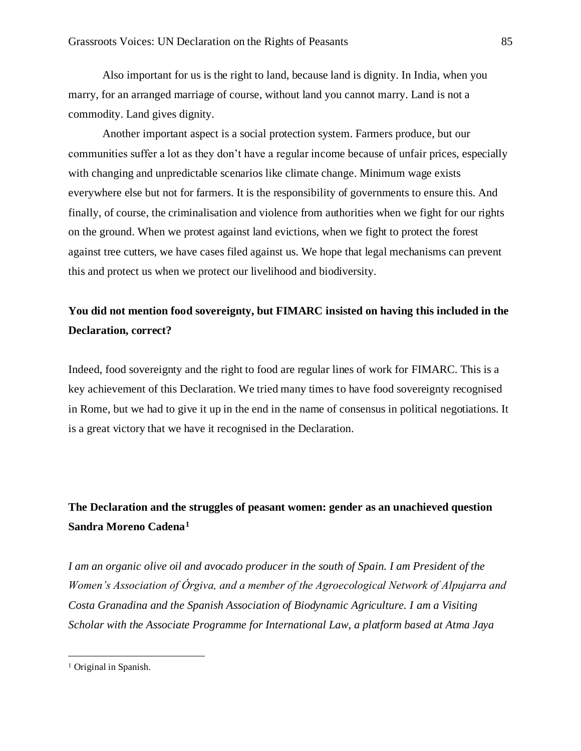Also important for us is the right to land, because land is dignity. In India, when you marry, for an arranged marriage of course, without land you cannot marry. Land is not a commodity. Land gives dignity.

Another important aspect is a social protection system. Farmers produce, but our communities suffer a lot as they don't have a regular income because of unfair prices, especially with changing and unpredictable scenarios like climate change. Minimum wage exists everywhere else but not for farmers. It is the responsibility of governments to ensure this. And finally, of course, the criminalisation and violence from authorities when we fight for our rights on the ground. When we protest against land evictions, when we fight to protect the forest against tree cutters, we have cases filed against us. We hope that legal mechanisms can prevent this and protect us when we protect our livelihood and biodiversity.

## **You did not mention food sovereignty, but FIMARC insisted on having this included in the Declaration, correct?**

Indeed, food sovereignty and the right to food are regular lines of work for FIMARC. This is a key achievement of this Declaration. We tried many times to have food sovereignty recognised in Rome, but we had to give it up in the end in the name of consensus in political negotiations. It is a great victory that we have it recognised in the Declaration.

# **The Declaration and the struggles of peasant women: gender as an unachieved question Sandra Moreno Cadena<sup>1</sup>**

*I am an organic olive oil and avocado producer in the south of Spain. I am President of the Women's Association of Órgiva, and a member of the Agroecological Network of Alpujarra and Costa Granadina and the Spanish Association of Biodynamic Agriculture. I am a Visiting Scholar with the Associate Programme for International Law, a platform based at Atma Jaya* 

<sup>&</sup>lt;sup>1</sup> Original in Spanish.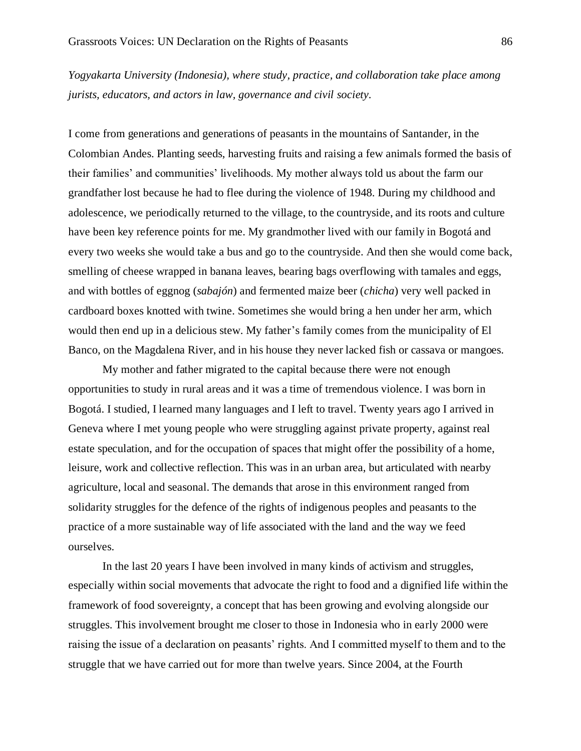*Yogyakarta University (Indonesia), where study, practice, and collaboration take place among jurists, educators, and actors in law, governance and civil society.*

I come from generations and generations of peasants in the mountains of Santander, in the Colombian Andes. Planting seeds, harvesting fruits and raising a few animals formed the basis of their families' and communities' livelihoods. My mother always told us about the farm our grandfather lost because he had to flee during the violence of 1948. During my childhood and adolescence, we periodically returned to the village, to the countryside, and its roots and culture have been key reference points for me. My grandmother lived with our family in Bogotá and every two weeks she would take a bus and go to the countryside. And then she would come back, smelling of cheese wrapped in banana leaves, bearing bags overflowing with tamales and eggs, and with bottles of eggnog (*sabajón*) and fermented maize beer (*chicha*) very well packed in cardboard boxes knotted with twine. Sometimes she would bring a hen under her arm, which would then end up in a delicious stew. My father's family comes from the municipality of El Banco, on the Magdalena River, and in his house they never lacked fish or cassava or mangoes.

My mother and father migrated to the capital because there were not enough opportunities to study in rural areas and it was a time of tremendous violence. I was born in Bogotá. I studied, I learned many languages and I left to travel. Twenty years ago I arrived in Geneva where I met young people who were struggling against private property, against real estate speculation, and for the occupation of spaces that might offer the possibility of a home, leisure, work and collective reflection. This was in an urban area, but articulated with nearby agriculture, local and seasonal. The demands that arose in this environment ranged from solidarity struggles for the defence of the rights of indigenous peoples and peasants to the practice of a more sustainable way of life associated with the land and the way we feed ourselves.

In the last 20 years I have been involved in many kinds of activism and struggles, especially within social movements that advocate the right to food and a dignified life within the framework of food sovereignty, a concept that has been growing and evolving alongside our struggles. This involvement brought me closer to those in Indonesia who in early 2000 were raising the issue of a declaration on peasants' rights. And I committed myself to them and to the struggle that we have carried out for more than twelve years. Since 2004, at the Fourth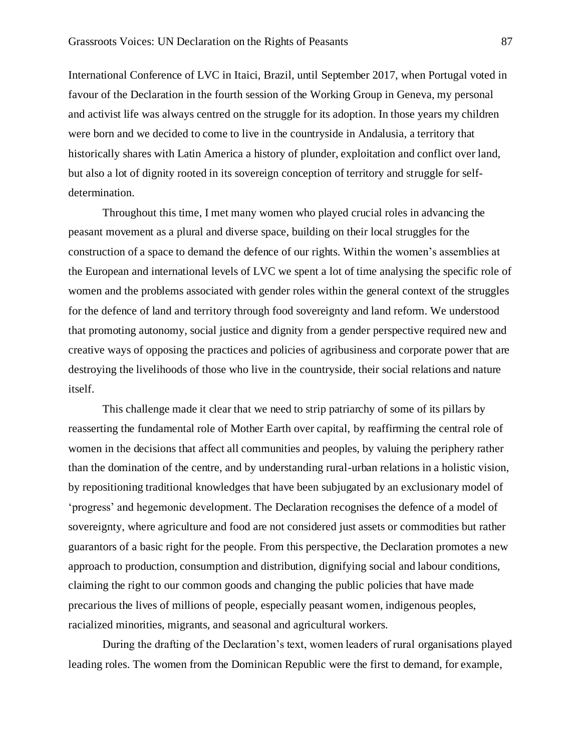International Conference of LVC in Itaici, Brazil, until September 2017, when Portugal voted in favour of the Declaration in the fourth session of the Working Group in Geneva, my personal and activist life was always centred on the struggle for its adoption. In those years my children were born and we decided to come to live in the countryside in Andalusia, a territory that historically shares with Latin America a history of plunder, exploitation and conflict over land, but also a lot of dignity rooted in its sovereign conception of territory and struggle for selfdetermination.

Throughout this time, I met many women who played crucial roles in advancing the peasant movement as a plural and diverse space, building on their local struggles for the construction of a space to demand the defence of our rights. Within the women's assemblies at the European and international levels of LVC we spent a lot of time analysing the specific role of women and the problems associated with gender roles within the general context of the struggles for the defence of land and territory through food sovereignty and land reform. We understood that promoting autonomy, social justice and dignity from a gender perspective required new and creative ways of opposing the practices and policies of agribusiness and corporate power that are destroying the livelihoods of those who live in the countryside, their social relations and nature itself.

This challenge made it clear that we need to strip patriarchy of some of its pillars by reasserting the fundamental role of Mother Earth over capital, by reaffirming the central role of women in the decisions that affect all communities and peoples, by valuing the periphery rather than the domination of the centre, and by understanding rural-urban relations in a holistic vision, by repositioning traditional knowledges that have been subjugated by an exclusionary model of 'progress' and hegemonic development. The Declaration recognises the defence of a model of sovereignty, where agriculture and food are not considered just assets or commodities but rather guarantors of a basic right for the people. From this perspective, the Declaration promotes a new approach to production, consumption and distribution, dignifying social and labour conditions, claiming the right to our common goods and changing the public policies that have made precarious the lives of millions of people, especially peasant women, indigenous peoples, racialized minorities, migrants, and seasonal and agricultural workers.

During the drafting of the Declaration's text, women leaders of rural organisations played leading roles. The women from the Dominican Republic were the first to demand, for example,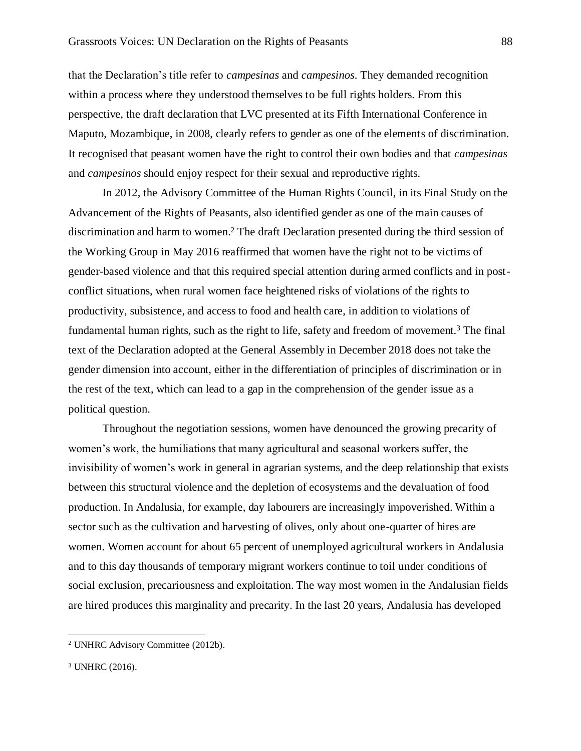that the Declaration's title refer to *campesinas* and *campesinos*. They demanded recognition within a process where they understood themselves to be full rights holders. From this perspective, the draft declaration that LVC presented at its Fifth International Conference in Maputo, Mozambique, in 2008, clearly refers to gender as one of the elements of discrimination. It recognised that peasant women have the right to control their own bodies and that *campesinas* and *campesinos* should enjoy respect for their sexual and reproductive rights.

In 2012, the Advisory Committee of the Human Rights Council, in its Final Study on the Advancement of the Rights of Peasants, also identified gender as one of the main causes of discrimination and harm to women.<sup>2</sup> The draft Declaration presented during the third session of the Working Group in May 2016 reaffirmed that women have the right not to be victims of gender-based violence and that this required special attention during armed conflicts and in postconflict situations, when rural women face heightened risks of violations of the rights to productivity, subsistence, and access to food and health care, in addition to violations of fundamental human rights, such as the right to life, safety and freedom of movement.<sup>3</sup> The final text of the Declaration adopted at the General Assembly in December 2018 does not take the gender dimension into account, either in the differentiation of principles of discrimination or in the rest of the text, which can lead to a gap in the comprehension of the gender issue as a political question.

Throughout the negotiation sessions, women have denounced the growing precarity of women's work, the humiliations that many agricultural and seasonal workers suffer, the invisibility of women's work in general in agrarian systems, and the deep relationship that exists between this structural violence and the depletion of ecosystems and the devaluation of food production. In Andalusia, for example, day labourers are increasingly impoverished. Within a sector such as the cultivation and harvesting of olives, only about one-quarter of hires are women. Women account for about 65 percent of unemployed agricultural workers in Andalusia and to this day thousands of temporary migrant workers continue to toil under conditions of social exclusion, precariousness and exploitation. The way most women in the Andalusian fields are hired produces this marginality and precarity. In the last 20 years, Andalusia has developed

<sup>2</sup> UNHRC Advisory Committee (2012b).

<sup>3</sup> UNHRC (2016).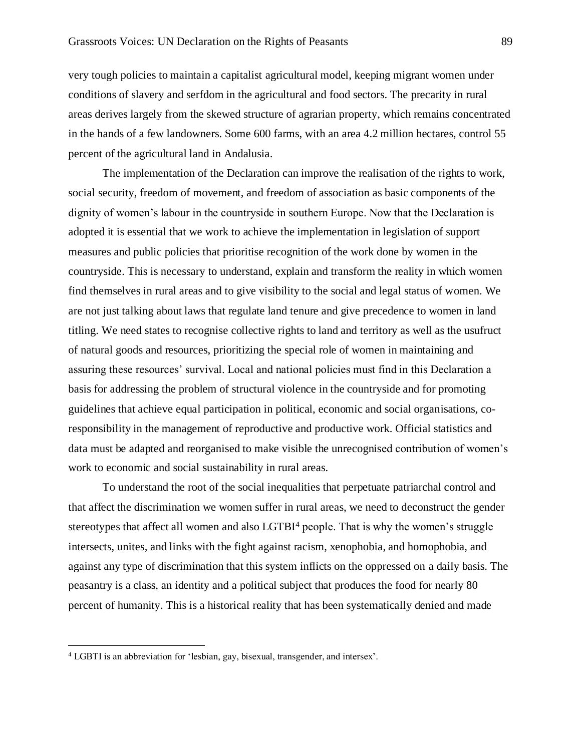very tough policies to maintain a capitalist agricultural model, keeping migrant women under conditions of slavery and serfdom in the agricultural and food sectors. The precarity in rural areas derives largely from the skewed structure of agrarian property, which remains concentrated in the hands of a few landowners. Some 600 farms, with an area 4.2 million hectares, control 55 percent of the agricultural land in Andalusia.

The implementation of the Declaration can improve the realisation of the rights to work, social security, freedom of movement, and freedom of association as basic components of the dignity of women's labour in the countryside in southern Europe. Now that the Declaration is adopted it is essential that we work to achieve the implementation in legislation of support measures and public policies that prioritise recognition of the work done by women in the countryside. This is necessary to understand, explain and transform the reality in which women find themselves in rural areas and to give visibility to the social and legal status of women. We are not just talking about laws that regulate land tenure and give precedence to women in land titling. We need states to recognise collective rights to land and territory as well as the usufruct of natural goods and resources, prioritizing the special role of women in maintaining and assuring these resources' survival. Local and national policies must find in this Declaration a basis for addressing the problem of structural violence in the countryside and for promoting guidelines that achieve equal participation in political, economic and social organisations, coresponsibility in the management of reproductive and productive work. Official statistics and data must be adapted and reorganised to make visible the unrecognised contribution of women's work to economic and social sustainability in rural areas.

To understand the root of the social inequalities that perpetuate patriarchal control and that affect the discrimination we women suffer in rural areas, we need to deconstruct the gender stereotypes that affect all women and also LGTBI<sup>4</sup> people. That is why the women's struggle intersects, unites, and links with the fight against racism, xenophobia, and homophobia, and against any type of discrimination that this system inflicts on the oppressed on a daily basis. The peasantry is a class, an identity and a political subject that produces the food for nearly 80 percent of humanity. This is a historical reality that has been systematically denied and made

<sup>4</sup> LGBTI is an abbreviation for 'lesbian, gay, bisexual, transgender, and intersex'.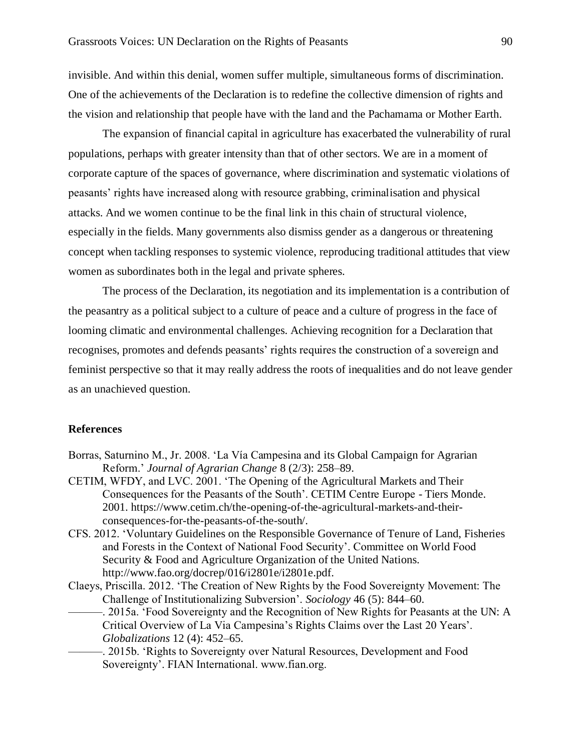invisible. And within this denial, women suffer multiple, simultaneous forms of discrimination. One of the achievements of the Declaration is to redefine the collective dimension of rights and the vision and relationship that people have with the land and the Pachamama or Mother Earth.

The expansion of financial capital in agriculture has exacerbated the vulnerability of rural populations, perhaps with greater intensity than that of other sectors. We are in a moment of corporate capture of the spaces of governance, where discrimination and systematic violations of peasants' rights have increased along with resource grabbing, criminalisation and physical attacks. And we women continue to be the final link in this chain of structural violence, especially in the fields. Many governments also dismiss gender as a dangerous or threatening concept when tackling responses to systemic violence, reproducing traditional attitudes that view women as subordinates both in the legal and private spheres.

The process of the Declaration, its negotiation and its implementation is a contribution of the peasantry as a political subject to a culture of peace and a culture of progress in the face of looming climatic and environmental challenges. Achieving recognition for a Declaration that recognises, promotes and defends peasants' rights requires the construction of a sovereign and feminist perspective so that it may really address the roots of inequalities and do not leave gender as an unachieved question.

## **References**

- Borras, Saturnino M., Jr. 2008. 'La Vía Campesina and its Global Campaign for Agrarian Reform.' *Journal of Agrarian Change* 8 (2/3): 258–89.
- CETIM, WFDY, and LVC. 2001. 'The Opening of the Agricultural Markets and Their Consequences for the Peasants of the South'. CETIM Centre Europe - Tiers Monde. 2001. https://www.cetim.ch/the-opening-of-the-agricultural-markets-and-theirconsequences-for-the-peasants-of-the-south/.
- CFS. 2012. 'Voluntary Guidelines on the Responsible Governance of Tenure of Land, Fisheries and Forests in the Context of National Food Security'. Committee on World Food Security & Food and Agriculture Organization of the United Nations. http://www.fao.org/docrep/016/i2801e/i2801e.pdf.
- Claeys, Priscilla. 2012. 'The Creation of New Rights by the Food Sovereignty Movement: The Challenge of Institutionalizing Subversion'. *Sociology* 46 (5): 844–60.
	- -. 2015a. 'Food Sovereignty and the Recognition of New Rights for Peasants at the UN: A Critical Overview of La Via Campesina's Rights Claims over the Last 20 Years'. *Globalizations* 12 (4): 452–65.
		- -. 2015b. 'Rights to Sovereignty over Natural Resources, Development and Food Sovereignty'. FIAN International. www.fian.org.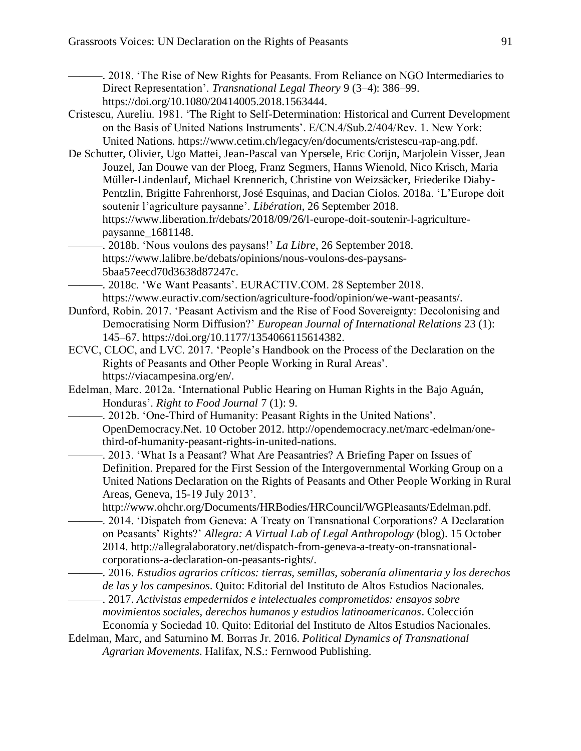———. 2018. 'The Rise of New Rights for Peasants. From Reliance on NGO Intermediaries to Direct Representation'. *Transnational Legal Theory* 9 (3–4): 386–99. https://doi.org/10.1080/20414005.2018.1563444.

- Cristescu, Aureliu. 1981. 'The Right to Self-Determination: Historical and Current Development on the Basis of United Nations Instruments'. E/CN.4/Sub.2/404/Rev. 1. New York: United Nations. https://www.cetim.ch/legacy/en/documents/cristescu-rap-ang.pdf.
- De Schutter, Olivier, Ugo Mattei, Jean-Pascal van Ypersele, Eric Corijn, Marjolein Visser, Jean Jouzel, Jan Douwe van der Ploeg, Franz Segmers, Hanns Wienold, Nico Krisch, Maria Müller-Lindenlauf, Michael Krennerich, Christine von Weizsäcker, Friederike Diaby-Pentzlin, Brigitte Fahrenhorst, José Esquinas, and Dacian Ciolos. 2018a. 'L'Europe doit soutenir l'agriculture paysanne'. *Libération*, 26 September 2018. https://www.liberation.fr/debats/2018/09/26/l-europe-doit-soutenir-l-agriculturepaysanne\_1681148.
- ———. 2018b. 'Nous voulons des paysans!' *La Libre*, 26 September 2018. https://www.lalibre.be/debats/opinions/nous-voulons-des-paysans-5baa57eecd70d3638d87247c.

-. 2018c. 'We Want Peasants'. EURACTIV.COM. 28 September 2018. https://www.euractiv.com/section/agriculture-food/opinion/we-want-peasants/.

- Dunford, Robin. 2017. 'Peasant Activism and the Rise of Food Sovereignty: Decolonising and Democratising Norm Diffusion?' *European Journal of International Relations* 23 (1): 145–67. https://doi.org/10.1177/1354066115614382.
- ECVC, CLOC, and LVC. 2017. 'People's Handbook on the Process of the Declaration on the Rights of Peasants and Other People Working in Rural Areas'. https://viacampesina.org/en/.
- Edelman, Marc. 2012a. 'International Public Hearing on Human Rights in the Bajo Aguán, Honduras'. *Right to Food Journal* 7 (1): 9.
	- -. 2012b. 'One-Third of Humanity: Peasant Rights in the United Nations'. OpenDemocracy.Net. 10 October 2012. http://opendemocracy.net/marc-edelman/onethird-of-humanity-peasant-rights-in-united-nations.
		- -. 2013. 'What Is a Peasant? What Are Peasantries? A Briefing Paper on Issues of Definition. Prepared for the First Session of the Intergovernmental Working Group on a United Nations Declaration on the Rights of Peasants and Other People Working in Rural Areas, Geneva, 15-19 July 2013'.
			- http://www.ohchr.org/Documents/HRBodies/HRCouncil/WGPleasants/Edelman.pdf.
			- -. 2014. 'Dispatch from Geneva: A Treaty on Transnational Corporations? A Declaration on Peasants' Rights?' *Allegra: A Virtual Lab of Legal Anthropology* (blog). 15 October 2014. http://allegralaboratory.net/dispatch-from-geneva-a-treaty-on-transnationalcorporations-a-declaration-on-peasants-rights/.
			- ———. 2016. *Estudios agrarios críticos: tierras, semillas, soberanía alimentaria y los derechos de las y los campesinos*. Quito: Editorial del Instituto de Altos Estudios Nacionales.

———. 2017. *Activistas empedernidos e intelectuales comprometidos: ensayos sobre movimientos sociales, derechos humanos y estudios latinoamericanos*. Colección Economía y Sociedad 10. Quito: Editorial del Instituto de Altos Estudios Nacionales.

Edelman, Marc, and Saturnino M. Borras Jr. 2016. *Political Dynamics of Transnational Agrarian Movements*. Halifax, N.S.: Fernwood Publishing.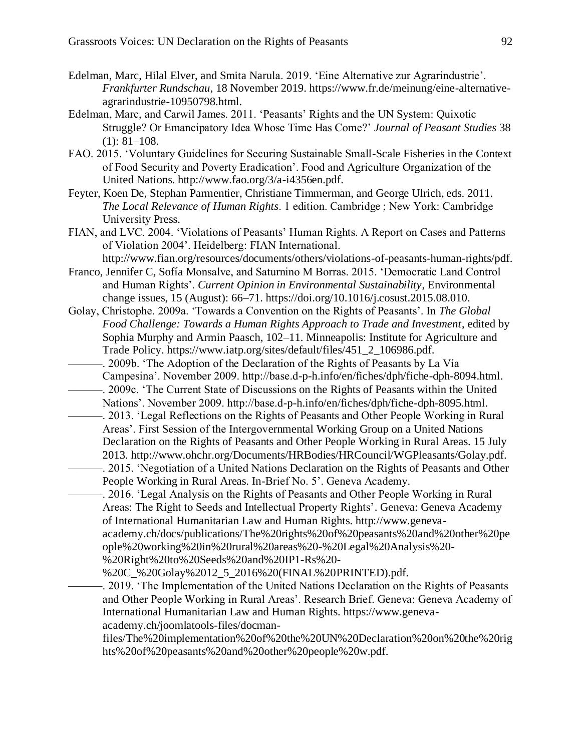- Edelman, Marc, Hilal Elver, and Smita Narula. 2019. 'Eine Alternative zur Agrarindustrie'. *Frankfurter Rundschau*, 18 November 2019. https://www.fr.de/meinung/eine-alternativeagrarindustrie-10950798.html.
- Edelman, Marc, and Carwil James. 2011. 'Peasants' Rights and the UN System: Quixotic Struggle? Or Emancipatory Idea Whose Time Has Come?' *Journal of Peasant Studies* 38  $(1): 81-108.$
- FAO. 2015. 'Voluntary Guidelines for Securing Sustainable Small-Scale Fisheries in the Context of Food Security and Poverty Eradication'. Food and Agriculture Organization of the United Nations. http://www.fao.org/3/a-i4356en.pdf.
- Feyter, Koen De, Stephan Parmentier, Christiane Timmerman, and George Ulrich, eds. 2011. *The Local Relevance of Human Rights*. 1 edition. Cambridge ; New York: Cambridge University Press.
- FIAN, and LVC. 2004. 'Violations of Peasants' Human Rights. A Report on Cases and Patterns of Violation 2004'. Heidelberg: FIAN International. http://www.fian.org/resources/documents/others/violations-of-peasants-human-rights/pdf.
- Franco, Jennifer C, Sofía Monsalve, and Saturnino M Borras. 2015. 'Democratic Land Control and Human Rights'. *Current Opinion in Environmental Sustainability*, Environmental change issues, 15 (August): 66–71. https://doi.org/10.1016/j.cosust.2015.08.010.
- Golay, Christophe. 2009a. 'Towards a Convention on the Rights of Peasants'. In *The Global Food Challenge: Towards a Human Rights Approach to Trade and Investment*, edited by Sophia Murphy and Armin Paasch, 102–11. Minneapolis: Institute for Agriculture and Trade Policy. https://www.iatp.org/sites/default/files/451\_2\_106986.pdf.
- -. 2009b. 'The Adoption of the Declaration of the Rights of Peasants by La Vía Campesina'. November 2009. http://base.d-p-h.info/en/fiches/dph/fiche-dph-8094.html. ———. 2009c. 'The Current State of Discussions on the Rights of Peasants within the United Nations'. November 2009. http://base.d-p-h.info/en/fiches/dph/fiche-dph-8095.html.
- ———. 2013. 'Legal Reflections on the Rights of Peasants and Other People Working in Rural Areas'. First Session of the Intergovernmental Working Group on a United Nations Declaration on the Rights of Peasants and Other People Working in Rural Areas. 15 July 2013. http://www.ohchr.org/Documents/HRBodies/HRCouncil/WGPleasants/Golay.pdf. -. 2015. 'Negotiation of a United Nations Declaration on the Rights of Peasants and Other
- People Working in Rural Areas. In-Brief No. 5'. Geneva Academy.

-. 2016. 'Legal Analysis on the Rights of Peasants and Other People Working in Rural Areas: The Right to Seeds and Intellectual Property Rights'. Geneva: Geneva Academy of International Humanitarian Law and Human Rights. http://www.geneva-

academy.ch/docs/publications/The%20rights%20of%20peasants%20and%20other%20pe ople%20working%20in%20rural%20areas%20-%20Legal%20Analysis%20-

%20Right%20to%20Seeds%20and%20IP1-Rs%20-

%20C\_%20Golay%2012\_5\_2016%20(FINAL%20PRINTED).pdf.

———. 2019. 'The Implementation of the United Nations Declaration on the Rights of Peasants and Other People Working in Rural Areas'. Research Brief. Geneva: Geneva Academy of International Humanitarian Law and Human Rights. https://www.genevaacademy.ch/joomlatools-files/docman-

files/The%20implementation%20of%20the%20UN%20Declaration%20on%20the%20rig hts%20of%20peasants%20and%20other%20people%20w.pdf.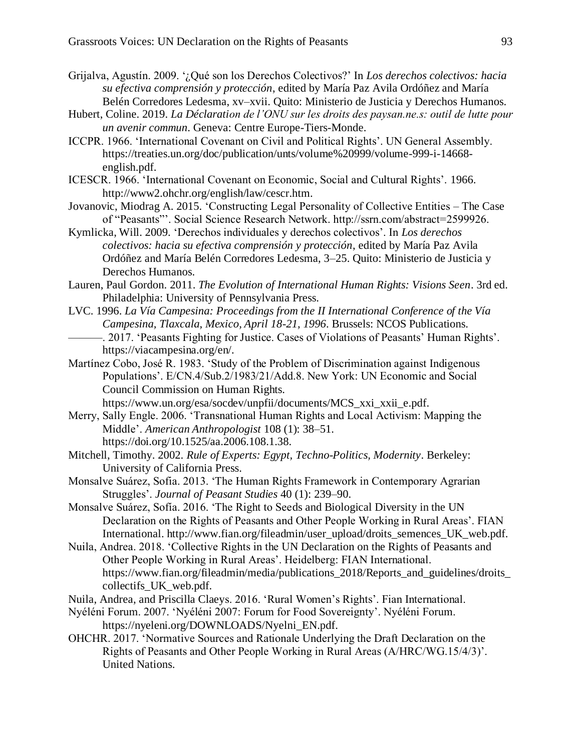- Grijalva, Agustín. 2009. '¿Qué son los Derechos Colectivos?' In *Los derechos colectivos: hacia su efectiva comprensión y protección*, edited by María Paz Avila Ordóñez and María Belén Corredores Ledesma, xv–xvii. Quito: Ministerio de Justicia y Derechos Humanos.
- Hubert, Coline. 2019. *La Déclaration de l'ONU sur les droits des paysan.ne.s: outil de lutte pour un avenir commun*. Geneva: Centre Europe-Tiers-Monde.
- ICCPR. 1966. 'International Covenant on Civil and Political Rights'. UN General Assembly. https://treaties.un.org/doc/publication/unts/volume%20999/volume-999-i-14668 english.pdf.
- ICESCR. 1966. 'International Covenant on Economic, Social and Cultural Rights'. 1966. http://www2.ohchr.org/english/law/cescr.htm.
- Jovanovic, Miodrag A. 2015. 'Constructing Legal Personality of Collective Entities The Case of "Peasants"'. Social Science Research Network. http://ssrn.com/abstract=2599926.
- Kymlicka, Will. 2009. 'Derechos individuales y derechos colectivos'. In *Los derechos colectivos: hacia su efectiva comprensión y protección*, edited by María Paz Avila Ordóñez and María Belén Corredores Ledesma, 3–25. Quito: Ministerio de Justicia y Derechos Humanos.
- Lauren, Paul Gordon. 2011. *The Evolution of International Human Rights: Visions Seen*. 3rd ed. Philadelphia: University of Pennsylvania Press.
- LVC. 1996. *La Vía Campesina: Proceedings from the II International Conference of the Vía Campesina, Tlaxcala, Mexico, April 18-21, 1996*. Brussels: NCOS Publications. -. 2017. 'Peasants Fighting for Justice. Cases of Violations of Peasants' Human Rights'. https://viacampesina.org/en/.
- Martínez Cobo, José R. 1983. 'Study of the Problem of Discrimination against Indigenous Populations'. E/CN.4/Sub.2/1983/21/Add.8. New York: UN Economic and Social Council Commission on Human Rights.

```
https://www.un.org/esa/socdev/unpfii/documents/MCS_xxi_xxii_e.pdf.
```
- Merry, Sally Engle. 2006. 'Transnational Human Rights and Local Activism: Mapping the Middle'. *American Anthropologist* 108 (1): 38–51. https://doi.org/10.1525/aa.2006.108.1.38.
- Mitchell, Timothy. 2002. *Rule of Experts: Egypt, Techno-Politics, Modernity*. Berkeley: University of California Press.
- Monsalve Suárez, Sofia. 2013. 'The Human Rights Framework in Contemporary Agrarian Struggles'. *Journal of Peasant Studies* 40 (1): 239–90.
- Monsalve Suárez, Sofía. 2016. 'The Right to Seeds and Biological Diversity in the UN Declaration on the Rights of Peasants and Other People Working in Rural Areas'. FIAN International. http://www.fian.org/fileadmin/user\_upload/droits\_semences\_UK\_web.pdf.
- Nuila, Andrea. 2018. 'Collective Rights in the UN Declaration on the Rights of Peasants and Other People Working in Rural Areas'. Heidelberg: FIAN International. https://www.fian.org/fileadmin/media/publications\_2018/Reports\_and\_guidelines/droits\_ collectifs\_UK\_web.pdf.
- Nuila, Andrea, and Priscilla Claeys. 2016. 'Rural Women's Rights'. Fian International.
- Nyéléni Forum. 2007. 'Nyéléni 2007: Forum for Food Sovereignty'. Nyéléni Forum. https://nyeleni.org/DOWNLOADS/Nyelni\_EN.pdf.
- OHCHR. 2017. 'Normative Sources and Rationale Underlying the Draft Declaration on the Rights of Peasants and Other People Working in Rural Areas (A/HRC/WG.15/4/3)'. United Nations.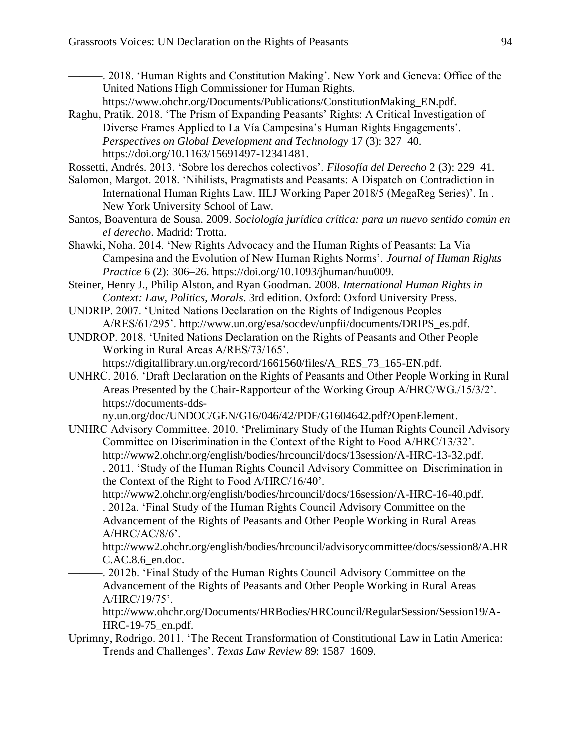———. 2018. 'Human Rights and Constitution Making'. New York and Geneva: Office of the United Nations High Commissioner for Human Rights.

- https://www.ohchr.org/Documents/Publications/ConstitutionMaking\_EN.pdf.
- Raghu, Pratik. 2018. 'The Prism of Expanding Peasants' Rights: A Critical Investigation of Diverse Frames Applied to La Vía Campesina's Human Rights Engagements'. *Perspectives on Global Development and Technology* 17 (3): 327–40. https://doi.org/10.1163/15691497-12341481.

Rossetti, Andrés. 2013. 'Sobre los derechos colectivos'. *Filosofía del Derecho* 2 (3): 229–41.

Salomon, Margot. 2018. 'Nihilists, Pragmatists and Peasants: A Dispatch on Contradiction in International Human Rights Law. IILJ Working Paper 2018/5 (MegaReg Series)'. In . New York University School of Law.

- Santos, Boaventura de Sousa. 2009. *Sociología jurídica crítica: para un nuevo sentido común en el derecho*. Madrid: Trotta.
- Shawki, Noha. 2014. 'New Rights Advocacy and the Human Rights of Peasants: La Via Campesina and the Evolution of New Human Rights Norms'. *Journal of Human Rights Practice* 6 (2): 306–26. https://doi.org/10.1093/jhuman/huu009.
- Steiner, Henry J., Philip Alston, and Ryan Goodman. 2008. *International Human Rights in Context: Law, Politics, Morals*. 3rd edition. Oxford: Oxford University Press.

UNDRIP. 2007. 'United Nations Declaration on the Rights of Indigenous Peoples A/RES/61/295'. http://www.un.org/esa/socdev/unpfii/documents/DRIPS\_es.pdf.

- UNDROP. 2018. 'United Nations Declaration on the Rights of Peasants and Other People Working in Rural Areas A/RES/73/165'.
	- https://digitallibrary.un.org/record/1661560/files/A\_RES\_73\_165-EN.pdf.
- UNHRC. 2016. 'Draft Declaration on the Rights of Peasants and Other People Working in Rural Areas Presented by the Chair-Rapporteur of the Working Group A/HRC/WG./15/3/2'. https://documents-dds-

ny.un.org/doc/UNDOC/GEN/G16/046/42/PDF/G1604642.pdf?OpenElement.

- UNHRC Advisory Committee. 2010. 'Preliminary Study of the Human Rights Council Advisory Committee on Discrimination in the Context of the Right to Food A/HRC/13/32'. http://www2.ohchr.org/english/bodies/hrcouncil/docs/13session/A-HRC-13-32.pdf.
- -. 2011. 'Study of the Human Rights Council Advisory Committee on Discrimination in the Context of the Right to Food A/HRC/16/40'.

http://www2.ohchr.org/english/bodies/hrcouncil/docs/16session/A-HRC-16-40.pdf.

———. 2012a. 'Final Study of the Human Rights Council Advisory Committee on the Advancement of the Rights of Peasants and Other People Working in Rural Areas  $A/HRC/AC/8/6$ .

http://www2.ohchr.org/english/bodies/hrcouncil/advisorycommittee/docs/session8/A.HR C.AC.8.6\_en.doc.

-. 2012b. 'Final Study of the Human Rights Council Advisory Committee on the Advancement of the Rights of Peasants and Other People Working in Rural Areas A/HRC/19/75'.

http://www.ohchr.org/Documents/HRBodies/HRCouncil/RegularSession/Session19/A-HRC-19-75\_en.pdf.

Uprimny, Rodrigo. 2011. 'The Recent Transformation of Constitutional Law in Latin America: Trends and Challenges'. *Texas Law Review* 89: 1587–1609.